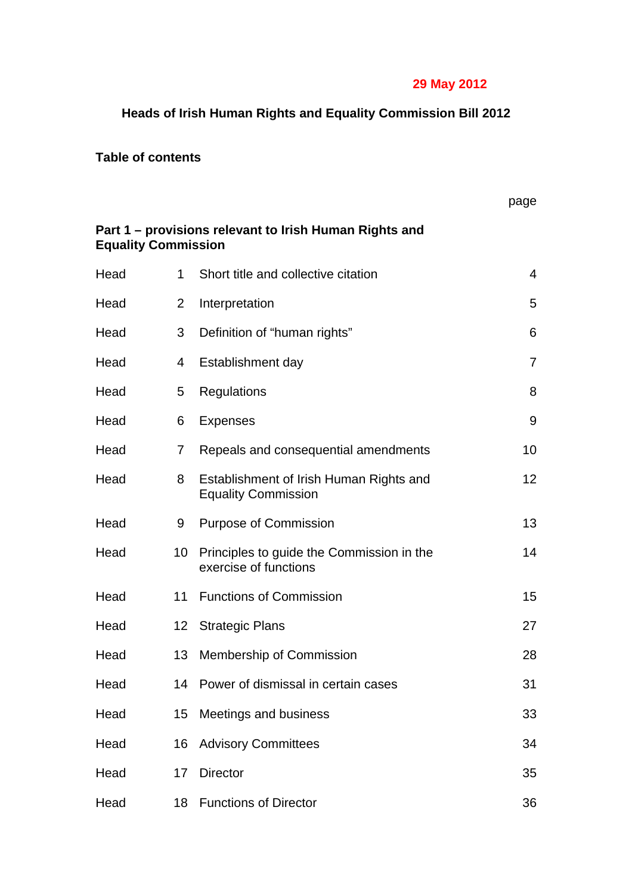# **29 May 2012**

# **Heads of Irish Human Rights and Equality Commission Bill 2012**

# **Table of contents**

|                                                                                      |                  |                                                                       | page |  |  |
|--------------------------------------------------------------------------------------|------------------|-----------------------------------------------------------------------|------|--|--|
| Part 1 – provisions relevant to Irish Human Rights and<br><b>Equality Commission</b> |                  |                                                                       |      |  |  |
| Head                                                                                 | $\mathbf 1$      | Short title and collective citation                                   | 4    |  |  |
| Head                                                                                 | 2                | Interpretation                                                        | 5    |  |  |
| Head                                                                                 | 3                | Definition of "human rights"                                          | 6    |  |  |
| Head                                                                                 | 4                | Establishment day                                                     | 7    |  |  |
| Head                                                                                 | 5                | Regulations                                                           | 8    |  |  |
| Head                                                                                 | 6                | <b>Expenses</b>                                                       | 9    |  |  |
| Head                                                                                 | $\overline{7}$   | Repeals and consequential amendments                                  | 10   |  |  |
| Head                                                                                 | 8                | Establishment of Irish Human Rights and<br><b>Equality Commission</b> | 12   |  |  |
| Head                                                                                 | 9                | <b>Purpose of Commission</b>                                          | 13   |  |  |
| Head                                                                                 | 10               | Principles to guide the Commission in the<br>exercise of functions    | 14   |  |  |
| Head                                                                                 | 11               | <b>Functions of Commission</b>                                        | 15   |  |  |
| Head                                                                                 | 12 <sup>12</sup> | <b>Strategic Plans</b>                                                | 27   |  |  |
| Head                                                                                 |                  | 13 Membership of Commission                                           | 28   |  |  |
| Head                                                                                 | 14               | Power of dismissal in certain cases                                   | 31   |  |  |
| Head                                                                                 | 15               | Meetings and business                                                 | 33   |  |  |
| Head                                                                                 | 16               | <b>Advisory Committees</b>                                            | 34   |  |  |
| Head                                                                                 | 17               | <b>Director</b>                                                       | 35   |  |  |
| Head                                                                                 | 18               | <b>Functions of Director</b>                                          | 36   |  |  |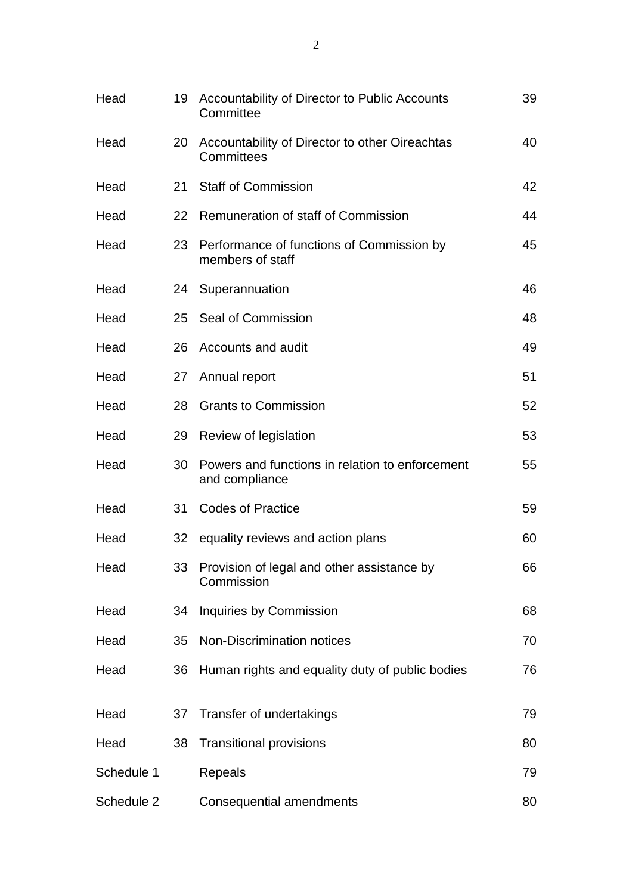| Head       | 19 | Accountability of Director to Public Accounts<br>Committee        | 39 |
|------------|----|-------------------------------------------------------------------|----|
| Head       | 20 | Accountability of Director to other Oireachtas<br>Committees      | 40 |
| Head       | 21 | <b>Staff of Commission</b>                                        | 42 |
| Head       | 22 | Remuneration of staff of Commission                               | 44 |
| Head       | 23 | Performance of functions of Commission by<br>members of staff     | 45 |
| Head       |    | 24 Superannuation                                                 | 46 |
| Head       |    | 25 Seal of Commission                                             | 48 |
| Head       | 26 | Accounts and audit                                                | 49 |
| Head       | 27 | Annual report                                                     | 51 |
| Head       | 28 | <b>Grants to Commission</b>                                       | 52 |
| Head       | 29 | Review of legislation                                             | 53 |
| Head       | 30 | Powers and functions in relation to enforcement<br>and compliance | 55 |
| Head       | 31 | <b>Codes of Practice</b>                                          | 59 |
| Head       |    | 32 equality reviews and action plans                              | 60 |
| Head       |    | 33 Provision of legal and other assistance by<br>Commission       | 66 |
| Head       | 34 | Inquiries by Commission                                           | 68 |
| Head       | 35 | <b>Non-Discrimination notices</b>                                 | 70 |
| Head       | 36 | Human rights and equality duty of public bodies                   | 76 |
| Head       | 37 | Transfer of undertakings                                          | 79 |
| Head       | 38 | <b>Transitional provisions</b>                                    | 80 |
| Schedule 1 |    | Repeals                                                           | 79 |
| Schedule 2 |    | Consequential amendments                                          | 80 |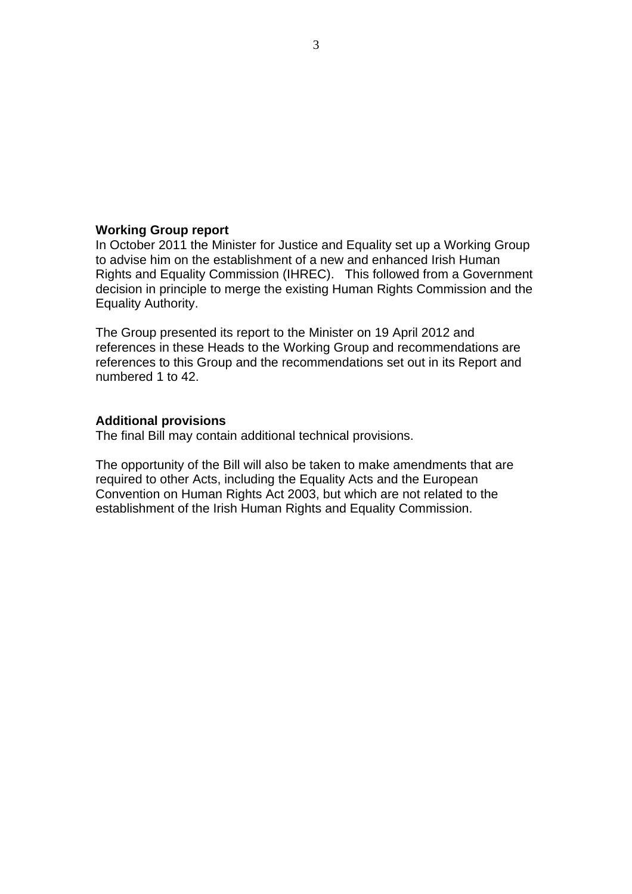#### **Working Group report**

In October 2011 the Minister for Justice and Equality set up a Working Group to advise him on the establishment of a new and enhanced Irish Human Rights and Equality Commission (IHREC). This followed from a Government decision in principle to merge the existing Human Rights Commission and the Equality Authority.

The Group presented its report to the Minister on 19 April 2012 and references in these Heads to the Working Group and recommendations are references to this Group and the recommendations set out in its Report and numbered 1 to 42.

#### **Additional provisions**

The final Bill may contain additional technical provisions.

The opportunity of the Bill will also be taken to make amendments that are required to other Acts, including the Equality Acts and the European Convention on Human Rights Act 2003, but which are not related to the establishment of the Irish Human Rights and Equality Commission.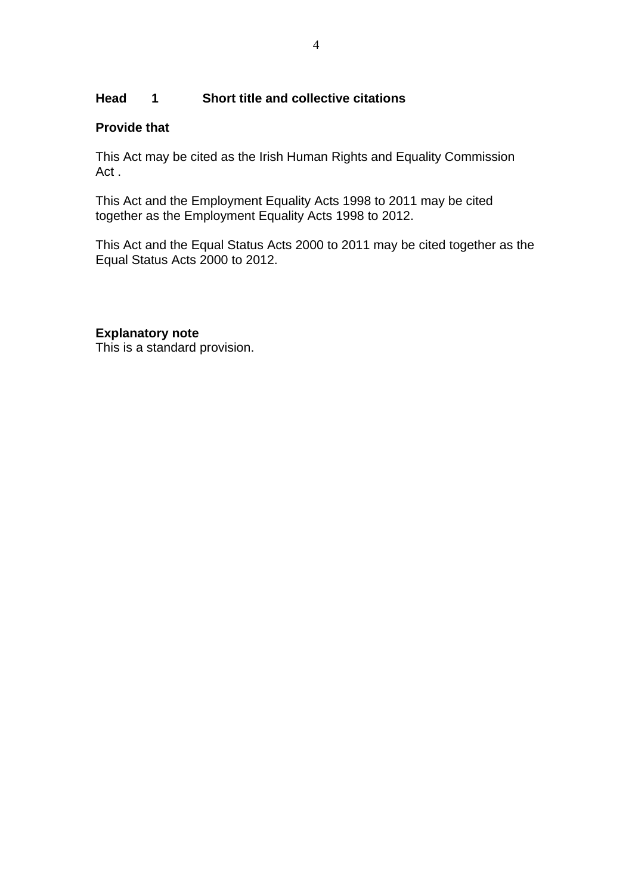# **Head 1 Short title and collective citations**

### **Provide that**

This Act may be cited as the Irish Human Rights and Equality Commission Act .

This Act and the Employment Equality Acts 1998 to 2011 may be cited together as the Employment Equality Acts 1998 to 2012.

This Act and the Equal Status Acts 2000 to 2011 may be cited together as the Equal Status Acts 2000 to 2012.

# **Explanatory note**

This is a standard provision.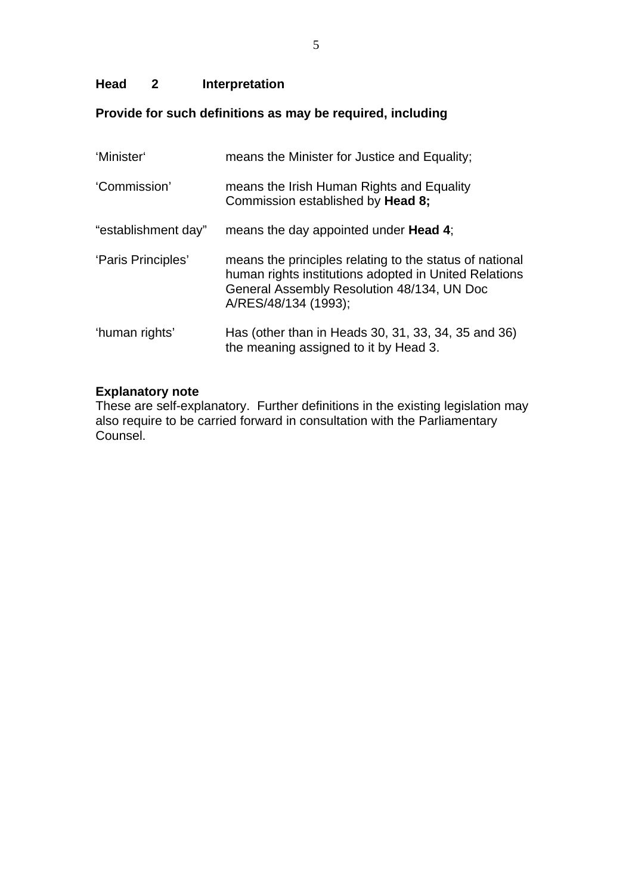# **Head 2 Interpretation**

# **Provide for such definitions as may be required, including**

| 'Minister'          | means the Minister for Justice and Equality;                                                                                                                                           |
|---------------------|----------------------------------------------------------------------------------------------------------------------------------------------------------------------------------------|
| 'Commission'        | means the Irish Human Rights and Equality<br>Commission established by <b>Head 8;</b>                                                                                                  |
| "establishment day" | means the day appointed under <b>Head 4</b> ;                                                                                                                                          |
| 'Paris Principles'  | means the principles relating to the status of national<br>human rights institutions adopted in United Relations<br>General Assembly Resolution 48/134, UN Doc<br>A/RES/48/134 (1993); |
| 'human rights'      | Has (other than in Heads 30, 31, 33, 34, 35 and 36)<br>the meaning assigned to it by Head 3.                                                                                           |

# **Explanatory note**

These are self-explanatory. Further definitions in the existing legislation may also require to be carried forward in consultation with the Parliamentary Counsel.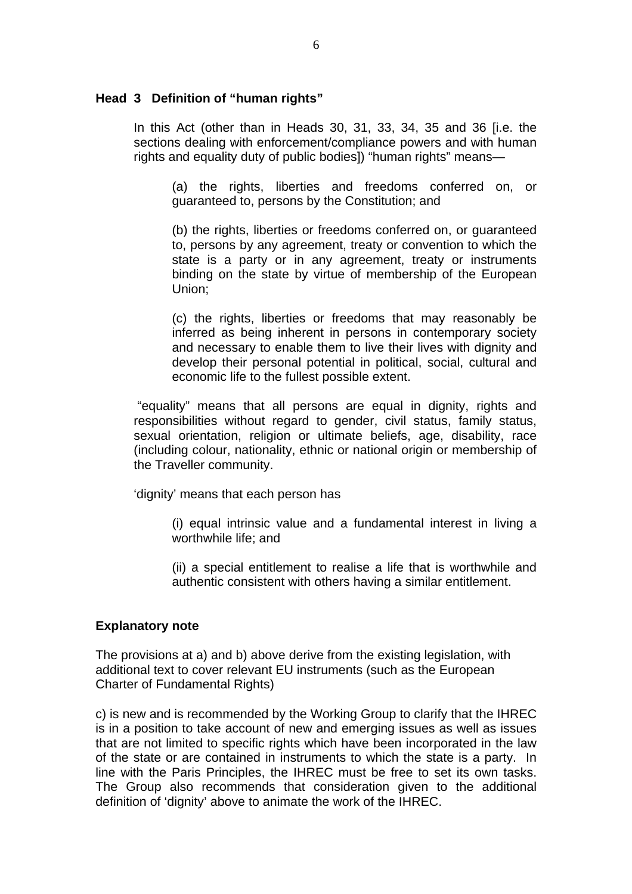#### **Head 3 Definition of "human rights"**

In this Act (other than in Heads 30, 31, 33, 34, 35 and 36 [i.e. the sections dealing with enforcement/compliance powers and with human rights and equality duty of public bodies]) "human rights" means—

(a) the rights, liberties and freedoms conferred on, or guaranteed to, persons by the Constitution; and

(b) the rights, liberties or freedoms conferred on, or guaranteed to, persons by any agreement, treaty or convention to which the state is a party or in any agreement, treaty or instruments binding on the state by virtue of membership of the European Union;

(c) the rights, liberties or freedoms that may reasonably be inferred as being inherent in persons in contemporary society and necessary to enable them to live their lives with dignity and develop their personal potential in political, social, cultural and economic life to the fullest possible extent.

 "equality" means that all persons are equal in dignity, rights and responsibilities without regard to gender, civil status, family status, sexual orientation, religion or ultimate beliefs, age, disability, race (including colour, nationality, ethnic or national origin or membership of the Traveller community.

'dignity' means that each person has

(i) equal intrinsic value and a fundamental interest in living a worthwhile life; and

(ii) a special entitlement to realise a life that is worthwhile and authentic consistent with others having a similar entitlement.

#### **Explanatory note**

The provisions at a) and b) above derive from the existing legislation, with additional text to cover relevant EU instruments (such as the European Charter of Fundamental Rights)

c) is new and is recommended by the Working Group to clarify that the IHREC is in a position to take account of new and emerging issues as well as issues that are not limited to specific rights which have been incorporated in the law of the state or are contained in instruments to which the state is a party. In line with the Paris Principles, the IHREC must be free to set its own tasks. The Group also recommends that consideration given to the additional definition of 'dignity' above to animate the work of the IHREC.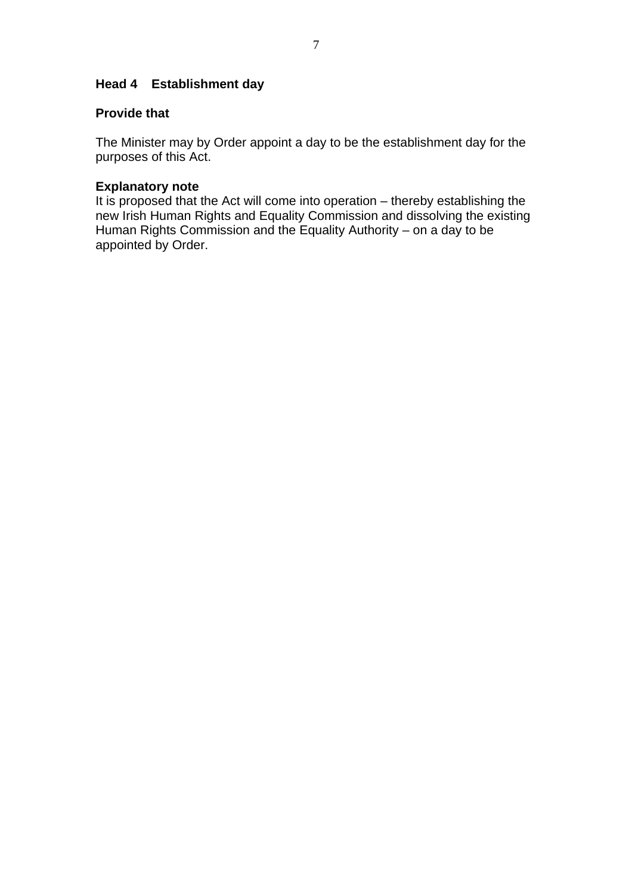# **Head 4 Establishment day**

# **Provide that**

The Minister may by Order appoint a day to be the establishment day for the purposes of this Act.

### **Explanatory note**

It is proposed that the Act will come into operation – thereby establishing the new Irish Human Rights and Equality Commission and dissolving the existing Human Rights Commission and the Equality Authority – on a day to be appointed by Order.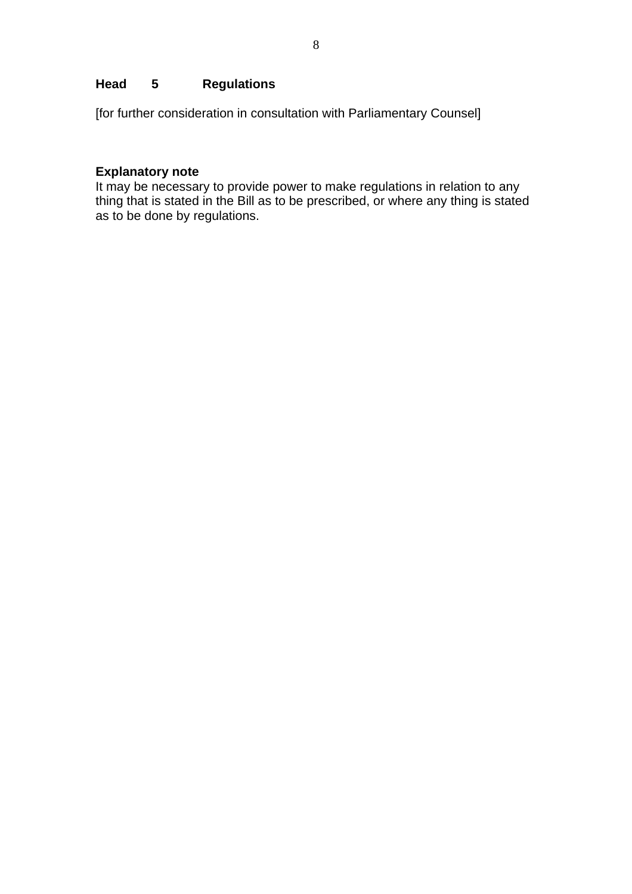# **Head 5 Regulations**

[for further consideration in consultation with Parliamentary Counsel]

# **Explanatory note**

It may be necessary to provide power to make regulations in relation to any thing that is stated in the Bill as to be prescribed, or where any thing is stated as to be done by regulations.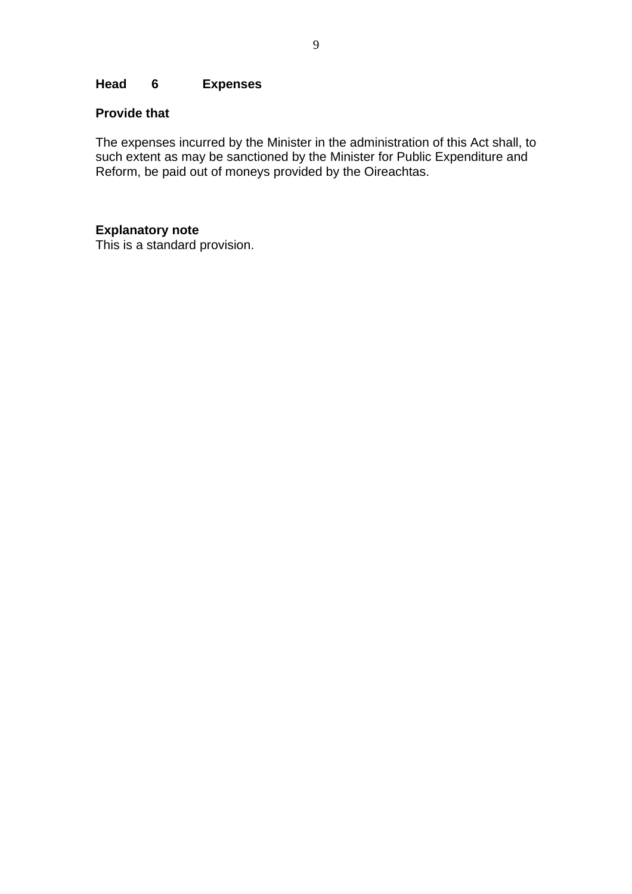### **Head 6 Expenses**

# **Provide that**

The expenses incurred by the Minister in the administration of this Act shall, to such extent as may be sanctioned by the Minister for Public Expenditure and Reform, be paid out of moneys provided by the Oireachtas.

#### **Explanatory note**

This is a standard provision.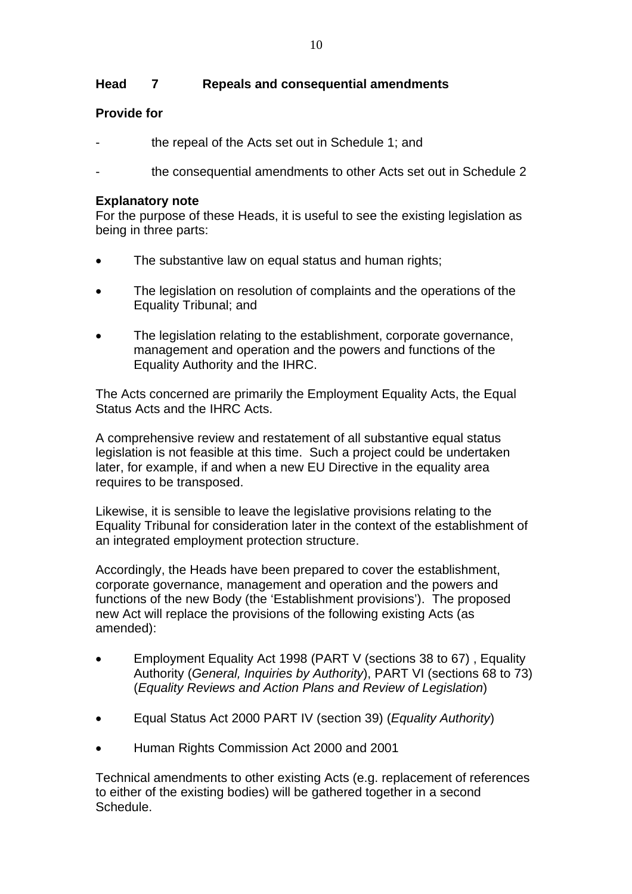# **Head 7 Repeals and consequential amendments**

# **Provide for**

- the repeal of the Acts set out in Schedule 1; and
- the consequential amendments to other Acts set out in Schedule 2

### **Explanatory note**

For the purpose of these Heads, it is useful to see the existing legislation as being in three parts:

- The substantive law on equal status and human rights;
- The legislation on resolution of complaints and the operations of the Equality Tribunal; and
- The legislation relating to the establishment, corporate governance, management and operation and the powers and functions of the Equality Authority and the IHRC.

The Acts concerned are primarily the Employment Equality Acts, the Equal Status Acts and the IHRC Acts.

A comprehensive review and restatement of all substantive equal status legislation is not feasible at this time. Such a project could be undertaken later, for example, if and when a new EU Directive in the equality area requires to be transposed.

Likewise, it is sensible to leave the legislative provisions relating to the Equality Tribunal for consideration later in the context of the establishment of an integrated employment protection structure.

Accordingly, the Heads have been prepared to cover the establishment, corporate governance, management and operation and the powers and functions of the new Body (the 'Establishment provisions'). The proposed new Act will replace the provisions of the following existing Acts (as amended):

- Employment Equality Act 1998 (PART V (sections 38 to 67) , Equality Authority (*General, Inquiries by Authority*), PART VI (sections 68 to 73) (*Equality Reviews and Action Plans and Review of Legislation*)
- Equal Status Act 2000 PART IV (section 39) (*Equality Authority*)
- Human Rights Commission Act 2000 and 2001

Technical amendments to other existing Acts (e.g. replacement of references to either of the existing bodies) will be gathered together in a second Schedule.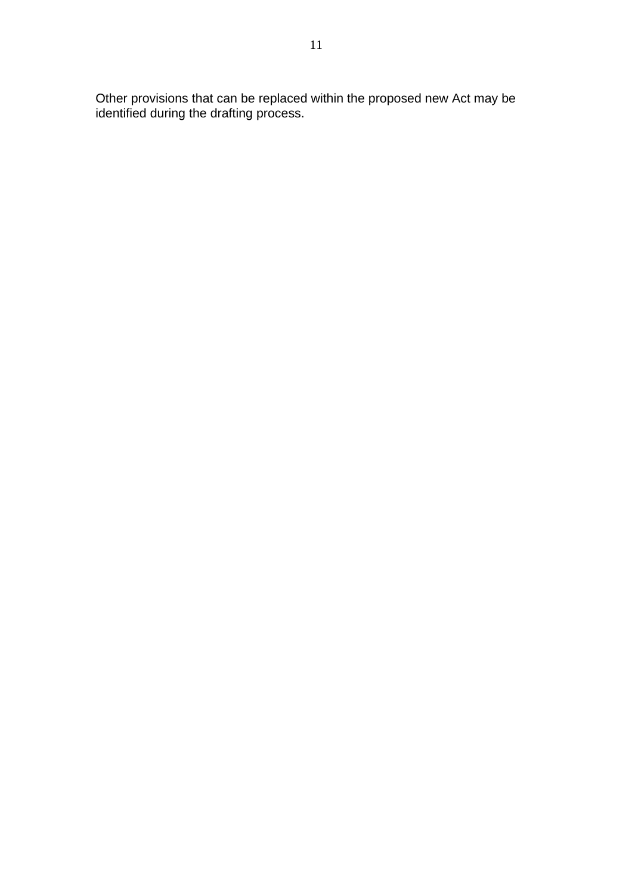Other provisions that can be replaced within the proposed new Act may be identified during the drafting process.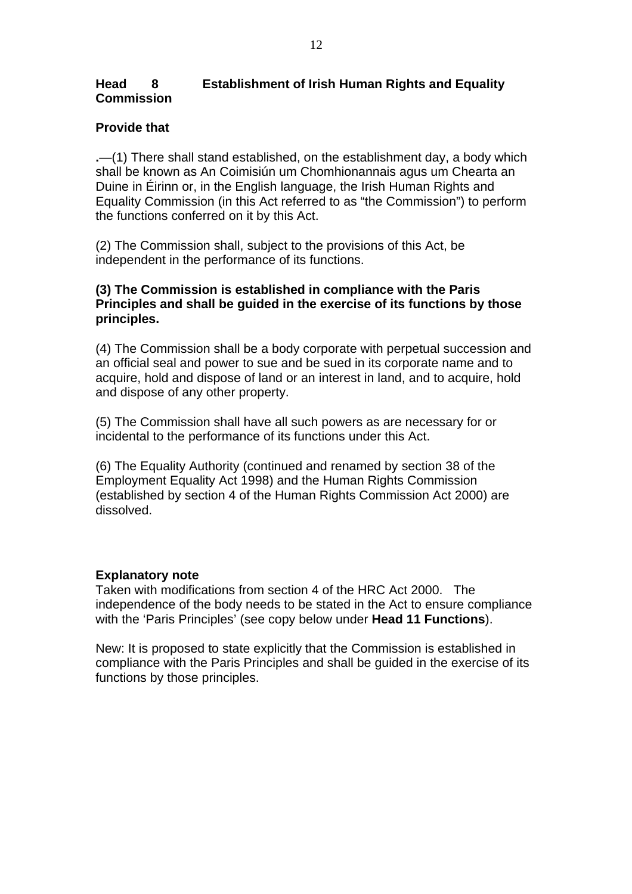# **Head 8 Establishment of Irish Human Rights and Equality Commission**

# **Provide that**

**.**—(1) There shall stand established, on the establishment day, a body which shall be known as An Coimisiún um Chomhionannais agus um Chearta an Duine in Éirinn or, in the English language, the Irish Human Rights and Equality Commission (in this Act referred to as "the Commission") to perform the functions conferred on it by this Act.

(2) The Commission shall, subject to the provisions of this Act, be independent in the performance of its functions.

# **(3) The Commission is established in compliance with the Paris Principles and shall be guided in the exercise of its functions by those principles.**

(4) The Commission shall be a body corporate with perpetual succession and an official seal and power to sue and be sued in its corporate name and to acquire, hold and dispose of land or an interest in land, and to acquire, hold and dispose of any other property.

(5) The Commission shall have all such powers as are necessary for or incidental to the performance of its functions under this Act.

(6) The Equality Authority (continued and renamed by section 38 of the Employment Equality Act 1998) and the Human Rights Commission (established by section 4 of the Human Rights Commission Act 2000) are dissolved.

### **Explanatory note**

Taken with modifications from section 4 of the HRC Act 2000. The independence of the body needs to be stated in the Act to ensure compliance with the 'Paris Principles' (see copy below under **Head 11 Functions**).

New: It is proposed to state explicitly that the Commission is established in compliance with the Paris Principles and shall be guided in the exercise of its functions by those principles.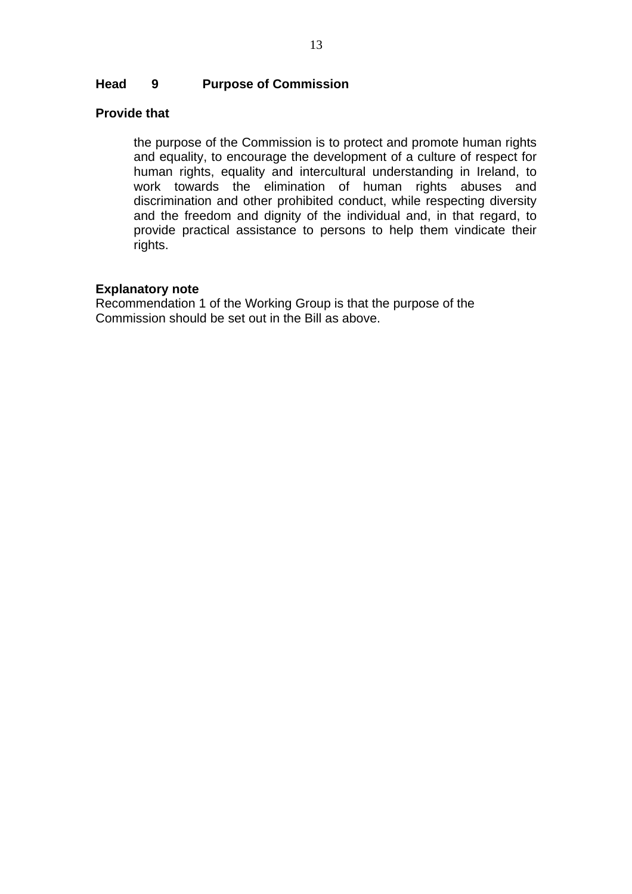### **Head 9 Purpose of Commission**

### **Provide that**

the purpose of the Commission is to protect and promote human rights and equality, to encourage the development of a culture of respect for human rights, equality and intercultural understanding in Ireland, to work towards the elimination of human rights abuses and discrimination and other prohibited conduct, while respecting diversity and the freedom and dignity of the individual and, in that regard, to provide practical assistance to persons to help them vindicate their rights.

#### **Explanatory note**

Recommendation 1 of the Working Group is that the purpose of the Commission should be set out in the Bill as above.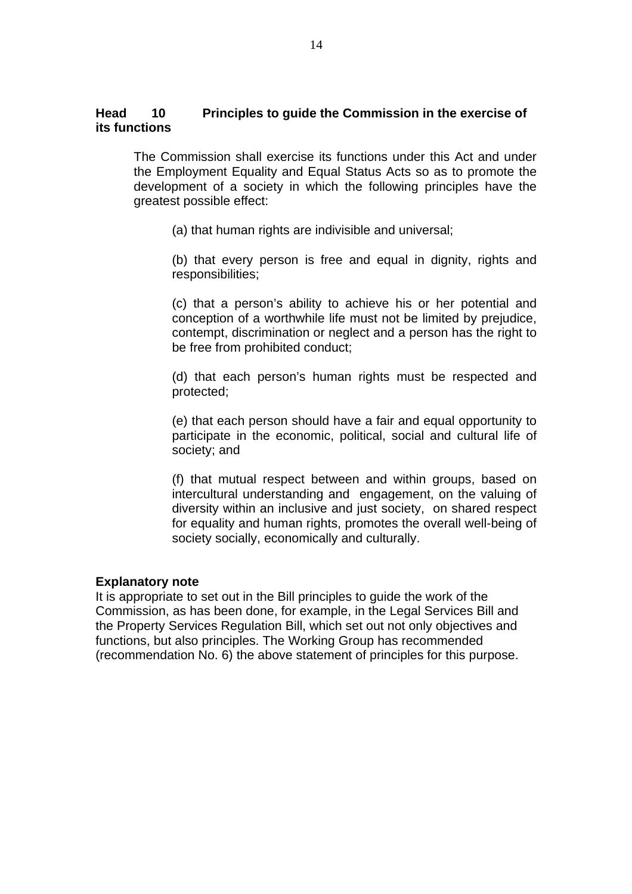# **Head 10 Principles to guide the Commission in the exercise of its functions**

The Commission shall exercise its functions under this Act and under the Employment Equality and Equal Status Acts so as to promote the development of a society in which the following principles have the greatest possible effect:

(a) that human rights are indivisible and universal;

(b) that every person is free and equal in dignity, rights and responsibilities;

(c) that a person's ability to achieve his or her potential and conception of a worthwhile life must not be limited by prejudice, contempt, discrimination or neglect and a person has the right to be free from prohibited conduct;

(d) that each person's human rights must be respected and protected;

(e) that each person should have a fair and equal opportunity to participate in the economic, political, social and cultural life of society; and

(f) that mutual respect between and within groups, based on intercultural understanding and engagement, on the valuing of diversity within an inclusive and just society, on shared respect for equality and human rights, promotes the overall well-being of society socially, economically and culturally.

#### **Explanatory note**

It is appropriate to set out in the Bill principles to guide the work of the Commission, as has been done, for example, in the Legal Services Bill and the Property Services Regulation Bill, which set out not only objectives and functions, but also principles. The Working Group has recommended (recommendation No. 6) the above statement of principles for this purpose.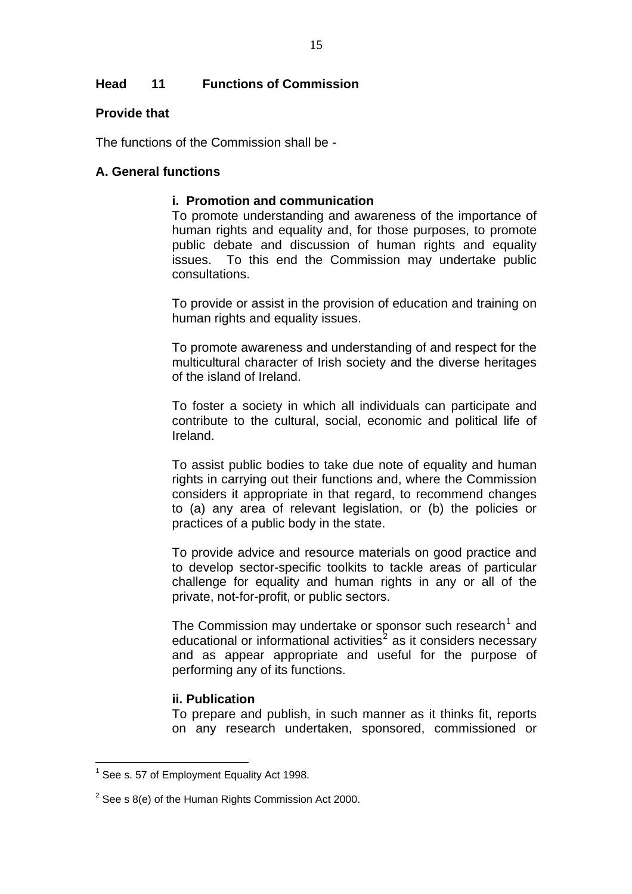# **Head 11 Functions of Commission**

### **Provide that**

The functions of the Commission shall be -

### **A. General functions**

### **i. Promotion and communication**

To promote understanding and awareness of the importance of human rights and equality and, for those purposes, to promote public debate and discussion of human rights and equality issues. To this end the Commission may undertake public consultations.

To provide or assist in the provision of education and training on human rights and equality issues.

To promote awareness and understanding of and respect for the multicultural character of Irish society and the diverse heritages of the island of Ireland.

To foster a society in which all individuals can participate and contribute to the cultural, social, economic and political life of Ireland.

To assist public bodies to take due note of equality and human rights in carrying out their functions and, where the Commission considers it appropriate in that regard, to recommend changes to (a) any area of relevant legislation, or (b) the policies or practices of a public body in the state.

To provide advice and resource materials on good practice and to develop sector-specific toolkits to tackle areas of particular challenge for equality and human rights in any or all of the private, not-for-profit, or public sectors.

The Commission may undertake or sponsor such research<sup>[1](#page-14-0)</sup> and educational or informational activities<sup>[2](#page-14-1)</sup> as it considers necessary and as appear appropriate and useful for the purpose of performing any of its functions.

### **ii. Publication**

To prepare and publish, in such manner as it thinks fit, reports on any research undertaken, sponsored, commissioned or

<span id="page-14-0"></span> 1 See s. 57 of Employment Equality Act 1998.

<span id="page-14-1"></span> $2$  See s 8(e) of the Human Rights Commission Act 2000.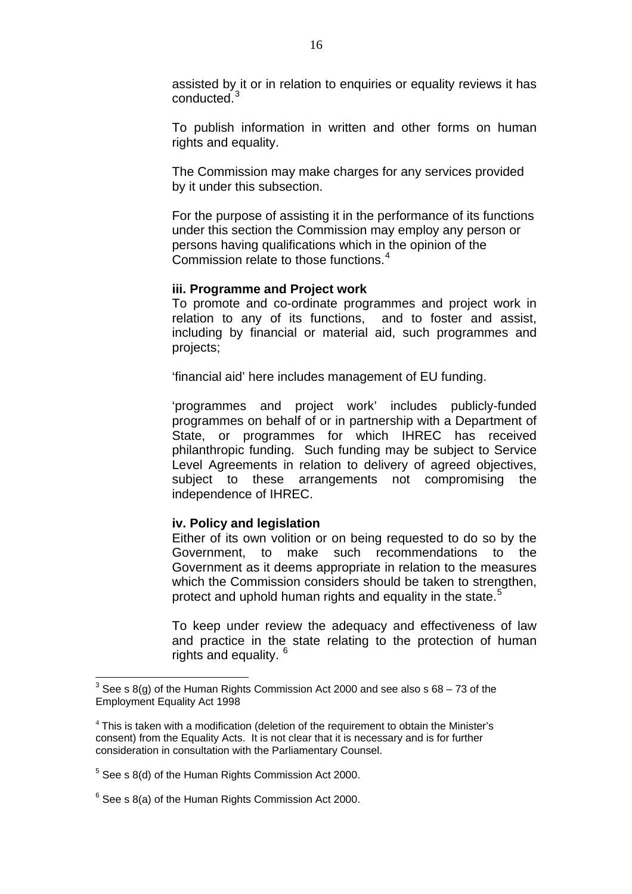assisted by it or in relation to enquiries or equality reviews it has conducted.[3](#page-15-0)

To publish information in written and other forms on human rights and equality.

The Commission may make charges for any services provided by it under this subsection.

For the purpose of assisting it in the performance of its functions under this section the Commission may employ any person or persons having qualifications which in the opinion of the Commission relate to those functions.<sup>[4](#page-15-1)</sup>

#### **iii. Programme and Project work**

To promote and co-ordinate programmes and project work in relation to any of its functions, and to foster and assist, including by financial or material aid, such programmes and projects;

'financial aid' here includes management of EU funding.

'programmes and project work' includes publicly-funded programmes on behalf of or in partnership with a Department of State, or programmes for which IHREC has received philanthropic funding. Such funding may be subject to Service Level Agreements in relation to delivery of agreed objectives, subject to these arrangements not compromising the independence of IHREC.

#### **iv. Policy and legislation**

Either of its own volition or on being requested to do so by the Government, to make such recommendations to the Government as it deems appropriate in relation to the measures which the Commission considers should be taken to strengthen, protect and uphold human rights and equality in the state.<sup>[5](#page-15-2)</sup>

To keep under review the adequacy and effectiveness of law and practice in the state relating to the protection of human rights and equality. <sup>[6](#page-15-3)</sup>

 $\overline{a}$ 

<span id="page-15-0"></span><sup>&</sup>lt;sup>3</sup> See s 8(g) of the Human Rights Commission Act 2000 and see also s 68 – 73 of the Employment Equality Act 1998

<span id="page-15-1"></span><sup>&</sup>lt;sup>4</sup> This is taken with a modification (deletion of the requirement to obtain the Minister's consent) from the Equality Acts. It is not clear that it is necessary and is for further consideration in consultation with the Parliamentary Counsel.

<span id="page-15-2"></span> $5$  See s 8(d) of the Human Rights Commission Act 2000.

<span id="page-15-3"></span> $6$  See s 8(a) of the Human Rights Commission Act 2000.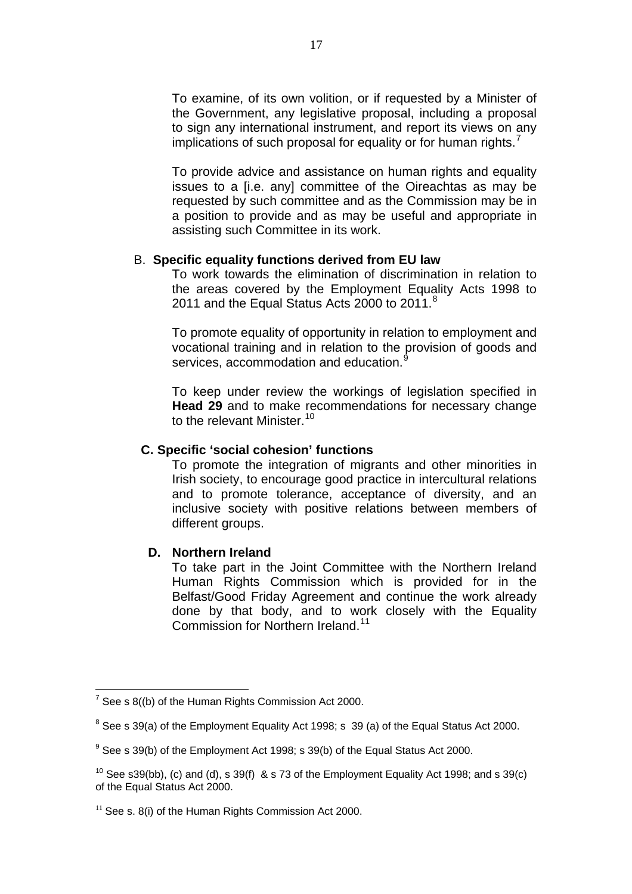To examine, of its own volition, or if requested by a Minister of the Government, any legislative proposal, including a proposal to sign any international instrument, and report its views on any implications of such proposal for equality or for human rights.<sup>[7](#page-16-0)</sup>

To provide advice and assistance on human rights and equality issues to a [i.e. any] committee of the Oireachtas as may be requested by such committee and as the Commission may be in a position to provide and as may be useful and appropriate in assisting such Committee in its work.

#### B. **Specific equality functions derived from EU law**

To work towards the elimination of discrimination in relation to the areas covered by the Employment Equality Acts 1998 to 2011 and the Equal Status Acts 2000 to 2011.<sup>[8](#page-16-1)</sup>

To promote equality of opportunity in relation to employment and vocational training and in relation to the provision of goods and services, accommodation and education.<sup>[9](#page-16-2)</sup>

To keep under review the workings of legislation specified in **Head 29** and to make recommendations for necessary change to the relevant Minister.<sup>[10](#page-16-3)</sup>

### **C. Specific 'social cohesion' functions**

To promote the integration of migrants and other minorities in Irish society, to encourage good practice in intercultural relations and to promote tolerance, acceptance of diversity, and an inclusive society with positive relations between members of different groups.

### **D. Northern Ireland**

To take part in the Joint Committee with the Northern Ireland Human Rights Commission which is provided for in the Belfast/Good Friday Agreement and continue the work already done by that body, and to work closely with the Equality Commission for Northern Ireland.<sup>[11](#page-16-4)</sup>

 $\overline{a}$ 

<span id="page-16-0"></span> $7$  See s 8((b) of the Human Rights Commission Act 2000.

<span id="page-16-1"></span> $8$  See s 39(a) of the Employment Equality Act 1998; s 39 (a) of the Equal Status Act 2000.

<span id="page-16-2"></span> $9$  See s 39(b) of the Employment Act 1998; s 39(b) of the Equal Status Act 2000.

<span id="page-16-3"></span><sup>&</sup>lt;sup>10</sup> See s39(bb), (c) and (d), s 39(f) & s 73 of the Employment Equality Act 1998; and s 39(c) of the Equal Status Act 2000.

<span id="page-16-4"></span> $11$  See s. 8(i) of the Human Rights Commission Act 2000.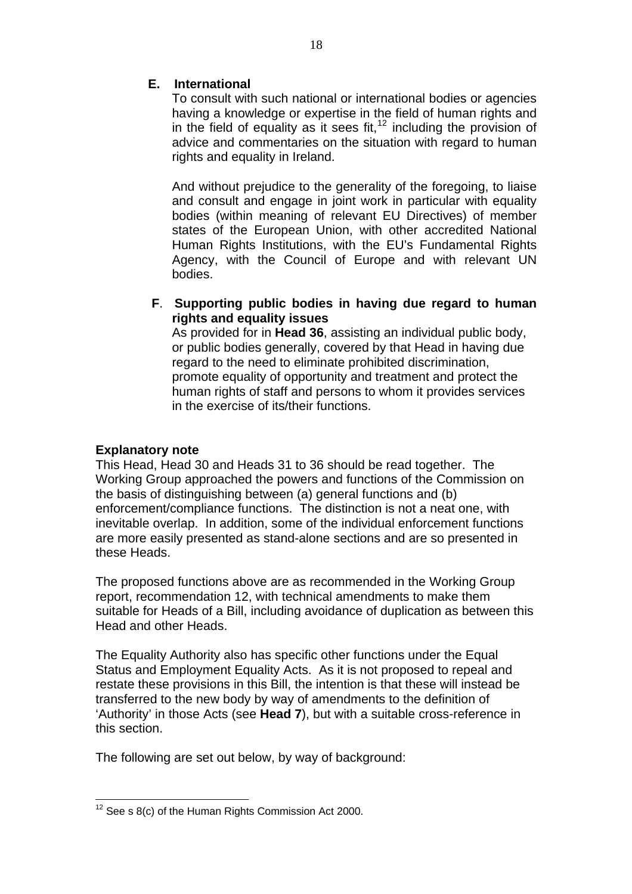# **E. International**

To consult with such national or international bodies or agencies having a knowledge or expertise in the field of human rights and in the field of equality as it sees fit,  $12$  including the provision of advice and commentaries on the situation with regard to human rights and equality in Ireland.

And without prejudice to the generality of the foregoing, to liaise and consult and engage in joint work in particular with equality bodies (within meaning of relevant EU Directives) of member states of the European Union, with other accredited National Human Rights Institutions, with the EU's Fundamental Rights Agency, with the Council of Europe and with relevant UN bodies.

 **F**. **Supporting public bodies in having due regard to human rights and equality issues**

As provided for in **Head 36**, assisting an individual public body, or public bodies generally, covered by that Head in having due regard to the need to eliminate prohibited discrimination, promote equality of opportunity and treatment and protect the human rights of staff and persons to whom it provides services in the exercise of its/their functions.

# **Explanatory note**

This Head, Head 30 and Heads 31 to 36 should be read together. The Working Group approached the powers and functions of the Commission on the basis of distinguishing between (a) general functions and (b) enforcement/compliance functions. The distinction is not a neat one, with inevitable overlap. In addition, some of the individual enforcement functions are more easily presented as stand-alone sections and are so presented in these Heads.

The proposed functions above are as recommended in the Working Group report, recommendation 12, with technical amendments to make them suitable for Heads of a Bill, including avoidance of duplication as between this Head and other Heads.

The Equality Authority also has specific other functions under the Equal Status and Employment Equality Acts. As it is not proposed to repeal and restate these provisions in this Bill, the intention is that these will instead be transferred to the new body by way of amendments to the definition of 'Authority' in those Acts (see **Head 7**), but with a suitable cross-reference in this section.

The following are set out below, by way of background:

<span id="page-17-0"></span> $\overline{a}$  $12$  See s 8(c) of the Human Rights Commission Act 2000.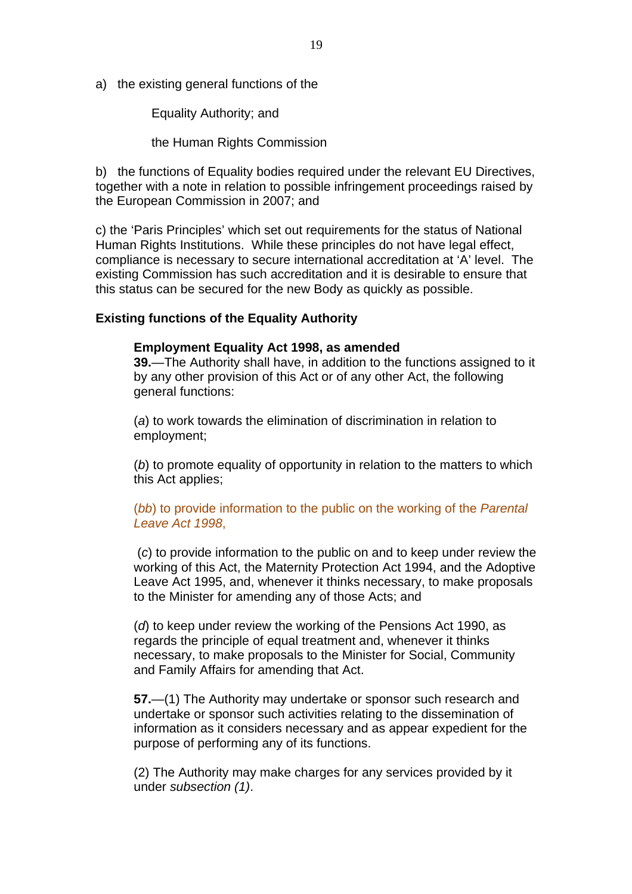a) the existing general functions of the

Equality Authority; and

the Human Rights Commission

b) the functions of Equality bodies required under the relevant EU Directives, together with a note in relation to possible infringement proceedings raised by the European Commission in 2007; and

c) the 'Paris Principles' which set out requirements for the status of National Human Rights Institutions. While these principles do not have legal effect, compliance is necessary to secure international accreditation at 'A' level. The existing Commission has such accreditation and it is desirable to ensure that this status can be secured for the new Body as quickly as possible.

### **Existing functions of the Equality Authority**

#### **Employment Equality Act 1998, as amended**

**39.**—The Authority shall have, in addition to the functions assigned to it by any other provision of this Act or of any other Act, the following general functions:

(*a*) to work towards the elimination of discrimination in relation to employment;

(*b*) to promote equality of opportunity in relation to the matters to which this Act applies;

(*bb*) to provide information to the public on the working of the *Parental Leave Act 1998*,

 (*c*) to provide information to the public on and to keep under review the working of this Act, the Maternity Protection Act 1994, and the Adoptive Leave Act 1995, and, whenever it thinks necessary, to make proposals to the Minister for amending any of those Acts; and

(*d*) to keep under review the working of the Pensions Act 1990, as regards the principle of equal treatment and, whenever it thinks necessary, to make proposals to the Minister for Social, Community and Family Affairs for amending that Act.

**57.**—(1) The Authority may undertake or sponsor such research and undertake or sponsor such activities relating to the dissemination of information as it considers necessary and as appear expedient for the purpose of performing any of its functions.

(2) The Authority may make charges for any services provided by it under *subsection (1)*.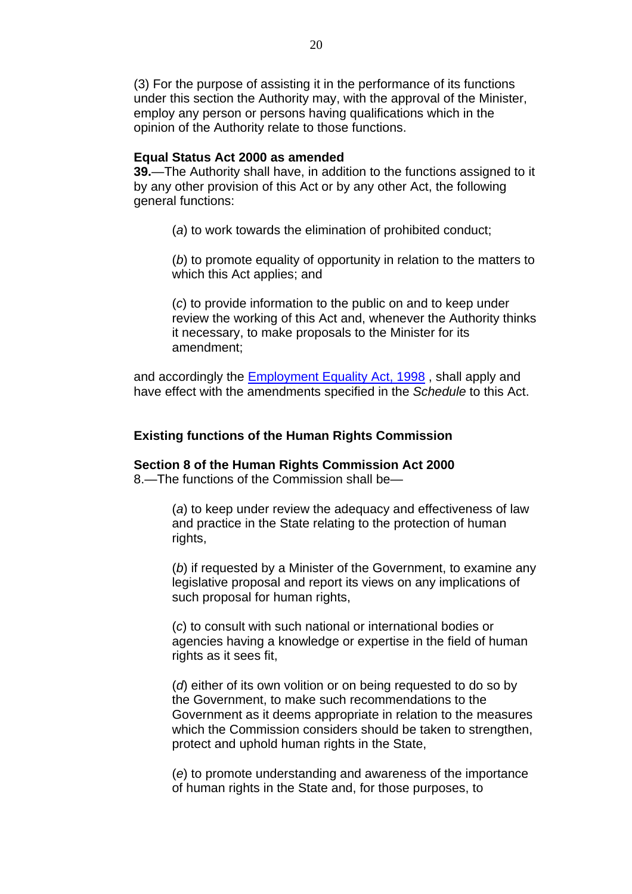(3) For the purpose of assisting it in the performance of its functions under this section the Authority may, with the approval of the Minister, employ any person or persons having qualifications which in the opinion of the Authority relate to those functions.

#### **Equal Status Act 2000 as amended**

**39.**—The Authority shall have, in addition to the functions assigned to it by any other provision of this Act or by any other Act, the following general functions:

(*a*) to work towards the elimination of prohibited conduct;

(*b*) to promote equality of opportunity in relation to the matters to which this Act applies; and

(*c*) to provide information to the public on and to keep under review the working of this Act and, whenever the Authority thinks it necessary, to make proposals to the Minister for its amendment;

and accordingly the [Employment Equality Act, 1998](http://www.irishstatutebook.ie/1998/en/act/pub/0021/index.html) , shall apply and have effect with the amendments specified in the *Schedule* to this Act.

### **Existing functions of the Human Rights Commission**

**Section 8 of the Human Rights Commission Act 2000**  8.—The functions of the Commission shall be—

> (*a*) to keep under review the adequacy and effectiveness of law and practice in the State relating to the protection of human rights,

(*b*) if requested by a Minister of the Government, to examine any legislative proposal and report its views on any implications of such proposal for human rights,

(*c*) to consult with such national or international bodies or agencies having a knowledge or expertise in the field of human rights as it sees fit,

(*d*) either of its own volition or on being requested to do so by the Government, to make such recommendations to the Government as it deems appropriate in relation to the measures which the Commission considers should be taken to strengthen, protect and uphold human rights in the State,

(*e*) to promote understanding and awareness of the importance of human rights in the State and, for those purposes, to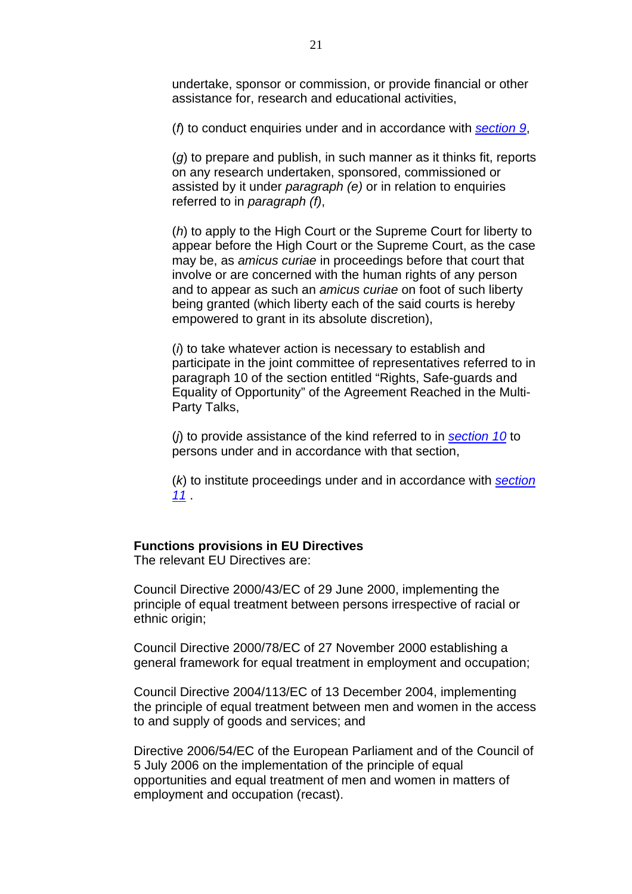undertake, sponsor or commission, or provide financial or other assistance for, research and educational activities,

(*f*) to conduct enquiries under and in accordance with *[section 9](http://www.irishstatutebook.ie/2000/en/act/pub/0009/sec0009.html#sec9)*,

(*g*) to prepare and publish, in such manner as it thinks fit, reports on any research undertaken, sponsored, commissioned or assisted by it under *paragraph (e)* or in relation to enquiries referred to in *paragraph (f)*,

(*h*) to apply to the High Court or the Supreme Court for liberty to appear before the High Court or the Supreme Court, as the case may be, as *amicus curiae* in proceedings before that court that involve or are concerned with the human rights of any person and to appear as such an *amicus curiae* on foot of such liberty being granted (which liberty each of the said courts is hereby empowered to grant in its absolute discretion),

(*i*) to take whatever action is necessary to establish and participate in the joint committee of representatives referred to in paragraph 10 of the section entitled "Rights, Safe-guards and Equality of Opportunity" of the Agreement Reached in the Multi-Party Talks,

(*j*) to provide assistance of the kind referred to in *[section 10](http://www.irishstatutebook.ie/2000/en/act/pub/0009/sec0010.html#sec10)* to persons under and in accordance with that section,

(*k*) to institute proceedings under and in accordance with *[section](http://www.irishstatutebook.ie/2000/en/act/pub/0009/sec0011.html#sec11)  [11](http://www.irishstatutebook.ie/2000/en/act/pub/0009/sec0011.html#sec11)* .

#### **Functions provisions in EU Directives**

The relevant EU Directives are:

Council Directive 2000/43/EC of 29 June 2000, implementing the principle of equal treatment between persons irrespective of racial or ethnic origin;

Council Directive 2000/78/EC of 27 November 2000 establishing a general framework for equal treatment in employment and occupation;

Council Directive 2004/113/EC of 13 December 2004, implementing the principle of equal treatment between men and women in the access to and supply of goods and services; and

Directive 2006/54/EC of the European Parliament and of the Council of 5 July 2006 on the implementation of the principle of equal opportunities and equal treatment of men and women in matters of employment and occupation (recast).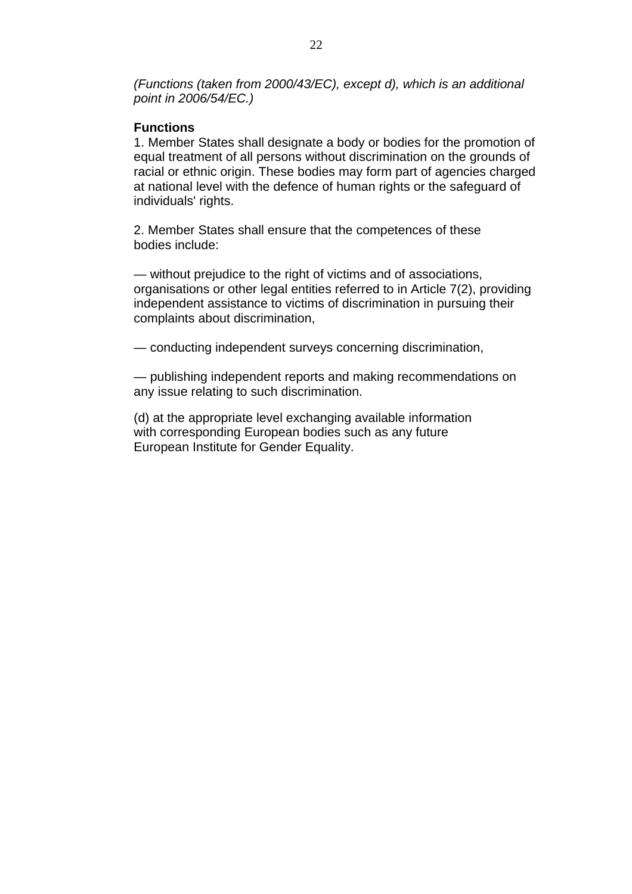*(Functions (taken from 2000/43/EC), except d), which is an additional point in 2006/54/EC.)* 

# **Functions**

1. Member States shall designate a body or bodies for the promotion of equal treatment of all persons without discrimination on the grounds of racial or ethnic origin. These bodies may form part of agencies charged at national level with the defence of human rights or the safeguard of individuals' rights.

2. Member States shall ensure that the competences of these bodies include:

— without prejudice to the right of victims and of associations, organisations or other legal entities referred to in Article 7(2), providing independent assistance to victims of discrimination in pursuing their complaints about discrimination,

— conducting independent surveys concerning discrimination,

— publishing independent reports and making recommendations on any issue relating to such discrimination.

(d) at the appropriate level exchanging available information with corresponding European bodies such as any future European Institute for Gender Equality.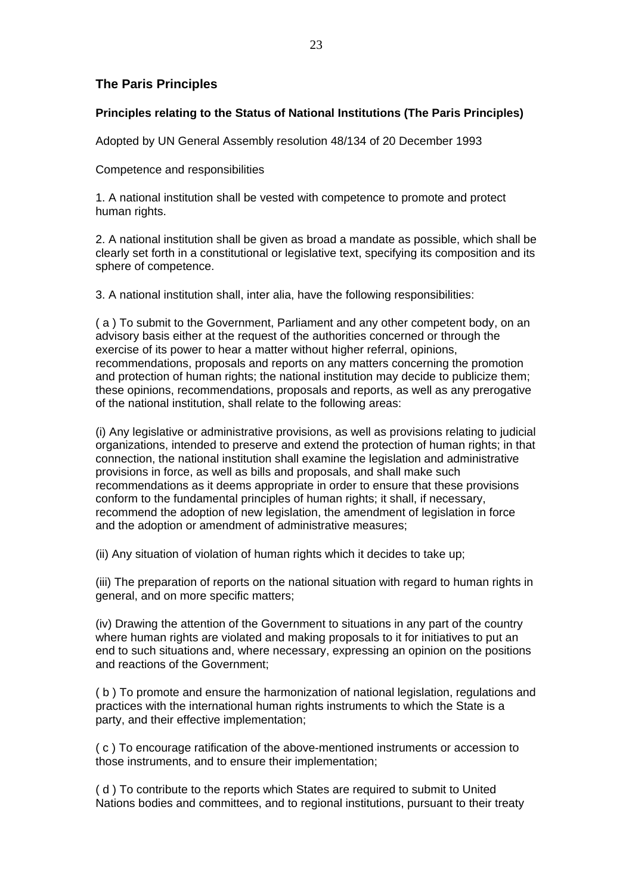# **The Paris Principles**

#### **Principles relating to the Status of National Institutions (The Paris Principles)**

Adopted by UN General Assembly resolution 48/134 of 20 December 1993

Competence and responsibilities

1. A national institution shall be vested with competence to promote and protect human rights.

2. A national institution shall be given as broad a mandate as possible, which shall be clearly set forth in a constitutional or legislative text, specifying its composition and its sphere of competence.

3. A national institution shall, inter alia, have the following responsibilities:

( a ) To submit to the Government, Parliament and any other competent body, on an advisory basis either at the request of the authorities concerned or through the exercise of its power to hear a matter without higher referral, opinions, recommendations, proposals and reports on any matters concerning the promotion and protection of human rights; the national institution may decide to publicize them; these opinions, recommendations, proposals and reports, as well as any prerogative of the national institution, shall relate to the following areas:

(i) Any legislative or administrative provisions, as well as provisions relating to judicial organizations, intended to preserve and extend the protection of human rights; in that connection, the national institution shall examine the legislation and administrative provisions in force, as well as bills and proposals, and shall make such recommendations as it deems appropriate in order to ensure that these provisions conform to the fundamental principles of human rights; it shall, if necessary, recommend the adoption of new legislation, the amendment of legislation in force and the adoption or amendment of administrative measures;

(ii) Any situation of violation of human rights which it decides to take up;

(iii) The preparation of reports on the national situation with regard to human rights in general, and on more specific matters;

(iv) Drawing the attention of the Government to situations in any part of the country where human rights are violated and making proposals to it for initiatives to put an end to such situations and, where necessary, expressing an opinion on the positions and reactions of the Government;

( b ) To promote and ensure the harmonization of national legislation, regulations and practices with the international human rights instruments to which the State is a party, and their effective implementation;

( c ) To encourage ratification of the above-mentioned instruments or accession to those instruments, and to ensure their implementation;

( d ) To contribute to the reports which States are required to submit to United Nations bodies and committees, and to regional institutions, pursuant to their treaty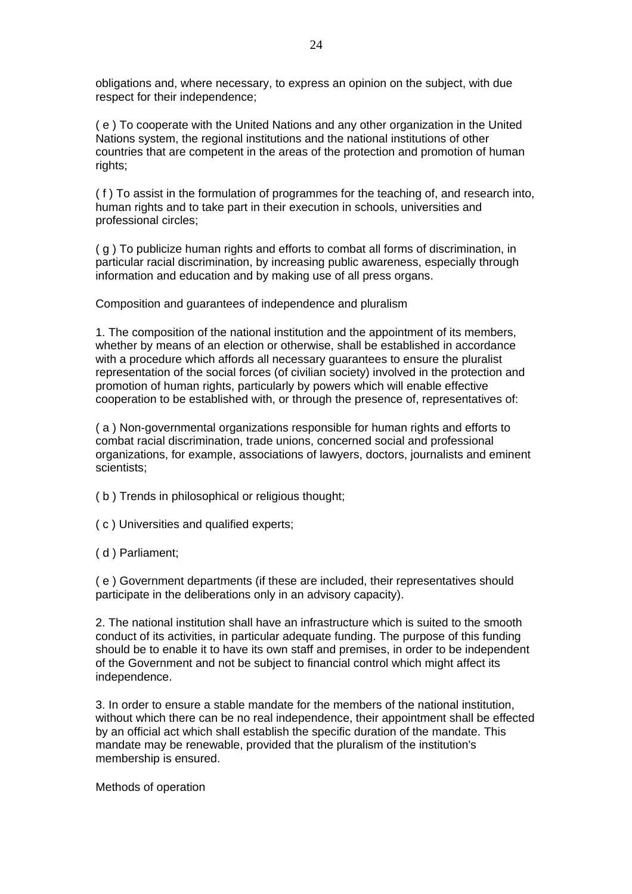obligations and, where necessary, to express an opinion on the subject, with due respect for their independence;

( e ) To cooperate with the United Nations and any other organization in the United Nations system, the regional institutions and the national institutions of other countries that are competent in the areas of the protection and promotion of human rights;

( f ) To assist in the formulation of programmes for the teaching of, and research into, human rights and to take part in their execution in schools, universities and professional circles;

( g ) To publicize human rights and efforts to combat all forms of discrimination, in particular racial discrimination, by increasing public awareness, especially through information and education and by making use of all press organs.

Composition and guarantees of independence and pluralism

1. The composition of the national institution and the appointment of its members, whether by means of an election or otherwise, shall be established in accordance with a procedure which affords all necessary guarantees to ensure the pluralist representation of the social forces (of civilian society) involved in the protection and promotion of human rights, particularly by powers which will enable effective cooperation to be established with, or through the presence of, representatives of:

( a ) Non-governmental organizations responsible for human rights and efforts to combat racial discrimination, trade unions, concerned social and professional organizations, for example, associations of lawyers, doctors, journalists and eminent scientists;

( b ) Trends in philosophical or religious thought;

( c ) Universities and qualified experts;

( d ) Parliament;

( e ) Government departments (if these are included, their representatives should participate in the deliberations only in an advisory capacity).

2. The national institution shall have an infrastructure which is suited to the smooth conduct of its activities, in particular adequate funding. The purpose of this funding should be to enable it to have its own staff and premises, in order to be independent of the Government and not be subject to financial control which might affect its independence.

3. In order to ensure a stable mandate for the members of the national institution, without which there can be no real independence, their appointment shall be effected by an official act which shall establish the specific duration of the mandate. This mandate may be renewable, provided that the pluralism of the institution's membership is ensured.

Methods of operation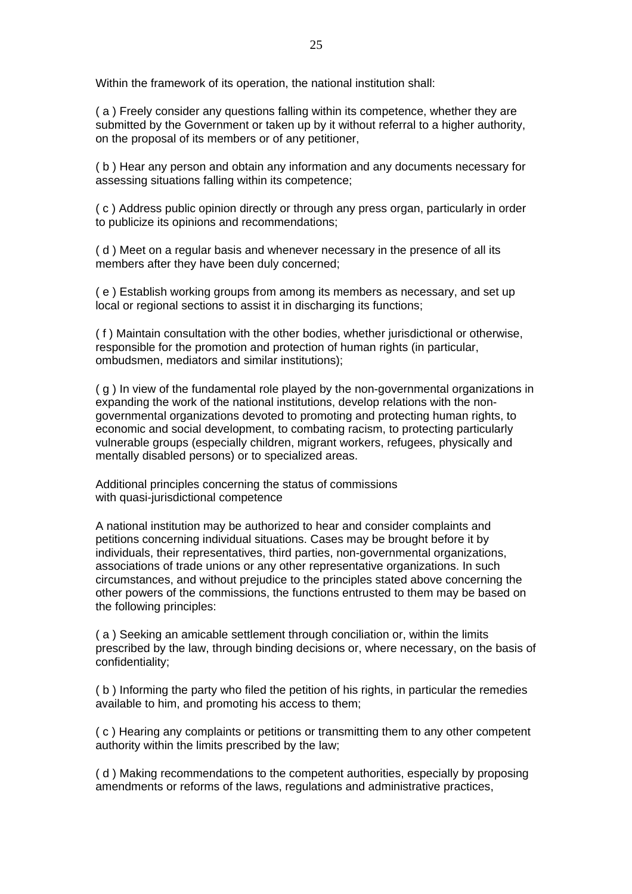Within the framework of its operation, the national institution shall:

( a ) Freely consider any questions falling within its competence, whether they are submitted by the Government or taken up by it without referral to a higher authority, on the proposal of its members or of any petitioner,

( b ) Hear any person and obtain any information and any documents necessary for assessing situations falling within its competence;

( c ) Address public opinion directly or through any press organ, particularly in order to publicize its opinions and recommendations;

( d ) Meet on a regular basis and whenever necessary in the presence of all its members after they have been duly concerned;

( e ) Establish working groups from among its members as necessary, and set up local or regional sections to assist it in discharging its functions;

( f ) Maintain consultation with the other bodies, whether jurisdictional or otherwise, responsible for the promotion and protection of human rights (in particular, ombudsmen, mediators and similar institutions);

( g ) In view of the fundamental role played by the non-governmental organizations in expanding the work of the national institutions, develop relations with the nongovernmental organizations devoted to promoting and protecting human rights, to economic and social development, to combating racism, to protecting particularly vulnerable groups (especially children, migrant workers, refugees, physically and mentally disabled persons) or to specialized areas.

Additional principles concerning the status of commissions with quasi-jurisdictional competence

A national institution may be authorized to hear and consider complaints and petitions concerning individual situations. Cases may be brought before it by individuals, their representatives, third parties, non-governmental organizations, associations of trade unions or any other representative organizations. In such circumstances, and without prejudice to the principles stated above concerning the other powers of the commissions, the functions entrusted to them may be based on the following principles:

( a ) Seeking an amicable settlement through conciliation or, within the limits prescribed by the law, through binding decisions or, where necessary, on the basis of confidentiality;

( b ) Informing the party who filed the petition of his rights, in particular the remedies available to him, and promoting his access to them;

( c ) Hearing any complaints or petitions or transmitting them to any other competent authority within the limits prescribed by the law;

( d ) Making recommendations to the competent authorities, especially by proposing amendments or reforms of the laws, regulations and administrative practices,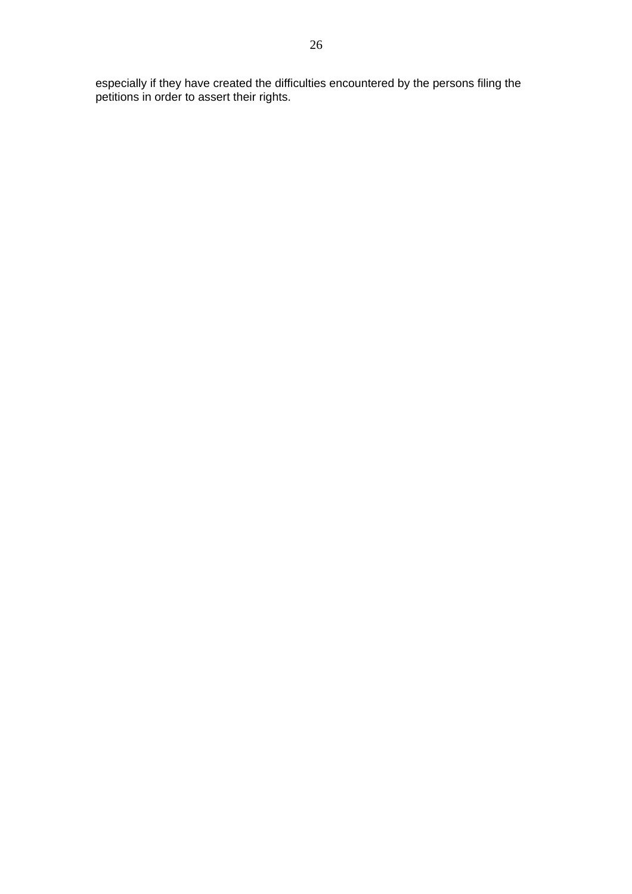especially if they have created the difficulties encountered by the persons filing the petitions in order to assert their rights.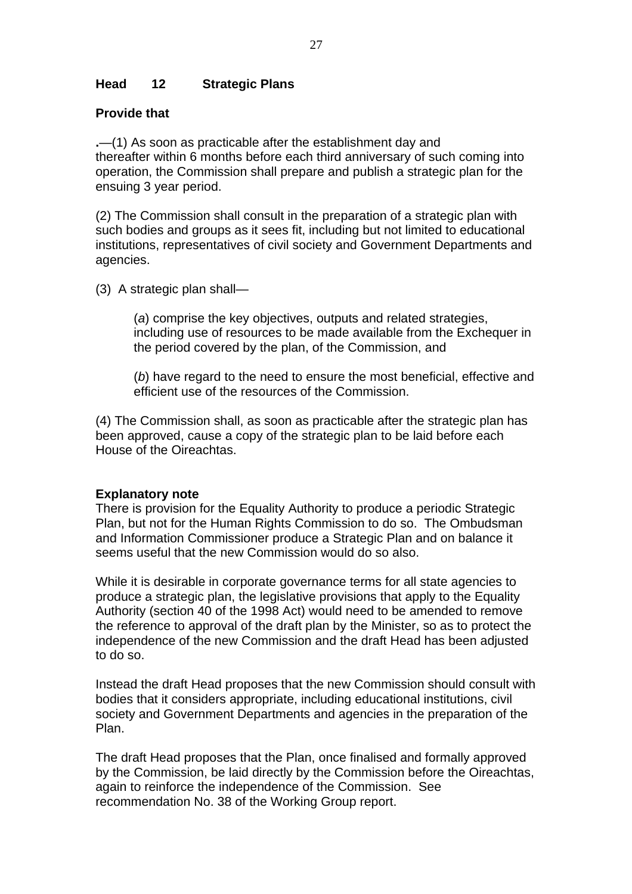# **Head 12 Strategic Plans**

### **Provide that**

**.**—(1) As soon as practicable after the establishment day and thereafter within 6 months before each third anniversary of such coming into operation, the Commission shall prepare and publish a strategic plan for the ensuing 3 year period.

(2) The Commission shall consult in the preparation of a strategic plan with such bodies and groups as it sees fit, including but not limited to educational institutions, representatives of civil society and Government Departments and agencies.

(3) A strategic plan shall—

(*a*) comprise the key objectives, outputs and related strategies, including use of resources to be made available from the Exchequer in the period covered by the plan, of the Commission, and

(*b*) have regard to the need to ensure the most beneficial, effective and efficient use of the resources of the Commission.

(4) The Commission shall, as soon as practicable after the strategic plan has been approved, cause a copy of the strategic plan to be laid before each House of the Oireachtas.

#### **Explanatory note**

There is provision for the Equality Authority to produce a periodic Strategic Plan, but not for the Human Rights Commission to do so. The Ombudsman and Information Commissioner produce a Strategic Plan and on balance it seems useful that the new Commission would do so also.

While it is desirable in corporate governance terms for all state agencies to produce a strategic plan, the legislative provisions that apply to the Equality Authority (section 40 of the 1998 Act) would need to be amended to remove the reference to approval of the draft plan by the Minister, so as to protect the independence of the new Commission and the draft Head has been adjusted to do so.

Instead the draft Head proposes that the new Commission should consult with bodies that it considers appropriate, including educational institutions, civil society and Government Departments and agencies in the preparation of the Plan.

The draft Head proposes that the Plan, once finalised and formally approved by the Commission, be laid directly by the Commission before the Oireachtas, again to reinforce the independence of the Commission. See recommendation No. 38 of the Working Group report.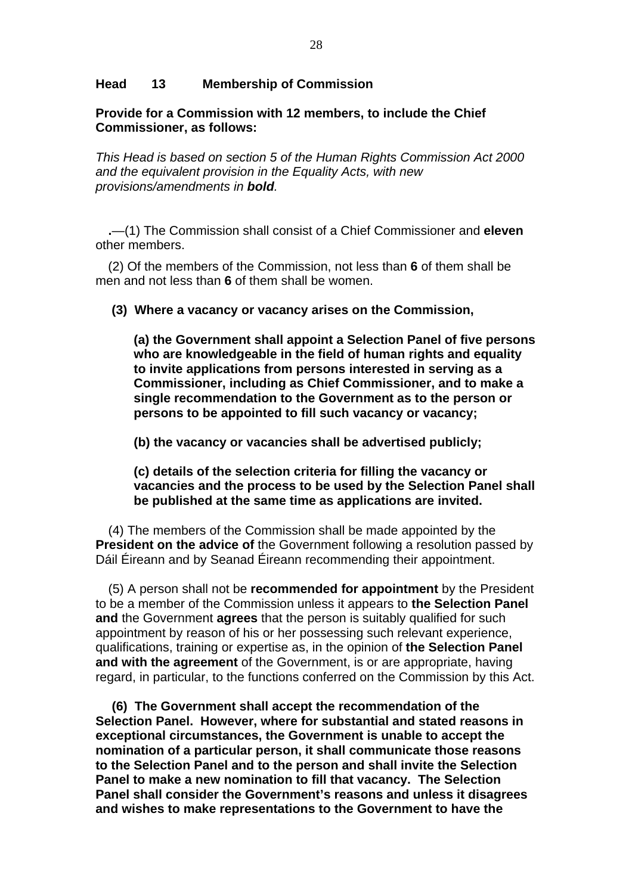### **Head 13 Membership of Commission**

**Provide for a Commission with 12 members, to include the Chief Commissioner, as follows:** 

*This Head is based on section 5 of the Human Rights Commission Act 2000 and the equivalent provision in the Equality Acts, with new provisions/amendments in bold.* 

**.**—(1) The Commission shall consist of a Chief Commissioner and **eleven** other members.

(2) Of the members of the Commission, not less than **6** of them shall be men and not less than **6** of them shall be women.

 **(3) Where a vacancy or vacancy arises on the Commission,** 

**(a) the Government shall appoint a Selection Panel of five persons who are knowledgeable in the field of human rights and equality to invite applications from persons interested in serving as a Commissioner, including as Chief Commissioner, and to make a single recommendation to the Government as to the person or persons to be appointed to fill such vacancy or vacancy;** 

**(b) the vacancy or vacancies shall be advertised publicly;** 

**(c) details of the selection criteria for filling the vacancy or vacancies and the process to be used by the Selection Panel shall be published at the same time as applications are invited.** 

(4) The members of the Commission shall be made appointed by the **President on the advice of** the Government following a resolution passed by Dáil Éireann and by Seanad Éireann recommending their appointment.

(5) A person shall not be **recommended for appointment** by the President to be a member of the Commission unless it appears to **the Selection Panel and** the Government **agrees** that the person is suitably qualified for such appointment by reason of his or her possessing such relevant experience, qualifications, training or expertise as, in the opinion of **the Selection Panel and with the agreement** of the Government, is or are appropriate, having regard, in particular, to the functions conferred on the Commission by this Act.

**(6) The Government shall accept the recommendation of the Selection Panel. However, where for substantial and stated reasons in exceptional circumstances, the Government is unable to accept the nomination of a particular person, it shall communicate those reasons to the Selection Panel and to the person and shall invite the Selection Panel to make a new nomination to fill that vacancy. The Selection Panel shall consider the Government's reasons and unless it disagrees and wishes to make representations to the Government to have the**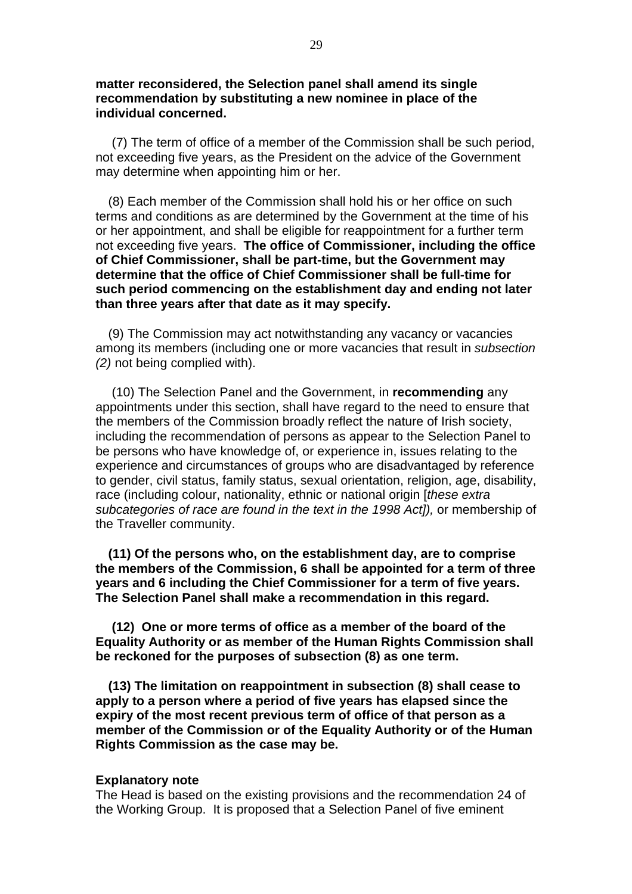**matter reconsidered, the Selection panel shall amend its single recommendation by substituting a new nominee in place of the individual concerned.**

 (7) The term of office of a member of the Commission shall be such period, not exceeding five years, as the President on the advice of the Government may determine when appointing him or her.

(8) Each member of the Commission shall hold his or her office on such terms and conditions as are determined by the Government at the time of his or her appointment, and shall be eligible for reappointment for a further term not exceeding five years. **The office of Commissioner, including the office of Chief Commissioner, shall be part-time, but the Government may determine that the office of Chief Commissioner shall be full-time for such period commencing on the establishment day and ending not later than three years after that date as it may specify.**

(9) The Commission may act notwithstanding any vacancy or vacancies among its members (including one or more vacancies that result in *subsection (2)* not being complied with).

 (10) The Selection Panel and the Government, in **recommending** any appointments under this section, shall have regard to the need to ensure that the members of the Commission broadly reflect the nature of Irish society, including the recommendation of persons as appear to the Selection Panel to be persons who have knowledge of, or experience in, issues relating to the experience and circumstances of groups who are disadvantaged by reference to gender, civil status, family status, sexual orientation, religion, age, disability, race (including colour, nationality, ethnic or national origin [*these extra subcategories of race are found in the text in the 1998 Act]),* or membership of the Traveller community.

**(11) Of the persons who, on the establishment day, are to comprise the members of the Commission, 6 shall be appointed for a term of three years and 6 including the Chief Commissioner for a term of five years. The Selection Panel shall make a recommendation in this regard.** 

 **(12) One or more terms of office as a member of the board of the Equality Authority or as member of the Human Rights Commission shall be reckoned for the purposes of subsection (8) as one term.** 

**(13) The limitation on reappointment in subsection (8) shall cease to apply to a person where a period of five years has elapsed since the expiry of the most recent previous term of office of that person as a member of the Commission or of the Equality Authority or of the Human Rights Commission as the case may be.** 

#### **Explanatory note**

The Head is based on the existing provisions and the recommendation 24 of the Working Group. It is proposed that a Selection Panel of five eminent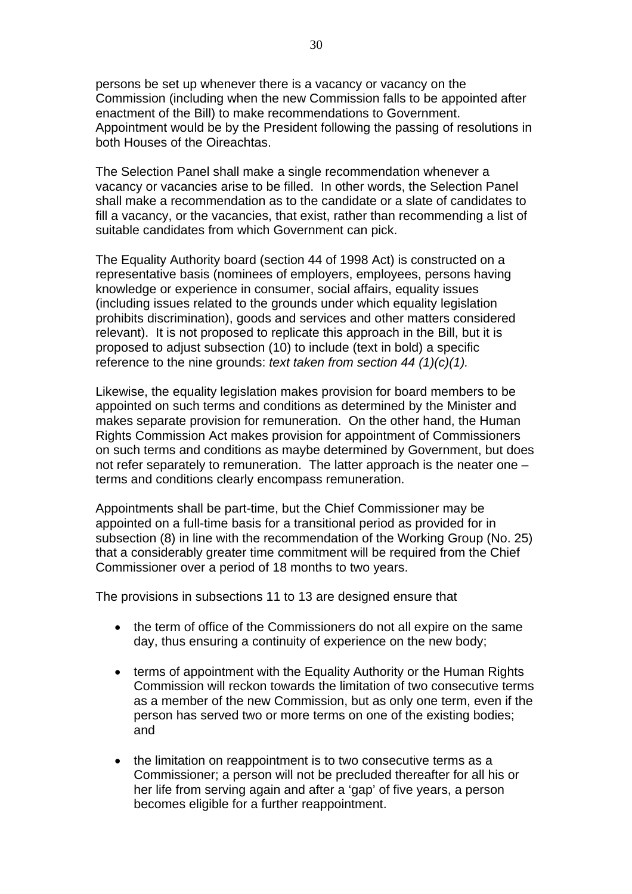persons be set up whenever there is a vacancy or vacancy on the Commission (including when the new Commission falls to be appointed after enactment of the Bill) to make recommendations to Government. Appointment would be by the President following the passing of resolutions in both Houses of the Oireachtas.

The Selection Panel shall make a single recommendation whenever a vacancy or vacancies arise to be filled. In other words, the Selection Panel shall make a recommendation as to the candidate or a slate of candidates to fill a vacancy, or the vacancies, that exist, rather than recommending a list of suitable candidates from which Government can pick.

The Equality Authority board (section 44 of 1998 Act) is constructed on a representative basis (nominees of employers, employees, persons having knowledge or experience in consumer, social affairs, equality issues (including issues related to the grounds under which equality legislation prohibits discrimination), goods and services and other matters considered relevant). It is not proposed to replicate this approach in the Bill, but it is proposed to adjust subsection (10) to include (text in bold) a specific reference to the nine grounds: *text taken from section 44 (1)(c)(1).*

Likewise, the equality legislation makes provision for board members to be appointed on such terms and conditions as determined by the Minister and makes separate provision for remuneration. On the other hand, the Human Rights Commission Act makes provision for appointment of Commissioners on such terms and conditions as maybe determined by Government, but does not refer separately to remuneration. The latter approach is the neater one – terms and conditions clearly encompass remuneration.

Appointments shall be part-time, but the Chief Commissioner may be appointed on a full-time basis for a transitional period as provided for in subsection (8) in line with the recommendation of the Working Group (No. 25) that a considerably greater time commitment will be required from the Chief Commissioner over a period of 18 months to two years.

The provisions in subsections 11 to 13 are designed ensure that

- the term of office of the Commissioners do not all expire on the same day, thus ensuring a continuity of experience on the new body;
- terms of appointment with the Equality Authority or the Human Rights Commission will reckon towards the limitation of two consecutive terms as a member of the new Commission, but as only one term, even if the person has served two or more terms on one of the existing bodies; and
- the limitation on reappointment is to two consecutive terms as a Commissioner; a person will not be precluded thereafter for all his or her life from serving again and after a 'gap' of five years, a person becomes eligible for a further reappointment.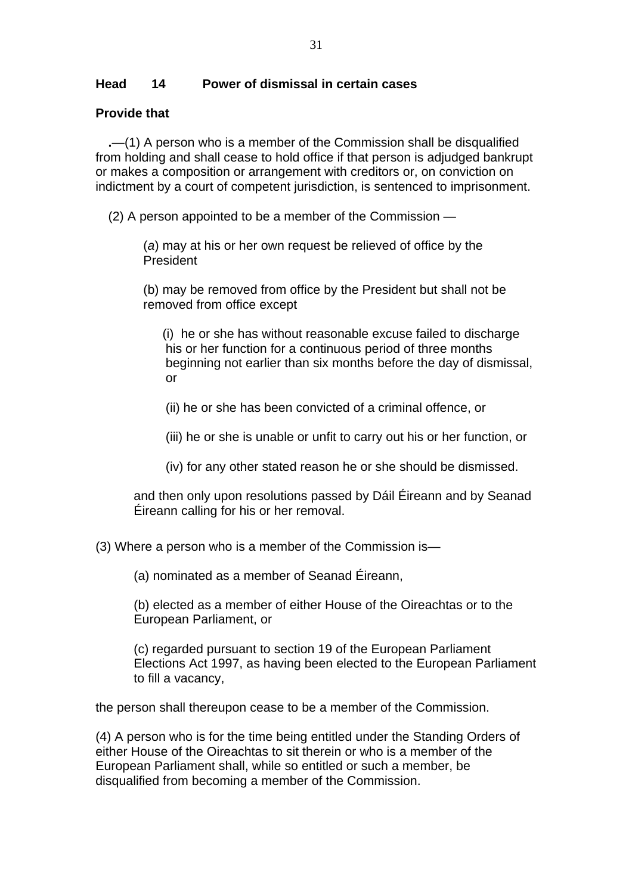# **Head 14 Power of dismissal in certain cases**

# **Provide that**

**.**—(1) A person who is a member of the Commission shall be disqualified from holding and shall cease to hold office if that person is adjudged bankrupt or makes a composition or arrangement with creditors or, on conviction on indictment by a court of competent jurisdiction, is sentenced to imprisonment.

(2) A person appointed to be a member of the Commission —

(*a*) may at his or her own request be relieved of office by the President

(b) may be removed from office by the President but shall not be removed from office except

(i) he or she has without reasonable excuse failed to discharge his or her function for a continuous period of three months beginning not earlier than six months before the day of dismissal, or

- (ii) he or she has been convicted of a criminal offence, or
- (iii) he or she is unable or unfit to carry out his or her function, or
- (iv) for any other stated reason he or she should be dismissed.

and then only upon resolutions passed by Dáil Éireann and by Seanad Éireann calling for his or her removal.

(3) Where a person who is a member of the Commission is—

(a) nominated as a member of Seanad Éireann,

(b) elected as a member of either House of the Oireachtas or to the European Parliament, or

(c) regarded pursuant to section 19 of the European Parliament Elections Act 1997, as having been elected to the European Parliament to fill a vacancy,

the person shall thereupon cease to be a member of the Commission.

(4) A person who is for the time being entitled under the Standing Orders of either House of the Oireachtas to sit therein or who is a member of the European Parliament shall, while so entitled or such a member, be disqualified from becoming a member of the Commission.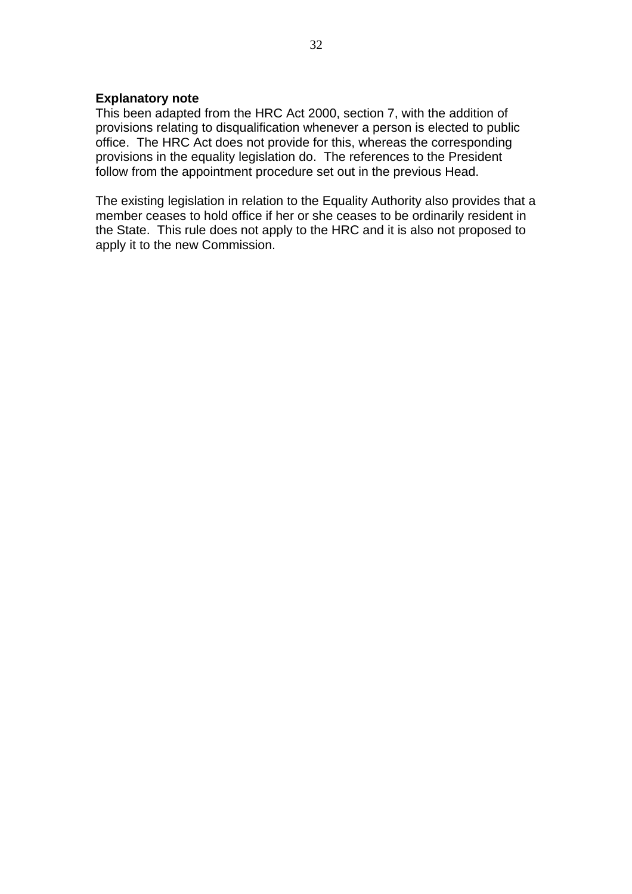#### **Explanatory note**

This been adapted from the HRC Act 2000, section 7, with the addition of provisions relating to disqualification whenever a person is elected to public office. The HRC Act does not provide for this, whereas the corresponding provisions in the equality legislation do. The references to the President follow from the appointment procedure set out in the previous Head.

The existing legislation in relation to the Equality Authority also provides that a member ceases to hold office if her or she ceases to be ordinarily resident in the State. This rule does not apply to the HRC and it is also not proposed to apply it to the new Commission.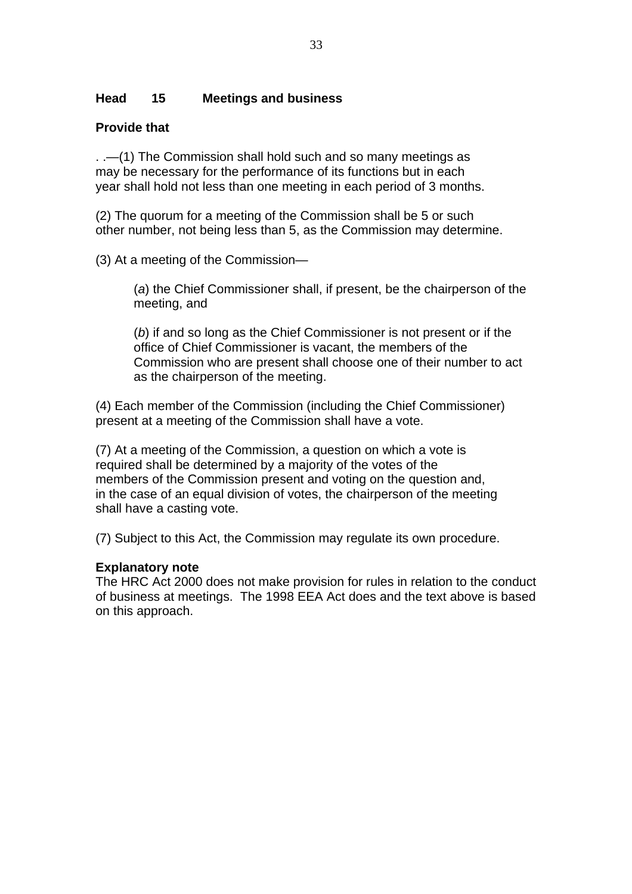# **Head 15 Meetings and business**

# **Provide that**

. .—(1) The Commission shall hold such and so many meetings as may be necessary for the performance of its functions but in each year shall hold not less than one meeting in each period of 3 months.

(2) The quorum for a meeting of the Commission shall be 5 or such other number, not being less than 5, as the Commission may determine.

(3) At a meeting of the Commission—

(*a*) the Chief Commissioner shall, if present, be the chairperson of the meeting, and

(*b*) if and so long as the Chief Commissioner is not present or if the office of Chief Commissioner is vacant, the members of the Commission who are present shall choose one of their number to act as the chairperson of the meeting.

(4) Each member of the Commission (including the Chief Commissioner) present at a meeting of the Commission shall have a vote.

(7) At a meeting of the Commission, a question on which a vote is required shall be determined by a majority of the votes of the members of the Commission present and voting on the question and, in the case of an equal division of votes, the chairperson of the meeting shall have a casting vote.

(7) Subject to this Act, the Commission may regulate its own procedure.

# **Explanatory note**

The HRC Act 2000 does not make provision for rules in relation to the conduct of business at meetings. The 1998 EEA Act does and the text above is based on this approach.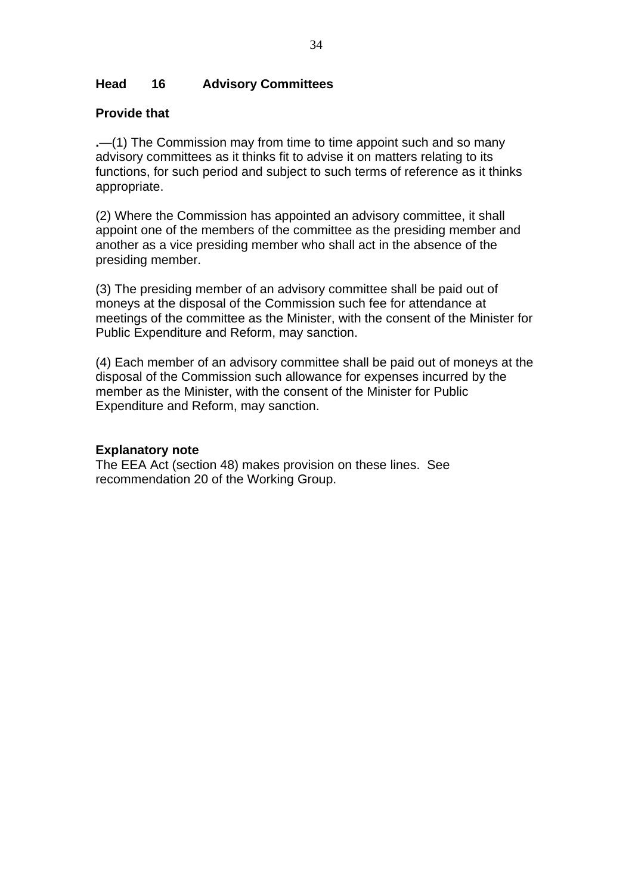# **Head 16 Advisory Committees**

# **Provide that**

**.**—(1) The Commission may from time to time appoint such and so many advisory committees as it thinks fit to advise it on matters relating to its functions, for such period and subject to such terms of reference as it thinks appropriate.

(2) Where the Commission has appointed an advisory committee, it shall appoint one of the members of the committee as the presiding member and another as a vice presiding member who shall act in the absence of the presiding member.

(3) The presiding member of an advisory committee shall be paid out of moneys at the disposal of the Commission such fee for attendance at meetings of the committee as the Minister, with the consent of the Minister for Public Expenditure and Reform, may sanction.

(4) Each member of an advisory committee shall be paid out of moneys at the disposal of the Commission such allowance for expenses incurred by the member as the Minister, with the consent of the Minister for Public Expenditure and Reform, may sanction.

### **Explanatory note**

The EEA Act (section 48) makes provision on these lines. See recommendation 20 of the Working Group.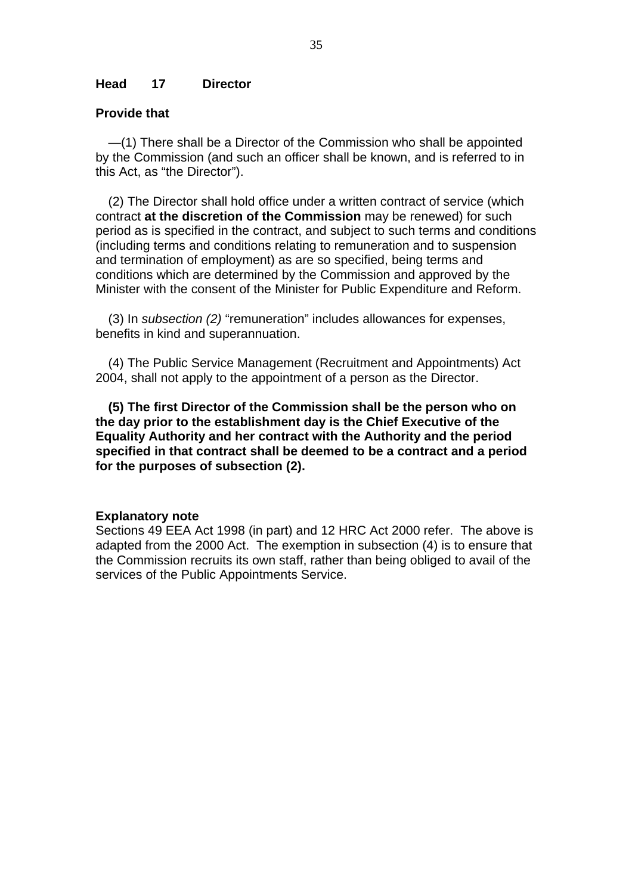#### **Head 17 Director**

#### **Provide that**

—(1) There shall be a Director of the Commission who shall be appointed by the Commission (and such an officer shall be known, and is referred to in this Act, as "the Director").

(2) The Director shall hold office under a written contract of service (which contract **at the discretion of the Commission** may be renewed) for such period as is specified in the contract, and subject to such terms and conditions (including terms and conditions relating to remuneration and to suspension and termination of employment) as are so specified, being terms and conditions which are determined by the Commission and approved by the Minister with the consent of the Minister for Public Expenditure and Reform.

(3) In *subsection (2)* "remuneration" includes allowances for expenses, benefits in kind and superannuation.

(4) The Public Service Management (Recruitment and Appointments) Act 2004, shall not apply to the appointment of a person as the Director.

**(5) The first Director of the Commission shall be the person who on the day prior to the establishment day is the Chief Executive of the Equality Authority and her contract with the Authority and the period specified in that contract shall be deemed to be a contract and a period for the purposes of subsection (2).** 

#### **Explanatory note**

Sections 49 EEA Act 1998 (in part) and 12 HRC Act 2000 refer. The above is adapted from the 2000 Act. The exemption in subsection (4) is to ensure that the Commission recruits its own staff, rather than being obliged to avail of the services of the Public Appointments Service.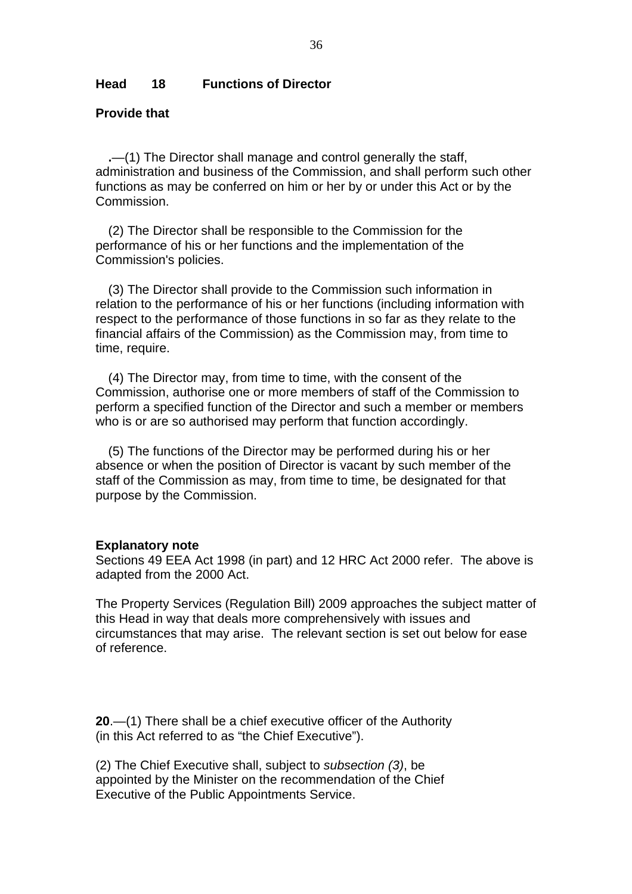#### **Head 18 Functions of Director**

### **Provide that**

**.**—(1) The Director shall manage and control generally the staff, administration and business of the Commission, and shall perform such other functions as may be conferred on him or her by or under this Act or by the Commission.

(2) The Director shall be responsible to the Commission for the performance of his or her functions and the implementation of the Commission's policies.

(3) The Director shall provide to the Commission such information in relation to the performance of his or her functions (including information with respect to the performance of those functions in so far as they relate to the financial affairs of the Commission) as the Commission may, from time to time, require.

(4) The Director may, from time to time, with the consent of the Commission, authorise one or more members of staff of the Commission to perform a specified function of the Director and such a member or members who is or are so authorised may perform that function accordingly.

(5) The functions of the Director may be performed during his or her absence or when the position of Director is vacant by such member of the staff of the Commission as may, from time to time, be designated for that purpose by the Commission.

#### **Explanatory note**

Sections 49 EEA Act 1998 (in part) and 12 HRC Act 2000 refer. The above is adapted from the 2000 Act.

The Property Services (Regulation Bill) 2009 approaches the subject matter of this Head in way that deals more comprehensively with issues and circumstances that may arise. The relevant section is set out below for ease of reference.

**20**.—(1) There shall be a chief executive officer of the Authority (in this Act referred to as "the Chief Executive").

(2) The Chief Executive shall, subject to *subsection (3)*, be appointed by the Minister on the recommendation of the Chief Executive of the Public Appointments Service.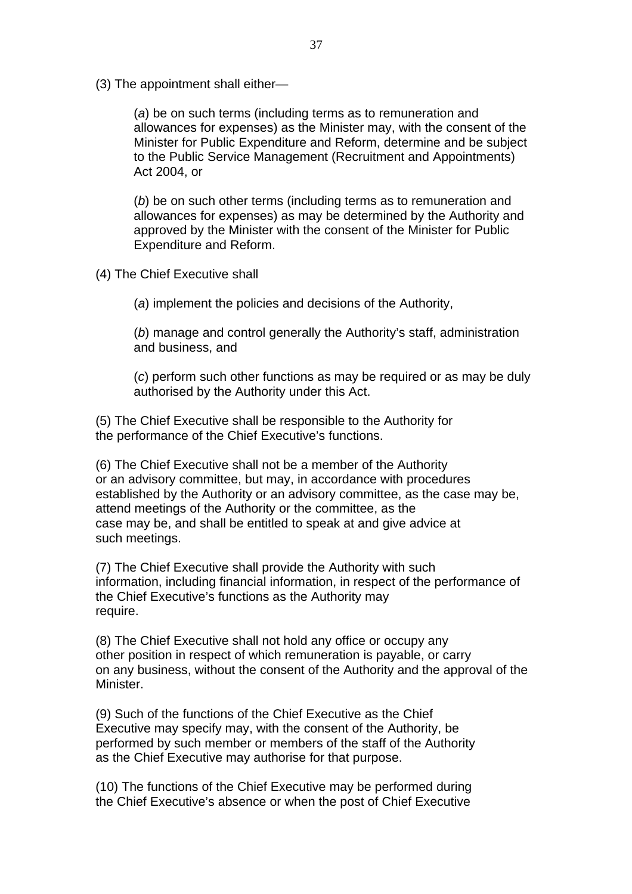(3) The appointment shall either—

(*a*) be on such terms (including terms as to remuneration and allowances for expenses) as the Minister may, with the consent of the Minister for Public Expenditure and Reform, determine and be subject to the Public Service Management (Recruitment and Appointments) Act 2004, or

(*b*) be on such other terms (including terms as to remuneration and allowances for expenses) as may be determined by the Authority and approved by the Minister with the consent of the Minister for Public Expenditure and Reform.

- (4) The Chief Executive shall
	- (*a*) implement the policies and decisions of the Authority,

(*b*) manage and control generally the Authority's staff, administration and business, and

(*c*) perform such other functions as may be required or as may be duly authorised by the Authority under this Act.

(5) The Chief Executive shall be responsible to the Authority for the performance of the Chief Executive's functions.

(6) The Chief Executive shall not be a member of the Authority or an advisory committee, but may, in accordance with procedures established by the Authority or an advisory committee, as the case may be, attend meetings of the Authority or the committee, as the case may be, and shall be entitled to speak at and give advice at such meetings.

(7) The Chief Executive shall provide the Authority with such information, including financial information, in respect of the performance of the Chief Executive's functions as the Authority may require.

(8) The Chief Executive shall not hold any office or occupy any other position in respect of which remuneration is payable, or carry on any business, without the consent of the Authority and the approval of the Minister.

(9) Such of the functions of the Chief Executive as the Chief Executive may specify may, with the consent of the Authority, be performed by such member or members of the staff of the Authority as the Chief Executive may authorise for that purpose.

(10) The functions of the Chief Executive may be performed during the Chief Executive's absence or when the post of Chief Executive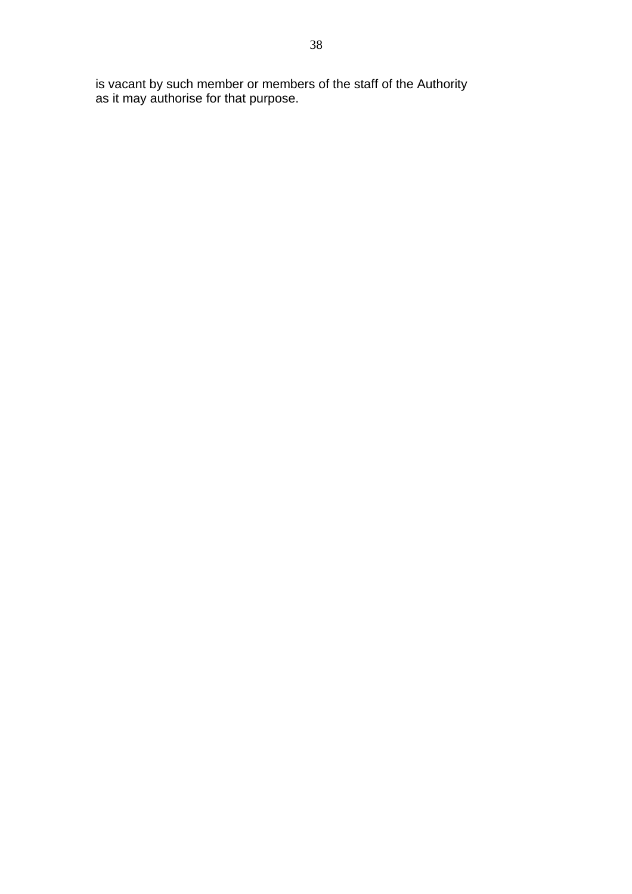is vacant by such member or members of the staff of the Authority as it may authorise for that purpose.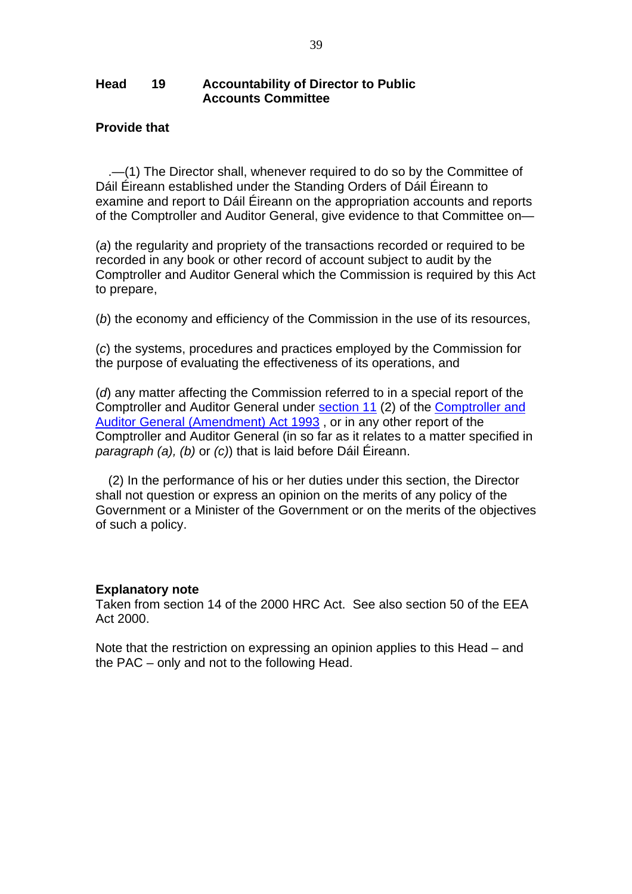#### **Head 19 Accountability of Director to Public Accounts Committee**

### **Provide that**

.—(1) The Director shall, whenever required to do so by the Committee of Dáil Éireann established under the Standing Orders of Dáil Éireann to examine and report to Dáil Éireann on the appropriation accounts and reports of the Comptroller and Auditor General, give evidence to that Committee on—

 (*a*) the regularity and propriety of the transactions recorded or required to be recorded in any book or other record of account subject to audit by the Comptroller and Auditor General which the Commission is required by this Act to prepare,

(*b*) the economy and efficiency of the Commission in the use of its resources,

 (*c*) the systems, procedures and practices employed by the Commission for the purpose of evaluating the effectiveness of its operations, and

 (*d*) any matter affecting the Commission referred to in a special report of the Comptroller and Auditor General under [section 11](http://www.irishstatutebook.ie/1993/en/act/pub/0008/sec0011.html#sec11) (2) of the [Comptroller and](http://www.irishstatutebook.ie/1993/en/act/pub/0008/index.html)  [Auditor General \(Amendment\) Act 1993](http://www.irishstatutebook.ie/1993/en/act/pub/0008/index.html) , or in any other report of the Comptroller and Auditor General (in so far as it relates to a matter specified in *paragraph (a), (b)* or *(c)*) that is laid before Dáil Éireann.

(2) In the performance of his or her duties under this section, the Director shall not question or express an opinion on the merits of any policy of the Government or a Minister of the Government or on the merits of the objectives of such a policy.

#### **Explanatory note**

Taken from section 14 of the 2000 HRC Act. See also section 50 of the EEA Act 2000.

Note that the restriction on expressing an opinion applies to this Head – and the PAC – only and not to the following Head.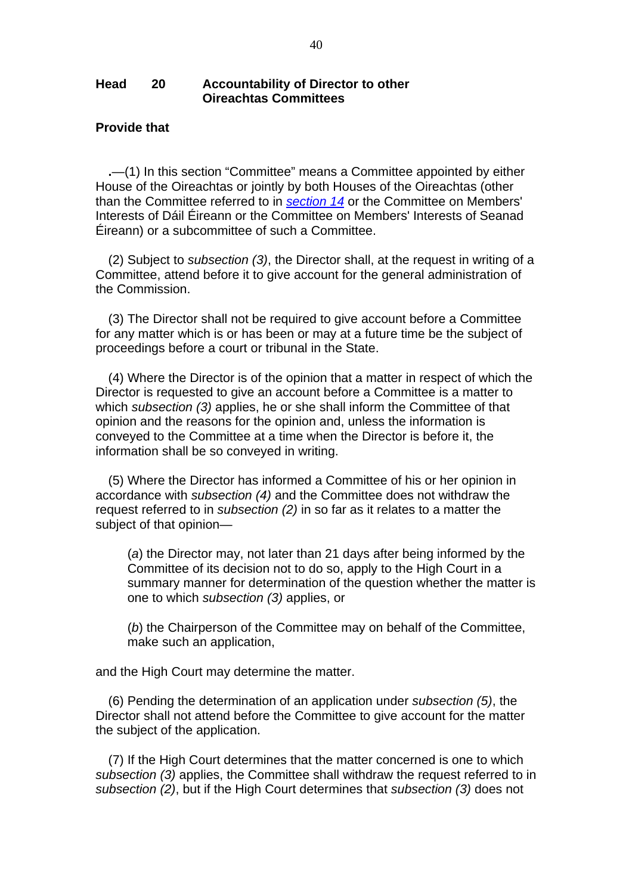#### **Head 20 Accountability of Director to other Oireachtas Committees**

#### **Provide that**

**.**—(1) In this section "Committee" means a Committee appointed by either House of the Oireachtas or jointly by both Houses of the Oireachtas (other than the Committee referred to in *[section 14](http://www.irishstatutebook.ie/2000/en/act/pub/0009/sec0014.html#sec14)* or the Committee on Members' Interests of Dáil Éireann or the Committee on Members' Interests of Seanad Éireann) or a subcommittee of such a Committee.

(2) Subject to *subsection (3)*, the Director shall, at the request in writing of a Committee, attend before it to give account for the general administration of the Commission.

(3) The Director shall not be required to give account before a Committee for any matter which is or has been or may at a future time be the subject of proceedings before a court or tribunal in the State.

(4) Where the Director is of the opinion that a matter in respect of which the Director is requested to give an account before a Committee is a matter to which *subsection (3)* applies, he or she shall inform the Committee of that opinion and the reasons for the opinion and, unless the information is conveyed to the Committee at a time when the Director is before it, the information shall be so conveyed in writing.

(5) Where the Director has informed a Committee of his or her opinion in accordance with *subsection (4)* and the Committee does not withdraw the request referred to in *subsection (2)* in so far as it relates to a matter the subject of that opinion—

 (*a*) the Director may, not later than 21 days after being informed by the Committee of its decision not to do so, apply to the High Court in a summary manner for determination of the question whether the matter is one to which *subsection (3)* applies, or

 (*b*) the Chairperson of the Committee may on behalf of the Committee, make such an application,

and the High Court may determine the matter.

(6) Pending the determination of an application under *subsection (5)*, the Director shall not attend before the Committee to give account for the matter the subject of the application.

(7) If the High Court determines that the matter concerned is one to which *subsection (3)* applies, the Committee shall withdraw the request referred to in *subsection (2)*, but if the High Court determines that *subsection (3)* does not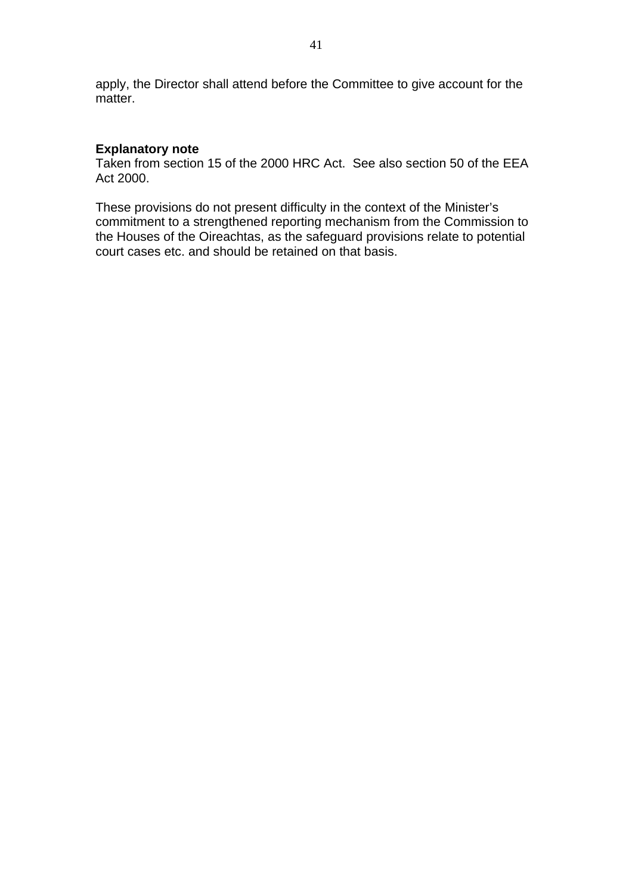apply, the Director shall attend before the Committee to give account for the matter.

# **Explanatory note**

Taken from section 15 of the 2000 HRC Act. See also section 50 of the EEA Act 2000.

These provisions do not present difficulty in the context of the Minister's commitment to a strengthened reporting mechanism from the Commission to the Houses of the Oireachtas, as the safeguard provisions relate to potential court cases etc. and should be retained on that basis.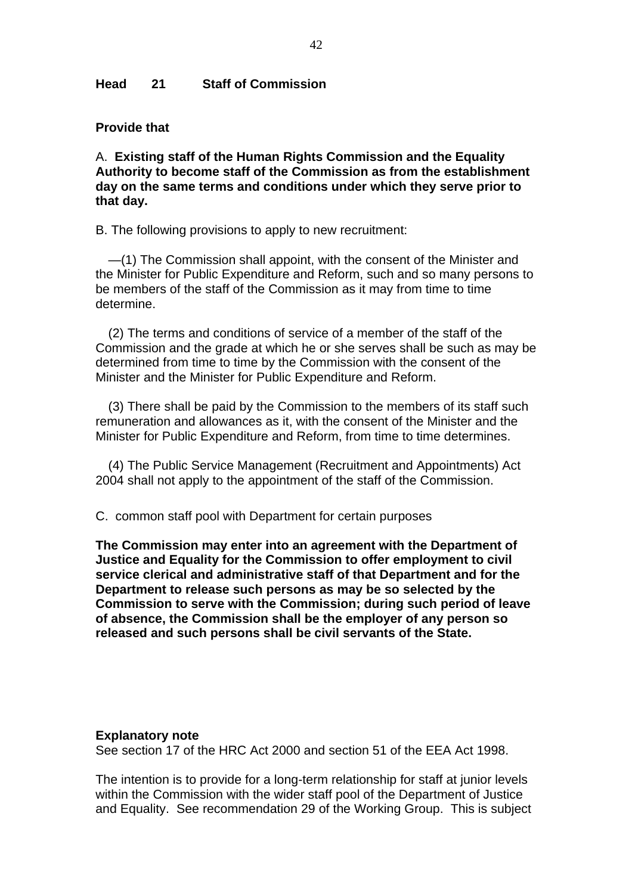#### **Head 21 Staff of Commission**

#### **Provide that**

A. **Existing staff of the Human Rights Commission and the Equality Authority to become staff of the Commission as from the establishment day on the same terms and conditions under which they serve prior to that day.** 

B. The following provisions to apply to new recruitment:

—(1) The Commission shall appoint, with the consent of the Minister and the Minister for Public Expenditure and Reform, such and so many persons to be members of the staff of the Commission as it may from time to time determine.

(2) The terms and conditions of service of a member of the staff of the Commission and the grade at which he or she serves shall be such as may be determined from time to time by the Commission with the consent of the Minister and the Minister for Public Expenditure and Reform.

(3) There shall be paid by the Commission to the members of its staff such remuneration and allowances as it, with the consent of the Minister and the Minister for Public Expenditure and Reform, from time to time determines.

(4) The Public Service Management (Recruitment and Appointments) Act 2004 shall not apply to the appointment of the staff of the Commission.

C. common staff pool with Department for certain purposes

**The Commission may enter into an agreement with the Department of Justice and Equality for the Commission to offer employment to civil service clerical and administrative staff of that Department and for the Department to release such persons as may be so selected by the Commission to serve with the Commission; during such period of leave of absence, the Commission shall be the employer of any person so released and such persons shall be civil servants of the State.** 

#### **Explanatory note**

See section 17 of the HRC Act 2000 and section 51 of the EEA Act 1998.

The intention is to provide for a long-term relationship for staff at junior levels within the Commission with the wider staff pool of the Department of Justice and Equality. See recommendation 29 of the Working Group. This is subject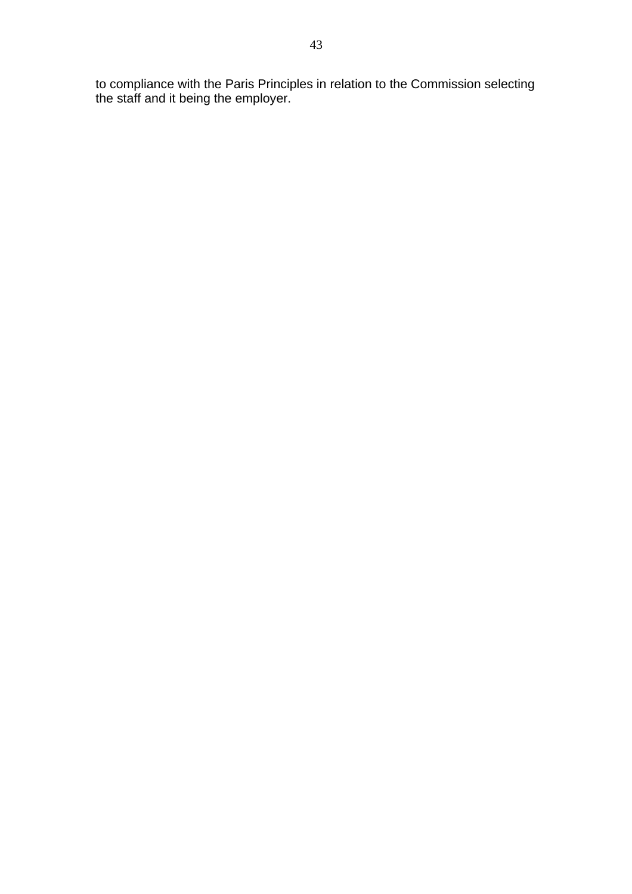to compliance with the Paris Principles in relation to the Commission selecting the staff and it being the employer.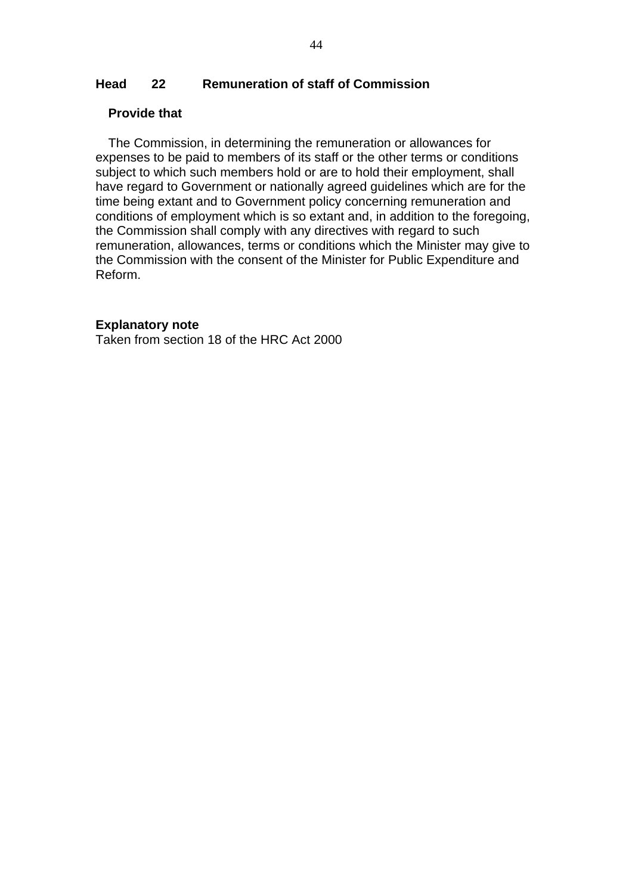# **Head 22 Remuneration of staff of Commission**

#### **Provide that**

The Commission, in determining the remuneration or allowances for expenses to be paid to members of its staff or the other terms or conditions subject to which such members hold or are to hold their employment, shall have regard to Government or nationally agreed guidelines which are for the time being extant and to Government policy concerning remuneration and conditions of employment which is so extant and, in addition to the foregoing, the Commission shall comply with any directives with regard to such remuneration, allowances, terms or conditions which the Minister may give to the Commission with the consent of the Minister for Public Expenditure and Reform.

#### **Explanatory note**

Taken from section 18 of the HRC Act 2000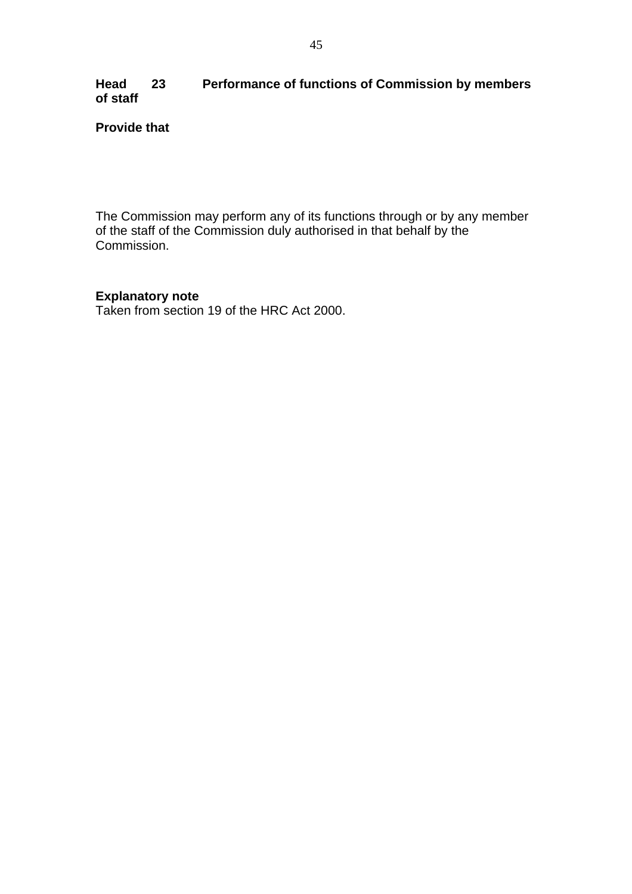# **Head 23 Performance of functions of Commission by members of staff**

# **Provide that**

The Commission may perform any of its functions through or by any member of the staff of the Commission duly authorised in that behalf by the Commission.

# **Explanatory note**

Taken from section 19 of the HRC Act 2000.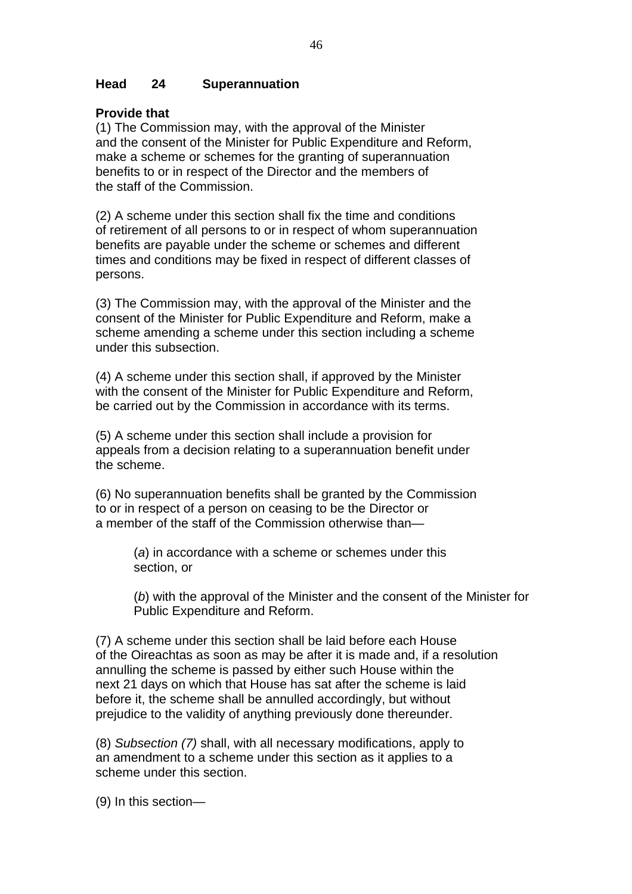# **Head 24 Superannuation**

### **Provide that**

(1) The Commission may, with the approval of the Minister and the consent of the Minister for Public Expenditure and Reform, make a scheme or schemes for the granting of superannuation benefits to or in respect of the Director and the members of the staff of the Commission.

(2) A scheme under this section shall fix the time and conditions of retirement of all persons to or in respect of whom superannuation benefits are payable under the scheme or schemes and different times and conditions may be fixed in respect of different classes of persons.

(3) The Commission may, with the approval of the Minister and the consent of the Minister for Public Expenditure and Reform, make a scheme amending a scheme under this section including a scheme under this subsection.

(4) A scheme under this section shall, if approved by the Minister with the consent of the Minister for Public Expenditure and Reform, be carried out by the Commission in accordance with its terms.

(5) A scheme under this section shall include a provision for appeals from a decision relating to a superannuation benefit under the scheme.

(6) No superannuation benefits shall be granted by the Commission to or in respect of a person on ceasing to be the Director or a member of the staff of the Commission otherwise than—

(*a*) in accordance with a scheme or schemes under this section, or

(*b*) with the approval of the Minister and the consent of the Minister for Public Expenditure and Reform.

(7) A scheme under this section shall be laid before each House of the Oireachtas as soon as may be after it is made and, if a resolution annulling the scheme is passed by either such House within the next 21 days on which that House has sat after the scheme is laid before it, the scheme shall be annulled accordingly, but without prejudice to the validity of anything previously done thereunder.

(8) *Subsection (7)* shall, with all necessary modifications, apply to an amendment to a scheme under this section as it applies to a scheme under this section.

(9) In this section—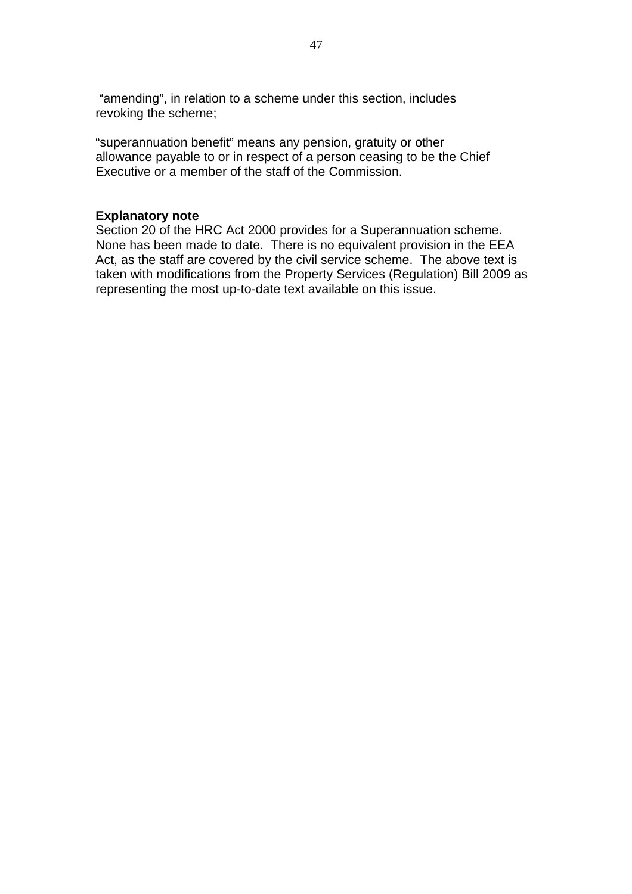"amending", in relation to a scheme under this section, includes revoking the scheme;

"superannuation benefit" means any pension, gratuity or other allowance payable to or in respect of a person ceasing to be the Chief Executive or a member of the staff of the Commission.

#### **Explanatory note**

Section 20 of the HRC Act 2000 provides for a Superannuation scheme. None has been made to date. There is no equivalent provision in the EEA Act, as the staff are covered by the civil service scheme. The above text is taken with modifications from the Property Services (Regulation) Bill 2009 as representing the most up-to-date text available on this issue.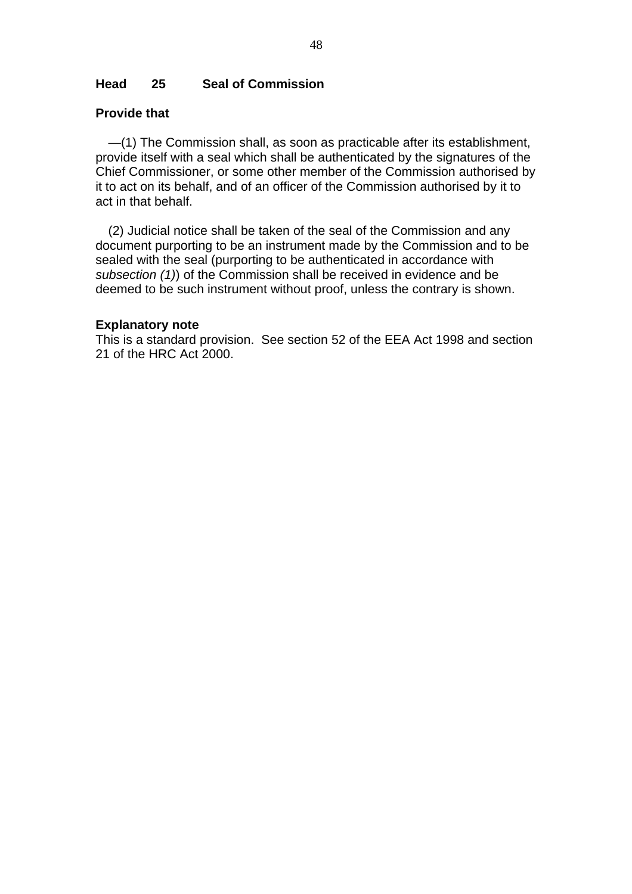## **Head 25 Seal of Commission**

### **Provide that**

—(1) The Commission shall, as soon as practicable after its establishment, provide itself with a seal which shall be authenticated by the signatures of the Chief Commissioner, or some other member of the Commission authorised by it to act on its behalf, and of an officer of the Commission authorised by it to act in that behalf.

(2) Judicial notice shall be taken of the seal of the Commission and any document purporting to be an instrument made by the Commission and to be sealed with the seal (purporting to be authenticated in accordance with *subsection (1)*) of the Commission shall be received in evidence and be deemed to be such instrument without proof, unless the contrary is shown.

#### **Explanatory note**

This is a standard provision. See section 52 of the EEA Act 1998 and section 21 of the HRC Act 2000.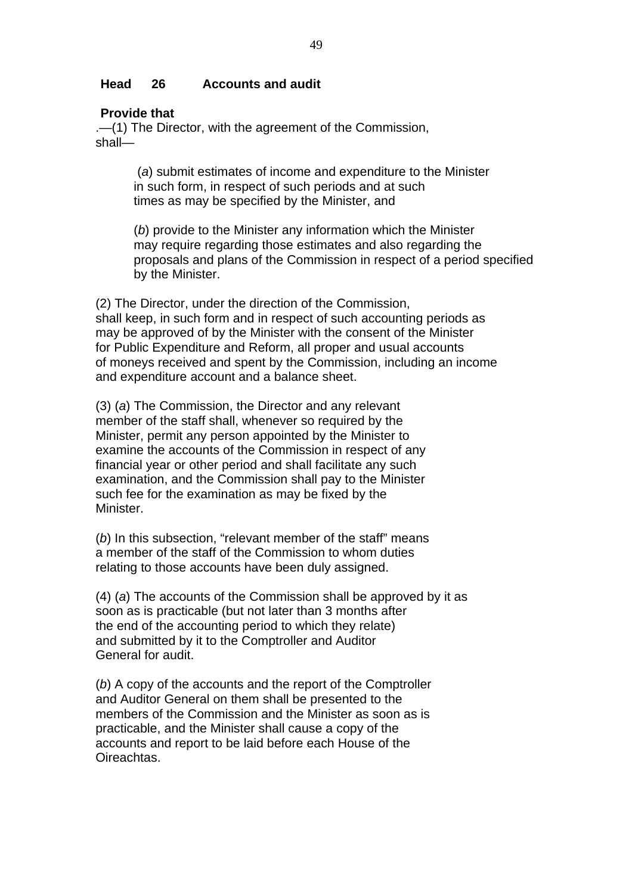#### **Head 26 Accounts and audit**

#### **Provide that**

.—(1) The Director, with the agreement of the Commission, shall—

> (*a*) submit estimates of income and expenditure to the Minister in such form, in respect of such periods and at such times as may be specified by the Minister, and

(*b*) provide to the Minister any information which the Minister may require regarding those estimates and also regarding the proposals and plans of the Commission in respect of a period specified by the Minister.

(2) The Director, under the direction of the Commission, shall keep, in such form and in respect of such accounting periods as may be approved of by the Minister with the consent of the Minister for Public Expenditure and Reform, all proper and usual accounts of moneys received and spent by the Commission, including an income and expenditure account and a balance sheet.

(3) (*a*) The Commission, the Director and any relevant member of the staff shall, whenever so required by the Minister, permit any person appointed by the Minister to examine the accounts of the Commission in respect of any financial year or other period and shall facilitate any such examination, and the Commission shall pay to the Minister such fee for the examination as may be fixed by the Minister.

(*b*) In this subsection, "relevant member of the staff" means a member of the staff of the Commission to whom duties relating to those accounts have been duly assigned.

(4) (*a*) The accounts of the Commission shall be approved by it as soon as is practicable (but not later than 3 months after the end of the accounting period to which they relate) and submitted by it to the Comptroller and Auditor General for audit.

(*b*) A copy of the accounts and the report of the Comptroller and Auditor General on them shall be presented to the members of the Commission and the Minister as soon as is practicable, and the Minister shall cause a copy of the accounts and report to be laid before each House of the **Oireachtas**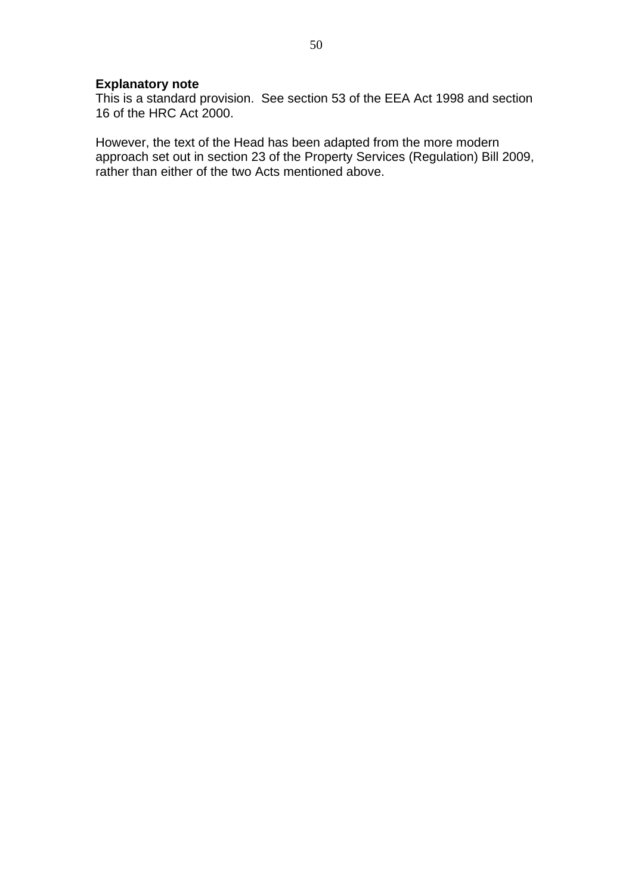# **Explanatory note**

This is a standard provision. See section 53 of the EEA Act 1998 and section 16 of the HRC Act 2000.

However, the text of the Head has been adapted from the more modern approach set out in section 23 of the Property Services (Regulation) Bill 2009, rather than either of the two Acts mentioned above.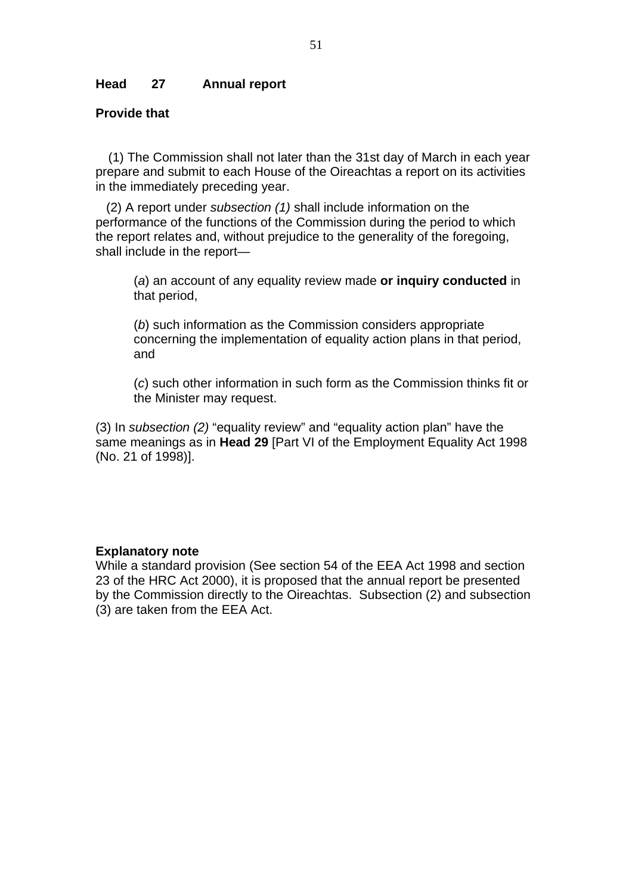### **Head 27 Annual report**

# **Provide that**

(1) The Commission shall not later than the 31st day of March in each year prepare and submit to each House of the Oireachtas a report on its activities in the immediately preceding year.

 (2) A report under *subsection (1)* shall include information on the performance of the functions of the Commission during the period to which the report relates and, without prejudice to the generality of the foregoing, shall include in the report—

(*a*) an account of any equality review made **or inquiry conducted** in that period,

(*b*) such information as the Commission considers appropriate concerning the implementation of equality action plans in that period, and

(*c*) such other information in such form as the Commission thinks fit or the Minister may request.

(3) In *subsection (2)* "equality review" and "equality action plan" have the same meanings as in **Head 29** [Part VI of the Employment Equality Act 1998 (No. 21 of 1998)].

#### **Explanatory note**

While a standard provision (See section 54 of the EEA Act 1998 and section 23 of the HRC Act 2000), it is proposed that the annual report be presented by the Commission directly to the Oireachtas. Subsection (2) and subsection (3) are taken from the EEA Act.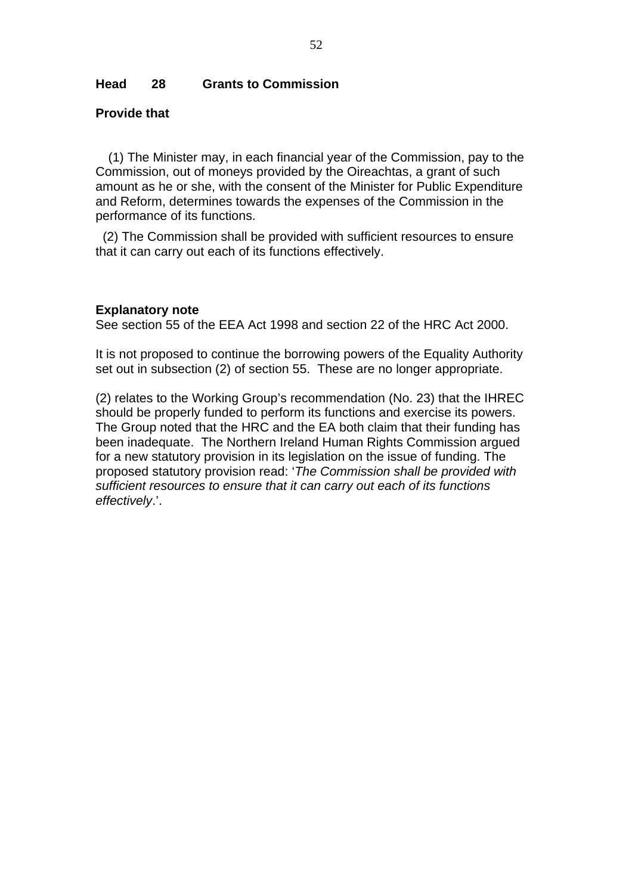### **Head 28 Grants to Commission**

## **Provide that**

(1) The Minister may, in each financial year of the Commission, pay to the Commission, out of moneys provided by the Oireachtas, a grant of such amount as he or she, with the consent of the Minister for Public Expenditure and Reform, determines towards the expenses of the Commission in the performance of its functions.

 (2) The Commission shall be provided with sufficient resources to ensure that it can carry out each of its functions effectively.

#### **Explanatory note**

See section 55 of the EEA Act 1998 and section 22 of the HRC Act 2000.

It is not proposed to continue the borrowing powers of the Equality Authority set out in subsection (2) of section 55. These are no longer appropriate.

(2) relates to the Working Group's recommendation (No. 23) that the IHREC should be properly funded to perform its functions and exercise its powers. The Group noted that the HRC and the EA both claim that their funding has been inadequate. The Northern Ireland Human Rights Commission argued for a new statutory provision in its legislation on the issue of funding. The proposed statutory provision read: '*The Commission shall be provided with sufficient resources to ensure that it can carry out each of its functions effectively*.'.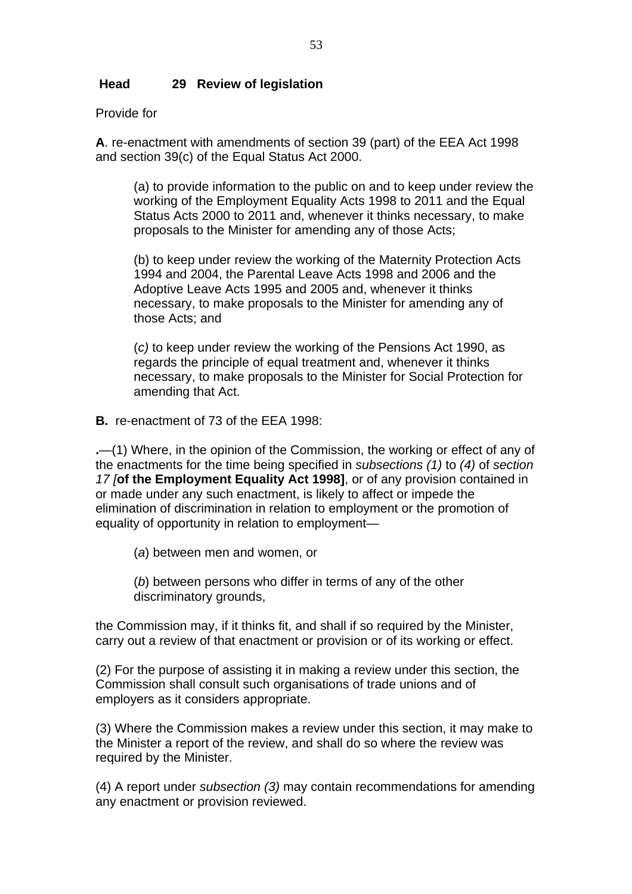# **Head 29 Review of legislation**

Provide for

**A**. re-enactment with amendments of section 39 (part) of the EEA Act 1998 and section 39(c) of the Equal Status Act 2000.

(a) to provide information to the public on and to keep under review the working of the Employment Equality Acts 1998 to 2011 and the Equal Status Acts 2000 to 2011 and, whenever it thinks necessary, to make proposals to the Minister for amending any of those Acts;

(b) to keep under review the working of the Maternity Protection Acts 1994 and 2004, the Parental Leave Acts 1998 and 2006 and the Adoptive Leave Acts 1995 and 2005 and, whenever it thinks necessary, to make proposals to the Minister for amending any of those Acts; and

(*c)* to keep under review the working of the Pensions Act 1990, as regards the principle of equal treatment and, whenever it thinks necessary, to make proposals to the Minister for Social Protection for amending that Act.

**B.** re-enactment of 73 of the EEA 1998:

**.**—(1) Where, in the opinion of the Commission, the working or effect of any of the enactments for the time being specified in *subsections (1)* to *(4)* of *section 17 [***of the Employment Equality Act 1998]**, or of any provision contained in or made under any such enactment, is likely to affect or impede the elimination of discrimination in relation to employment or the promotion of equality of opportunity in relation to employment—

(*a*) between men and women, or

(*b*) between persons who differ in terms of any of the other discriminatory grounds,

the Commission may, if it thinks fit, and shall if so required by the Minister, carry out a review of that enactment or provision or of its working or effect.

(2) For the purpose of assisting it in making a review under this section, the Commission shall consult such organisations of trade unions and of employers as it considers appropriate.

(3) Where the Commission makes a review under this section, it may make to the Minister a report of the review, and shall do so where the review was required by the Minister.

(4) A report under *subsection (3)* may contain recommendations for amending any enactment or provision reviewed.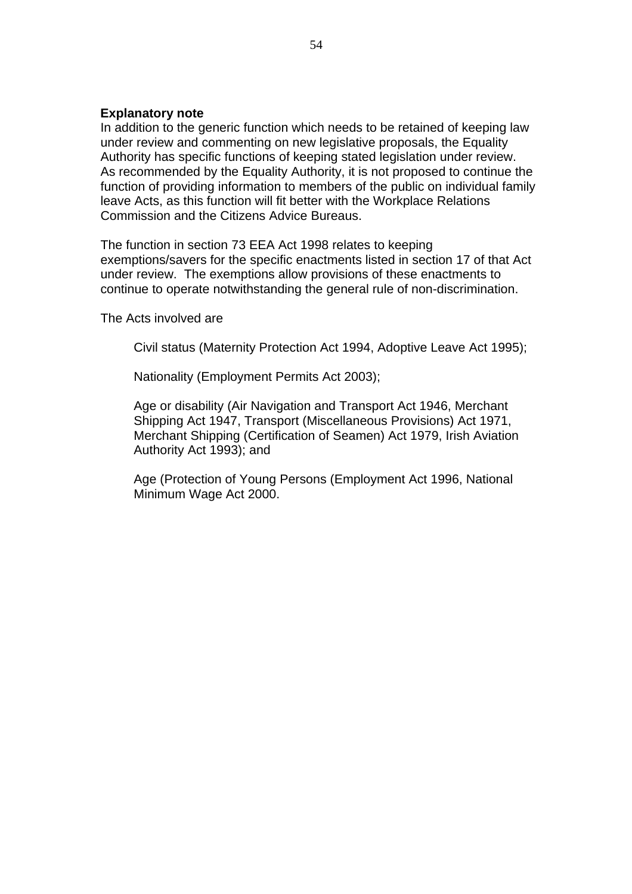### **Explanatory note**

In addition to the generic function which needs to be retained of keeping law under review and commenting on new legislative proposals, the Equality Authority has specific functions of keeping stated legislation under review. As recommended by the Equality Authority, it is not proposed to continue the function of providing information to members of the public on individual family leave Acts, as this function will fit better with the Workplace Relations Commission and the Citizens Advice Bureaus.

The function in section 73 EEA Act 1998 relates to keeping exemptions/savers for the specific enactments listed in section 17 of that Act under review. The exemptions allow provisions of these enactments to continue to operate notwithstanding the general rule of non-discrimination.

The Acts involved are

Civil status (Maternity Protection Act 1994, Adoptive Leave Act 1995);

Nationality (Employment Permits Act 2003);

Age or disability (Air Navigation and Transport Act 1946, Merchant Shipping Act 1947, Transport (Miscellaneous Provisions) Act 1971, Merchant Shipping (Certification of Seamen) Act 1979, Irish Aviation Authority Act 1993); and

Age (Protection of Young Persons (Employment Act 1996, National Minimum Wage Act 2000.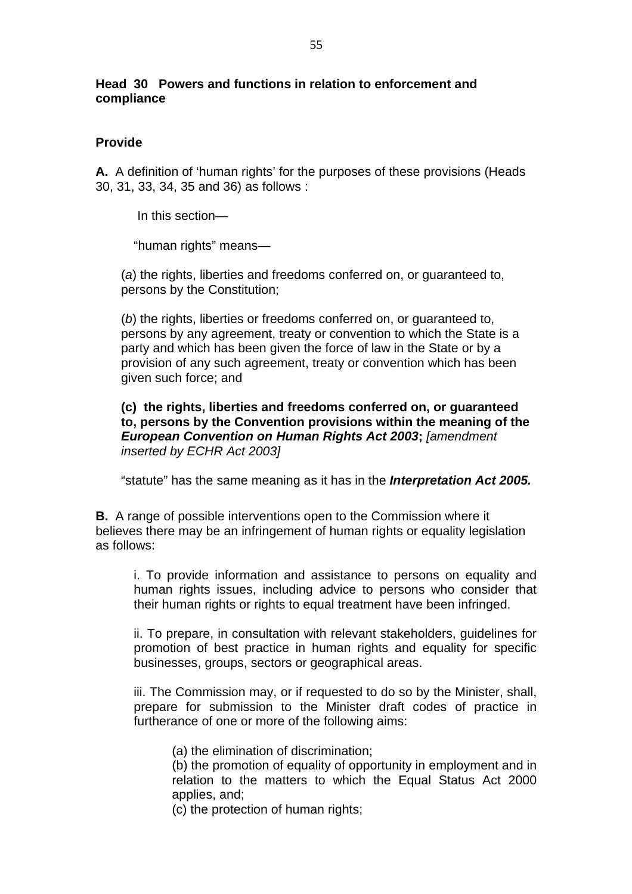# **Head 30 Powers and functions in relation to enforcement and compliance**

# **Provide**

**A.** A definition of 'human rights' for the purposes of these provisions (Heads 30, 31, 33, 34, 35 and 36) as follows :

In this section—

"human rights" means—

 (*a*) the rights, liberties and freedoms conferred on, or guaranteed to, persons by the Constitution;

 (*b*) the rights, liberties or freedoms conferred on, or guaranteed to, persons by any agreement, treaty or convention to which the State is a party and which has been given the force of law in the State or by a provision of any such agreement, treaty or convention which has been given such force; and

**(c) the rights, liberties and freedoms conferred on, or guaranteed to, persons by the Convention provisions within the meaning of the**  *European Convention on Human Rights Act 2003***;** *[amendment inserted by ECHR Act 2003]* 

"statute" has the same meaning as it has in the *Interpretation Act 2005.*

**B.** A range of possible interventions open to the Commission where it believes there may be an infringement of human rights or equality legislation as follows:

i. To provide information and assistance to persons on equality and human rights issues, including advice to persons who consider that their human rights or rights to equal treatment have been infringed.

ii. To prepare, in consultation with relevant stakeholders, guidelines for promotion of best practice in human rights and equality for specific businesses, groups, sectors or geographical areas.

iii. The Commission may, or if requested to do so by the Minister, shall, prepare for submission to the Minister draft codes of practice in furtherance of one or more of the following aims:

(a) the elimination of discrimination;

(b) the promotion of equality of opportunity in employment and in relation to the matters to which the Equal Status Act 2000 applies, and;

(c) the protection of human rights;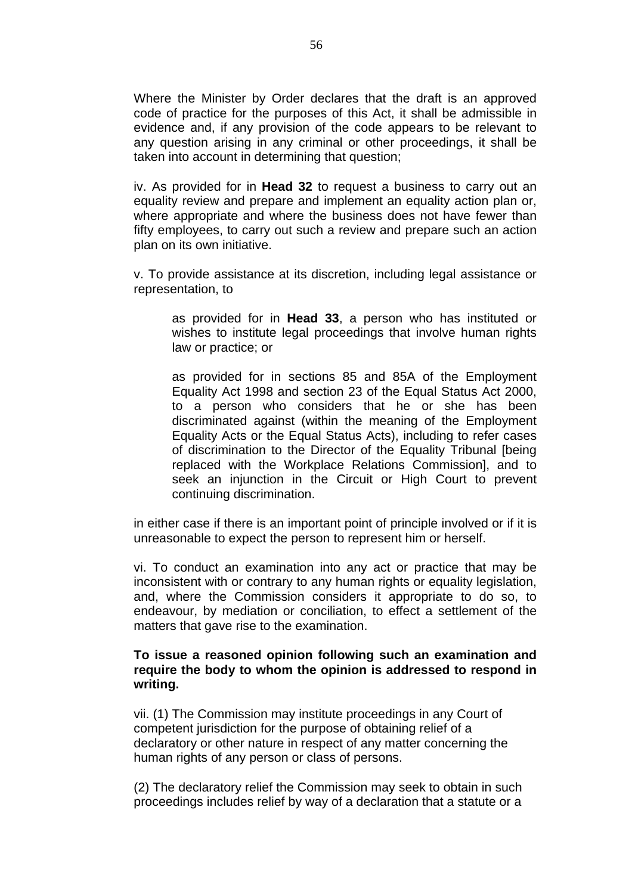Where the Minister by Order declares that the draft is an approved code of practice for the purposes of this Act, it shall be admissible in evidence and, if any provision of the code appears to be relevant to any question arising in any criminal or other proceedings, it shall be taken into account in determining that question;

iv. As provided for in **Head 32** to request a business to carry out an equality review and prepare and implement an equality action plan or, where appropriate and where the business does not have fewer than fifty employees, to carry out such a review and prepare such an action plan on its own initiative.

v. To provide assistance at its discretion, including legal assistance or representation, to

as provided for in **Head 33**, a person who has instituted or wishes to institute legal proceedings that involve human rights law or practice; or

as provided for in sections 85 and 85A of the Employment Equality Act 1998 and section 23 of the Equal Status Act 2000, to a person who considers that he or she has been discriminated against (within the meaning of the Employment Equality Acts or the Equal Status Acts), including to refer cases of discrimination to the Director of the Equality Tribunal [being replaced with the Workplace Relations Commission], and to seek an injunction in the Circuit or High Court to prevent continuing discrimination.

in either case if there is an important point of principle involved or if it is unreasonable to expect the person to represent him or herself.

vi. To conduct an examination into any act or practice that may be inconsistent with or contrary to any human rights or equality legislation, and, where the Commission considers it appropriate to do so, to endeavour, by mediation or conciliation, to effect a settlement of the matters that gave rise to the examination.

### **To issue a reasoned opinion following such an examination and require the body to whom the opinion is addressed to respond in writing.**

vii. (1) The Commission may institute proceedings in any Court of competent jurisdiction for the purpose of obtaining relief of a declaratory or other nature in respect of any matter concerning the human rights of any person or class of persons.

(2) The declaratory relief the Commission may seek to obtain in such proceedings includes relief by way of a declaration that a statute or a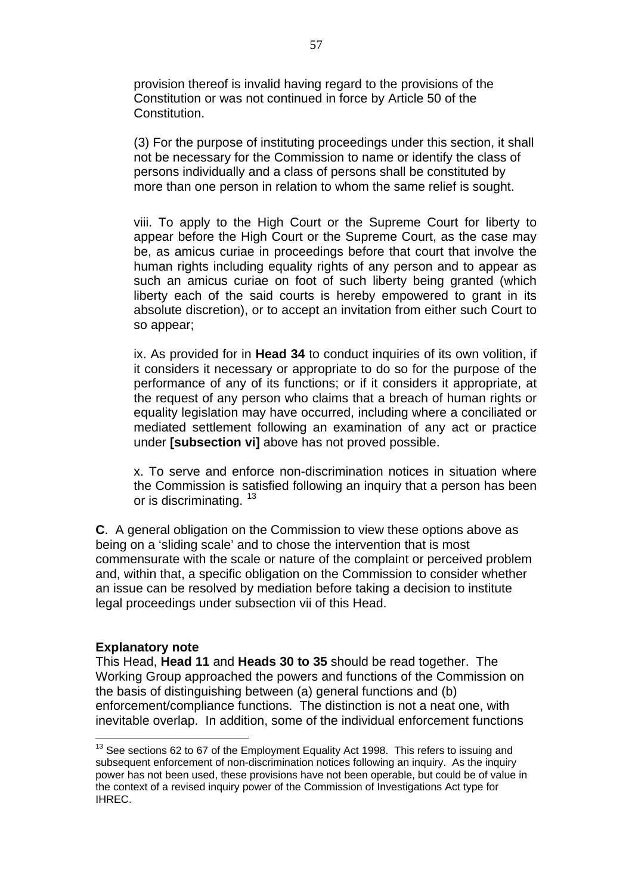provision thereof is invalid having regard to the provisions of the Constitution or was not continued in force by Article 50 of the Constitution.

(3) For the purpose of instituting proceedings under this section, it shall not be necessary for the Commission to name or identify the class of persons individually and a class of persons shall be constituted by more than one person in relation to whom the same relief is sought.

viii. To apply to the High Court or the Supreme Court for liberty to appear before the High Court or the Supreme Court, as the case may be, as amicus curiae in proceedings before that court that involve the human rights including equality rights of any person and to appear as such an amicus curiae on foot of such liberty being granted (which liberty each of the said courts is hereby empowered to grant in its absolute discretion), or to accept an invitation from either such Court to so appear;

ix. As provided for in **Head 34** to conduct inquiries of its own volition, if it considers it necessary or appropriate to do so for the purpose of the performance of any of its functions; or if it considers it appropriate, at the request of any person who claims that a breach of human rights or equality legislation may have occurred, including where a conciliated or mediated settlement following an examination of any act or practice under **[subsection vi]** above has not proved possible.

x. To serve and enforce non-discrimination notices in situation where the Commission is satisfied following an inquiry that a person has been or is discriminating.<sup>[13](#page-56-0)</sup>

**C**. A general obligation on the Commission to view these options above as being on a 'sliding scale' and to chose the intervention that is most commensurate with the scale or nature of the complaint or perceived problem and, within that, a specific obligation on the Commission to consider whether an issue can be resolved by mediation before taking a decision to institute legal proceedings under subsection vii of this Head.

#### **Explanatory note**

 $\overline{a}$ 

This Head, **Head 11** and **Heads 30 to 35** should be read together. The Working Group approached the powers and functions of the Commission on the basis of distinguishing between (a) general functions and (b) enforcement/compliance functions. The distinction is not a neat one, with inevitable overlap. In addition, some of the individual enforcement functions

<span id="page-56-0"></span> $13$  See sections 62 to 67 of the Employment Equality Act 1998. This refers to issuing and subsequent enforcement of non-discrimination notices following an inquiry. As the inquiry power has not been used, these provisions have not been operable, but could be of value in the context of a revised inquiry power of the Commission of Investigations Act type for IHREC.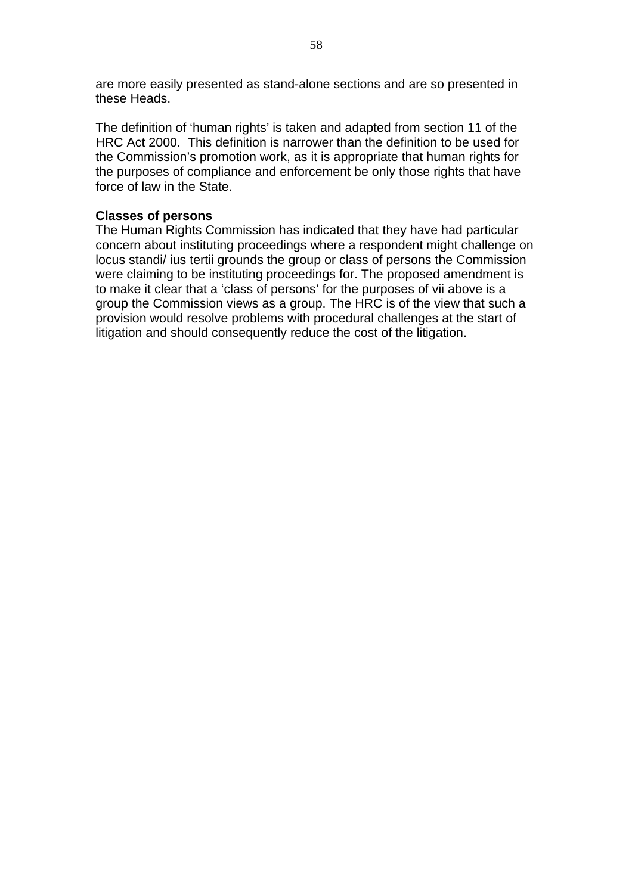are more easily presented as stand-alone sections and are so presented in these Heads.

The definition of 'human rights' is taken and adapted from section 11 of the HRC Act 2000. This definition is narrower than the definition to be used for the Commission's promotion work, as it is appropriate that human rights for the purposes of compliance and enforcement be only those rights that have force of law in the State.

# **Classes of persons**

The Human Rights Commission has indicated that they have had particular concern about instituting proceedings where a respondent might challenge on locus standi/ ius tertii grounds the group or class of persons the Commission were claiming to be instituting proceedings for. The proposed amendment is to make it clear that a 'class of persons' for the purposes of vii above is a group the Commission views as a group. The HRC is of the view that such a provision would resolve problems with procedural challenges at the start of litigation and should consequently reduce the cost of the litigation.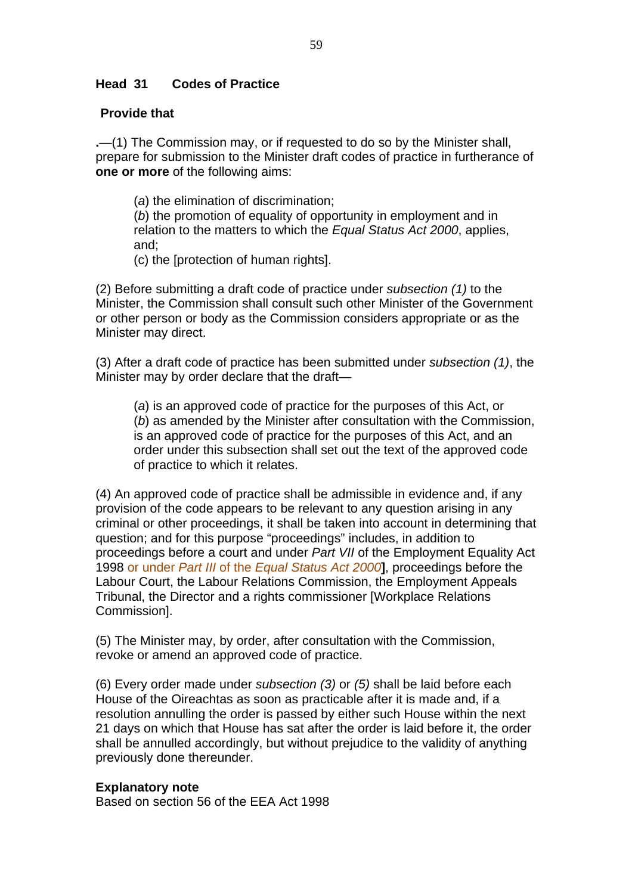# **Head 31 Codes of Practice**

# **Provide that**

**.**—(1) The Commission may, or if requested to do so by the Minister shall, prepare for submission to the Minister draft codes of practice in furtherance of **one or more** of the following aims:

(*a*) the elimination of discrimination;

(*b*) the promotion of equality of opportunity in employment and in relation to the matters to which the *Equal Status Act 2000*, applies, and;

(c) the [protection of human rights].

(2) Before submitting a draft code of practice under *subsection (1)* to the Minister, the Commission shall consult such other Minister of the Government or other person or body as the Commission considers appropriate or as the Minister may direct.

(3) After a draft code of practice has been submitted under *subsection (1)*, the Minister may by order declare that the draft—

(*a*) is an approved code of practice for the purposes of this Act, or (*b*) as amended by the Minister after consultation with the Commission, is an approved code of practice for the purposes of this Act, and an order under this subsection shall set out the text of the approved code of practice to which it relates.

(4) An approved code of practice shall be admissible in evidence and, if any provision of the code appears to be relevant to any question arising in any criminal or other proceedings, it shall be taken into account in determining that question; and for this purpose "proceedings" includes, in addition to proceedings before a court and under *Part VII* of the Employment Equality Act 1998 or under *Part III* of the *Equal Status Act 2000***]**, proceedings before the Labour Court, the Labour Relations Commission, the Employment Appeals Tribunal, the Director and a rights commissioner [Workplace Relations Commission].

(5) The Minister may, by order, after consultation with the Commission, revoke or amend an approved code of practice.

(6) Every order made under *subsection (3)* or *(5)* shall be laid before each House of the Oireachtas as soon as practicable after it is made and, if a resolution annulling the order is passed by either such House within the next 21 days on which that House has sat after the order is laid before it, the order shall be annulled accordingly, but without prejudice to the validity of anything previously done thereunder.

# **Explanatory note**

Based on section 56 of the EEA Act 1998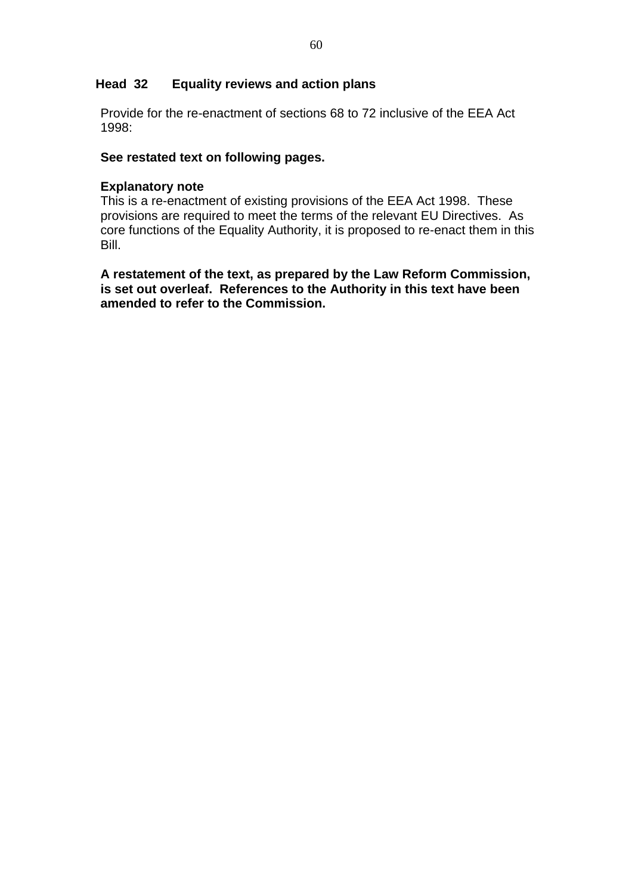# **Head 32 Equality reviews and action plans**

Provide for the re-enactment of sections 68 to 72 inclusive of the EEA Act 1998:

# **See restated text on following pages.**

### **Explanatory note**

This is a re-enactment of existing provisions of the EEA Act 1998. These provisions are required to meet the terms of the relevant EU Directives. As core functions of the Equality Authority, it is proposed to re-enact them in this Bill.

**A restatement of the text, as prepared by the Law Reform Commission, is set out overleaf. References to the Authority in this text have been amended to refer to the Commission.**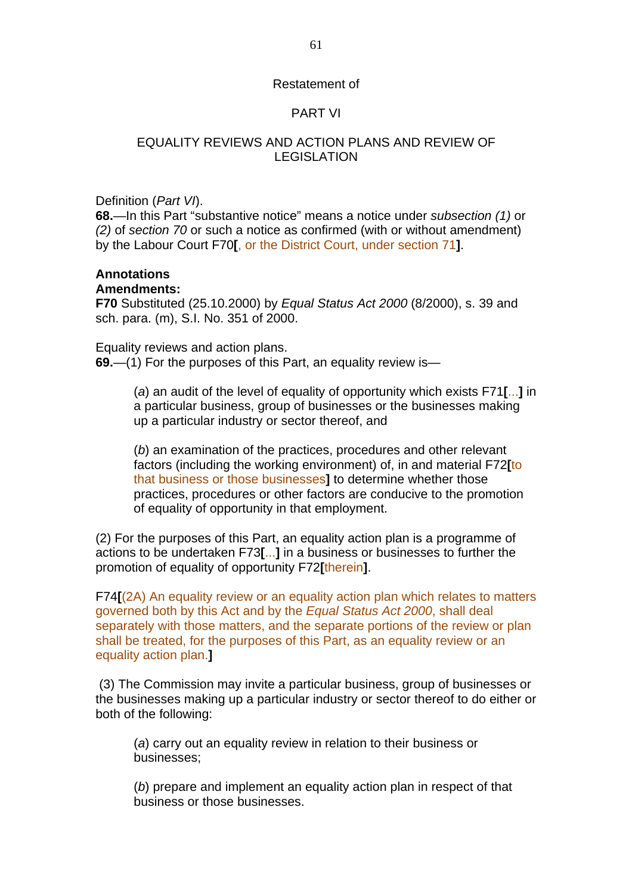#### Restatement of

# PART VI

# EQUALITY REVIEWS AND ACTION PLANS AND REVIEW OF **LEGISLATION**

Definition (*Part VI*).

**68.**—In this Part "substantive notice" means a notice under *subsection (1)* or *(2)* of *section 70* or such a notice as confirmed (with or without amendment) by the Labour Court F70**[**, or the District Court, under section 71**]**.

# **Annotations**

#### **Amendments:**

**F70** Substituted (25.10.2000) by *Equal Status Act 2000* (8/2000), s. 39 and sch. para. (m), S.I. No. 351 of 2000.

Equality reviews and action plans. **69.**—(1) For the purposes of this Part, an equality review is—

> (*a*) an audit of the level of equality of opportunity which exists F71**[**...**]** in a particular business, group of businesses or the businesses making up a particular industry or sector thereof, and

(*b*) an examination of the practices, procedures and other relevant factors (including the working environment) of, in and material F72**[**to that business or those businesses**]** to determine whether those practices, procedures or other factors are conducive to the promotion of equality of opportunity in that employment.

(2) For the purposes of this Part, an equality action plan is a programme of actions to be undertaken F73**[**...**]** in a business or businesses to further the promotion of equality of opportunity F72**[**therein**]**.

F74**[**(2A) An equality review or an equality action plan which relates to matters governed both by this Act and by the *Equal Status Act 2000*, shall deal separately with those matters, and the separate portions of the review or plan shall be treated, for the purposes of this Part, as an equality review or an equality action plan.**]** 

 (3) The Commission may invite a particular business, group of businesses or the businesses making up a particular industry or sector thereof to do either or both of the following:

(*a*) carry out an equality review in relation to their business or businesses;

(*b*) prepare and implement an equality action plan in respect of that business or those businesses.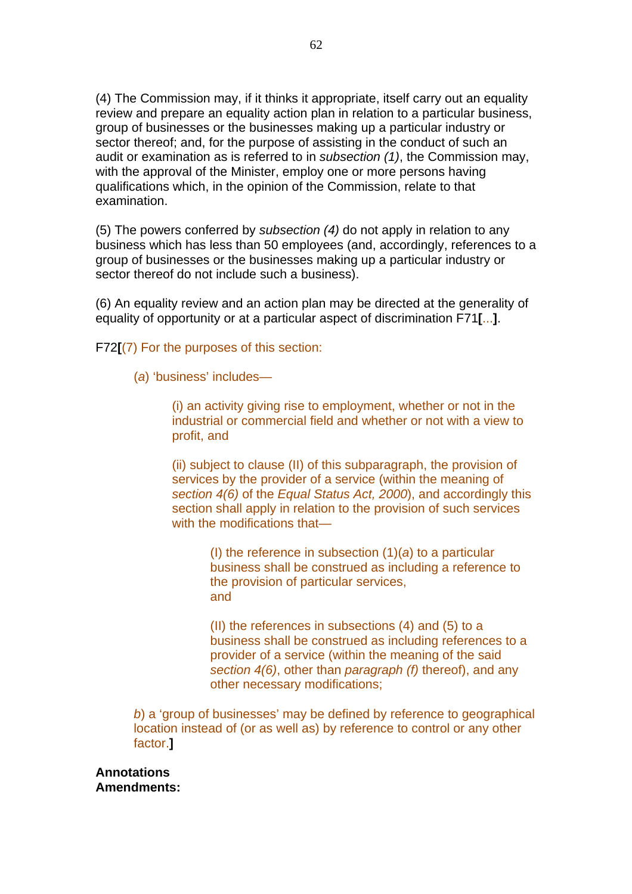(4) The Commission may, if it thinks it appropriate, itself carry out an equality review and prepare an equality action plan in relation to a particular business, group of businesses or the businesses making up a particular industry or sector thereof; and, for the purpose of assisting in the conduct of such an audit or examination as is referred to in *subsection (1)*, the Commission may, with the approval of the Minister, employ one or more persons having qualifications which, in the opinion of the Commission, relate to that examination.

(5) The powers conferred by *subsection (4)* do not apply in relation to any business which has less than 50 employees (and, accordingly, references to a group of businesses or the businesses making up a particular industry or sector thereof do not include such a business).

(6) An equality review and an action plan may be directed at the generality of equality of opportunity or at a particular aspect of discrimination F71**[**...**]**.

F72**[**(7) For the purposes of this section:

(*a*) 'business' includes—

(i) an activity giving rise to employment, whether or not in the industrial or commercial field and whether or not with a view to profit, and

(ii) subject to clause (II) of this subparagraph, the provision of services by the provider of a service (within the meaning of *section 4(6)* of the *Equal Status Act, 2000*), and accordingly this section shall apply in relation to the provision of such services with the modifications that—

> (I) the reference in subsection (1)(*a*) to a particular business shall be construed as including a reference to the provision of particular services, and

(II) the references in subsections (4) and (5) to a business shall be construed as including references to a provider of a service (within the meaning of the said *section 4(6)*, other than *paragraph (f)* thereof), and any other necessary modifications;

*b*) a 'group of businesses' may be defined by reference to geographical location instead of (or as well as) by reference to control or any other factor.**]** 

**Annotations Amendments:**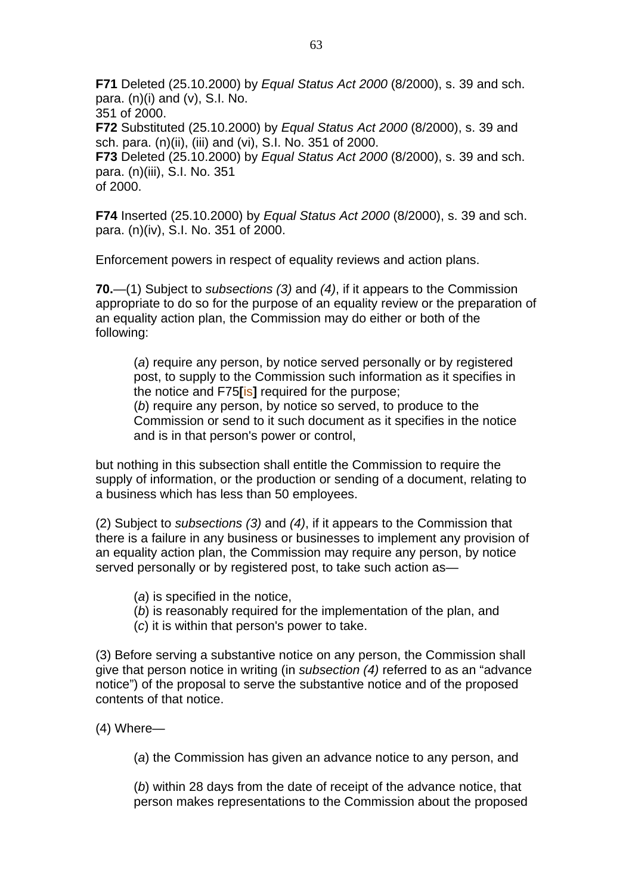**F71** Deleted (25.10.2000) by *Equal Status Act 2000* (8/2000), s. 39 and sch. para.  $(n)(i)$  and  $(v)$ , S.I. No. 351 of 2000. **F72** Substituted (25.10.2000) by *Equal Status Act 2000* (8/2000), s. 39 and sch. para. (n)(ii), (iii) and (vi), S.I. No. 351 of 2000. **F73** Deleted (25.10.2000) by *Equal Status Act 2000* (8/2000), s. 39 and sch. para. (n)(iii), S.I. No. 351 of 2000.

**F74** Inserted (25.10.2000) by *Equal Status Act 2000* (8/2000), s. 39 and sch. para. (n)(iv), S.I. No. 351 of 2000.

Enforcement powers in respect of equality reviews and action plans.

**70.**—(1) Subject to *subsections (3)* and *(4)*, if it appears to the Commission appropriate to do so for the purpose of an equality review or the preparation of an equality action plan, the Commission may do either or both of the following:

(*a*) require any person, by notice served personally or by registered post, to supply to the Commission such information as it specifies in the notice and F75**[**is**]** required for the purpose; (*b*) require any person, by notice so served, to produce to the Commission or send to it such document as it specifies in the notice and is in that person's power or control,

but nothing in this subsection shall entitle the Commission to require the supply of information, or the production or sending of a document, relating to a business which has less than 50 employees.

(2) Subject to *subsections (3)* and *(4)*, if it appears to the Commission that there is a failure in any business or businesses to implement any provision of an equality action plan, the Commission may require any person, by notice served personally or by registered post, to take such action as-

- (*a*) is specified in the notice,
- (*b*) is reasonably required for the implementation of the plan, and
- (*c*) it is within that person's power to take.

(3) Before serving a substantive notice on any person, the Commission shall give that person notice in writing (in *subsection (4)* referred to as an "advance notice") of the proposal to serve the substantive notice and of the proposed contents of that notice.

(4) Where—

(*a*) the Commission has given an advance notice to any person, and

(*b*) within 28 days from the date of receipt of the advance notice, that person makes representations to the Commission about the proposed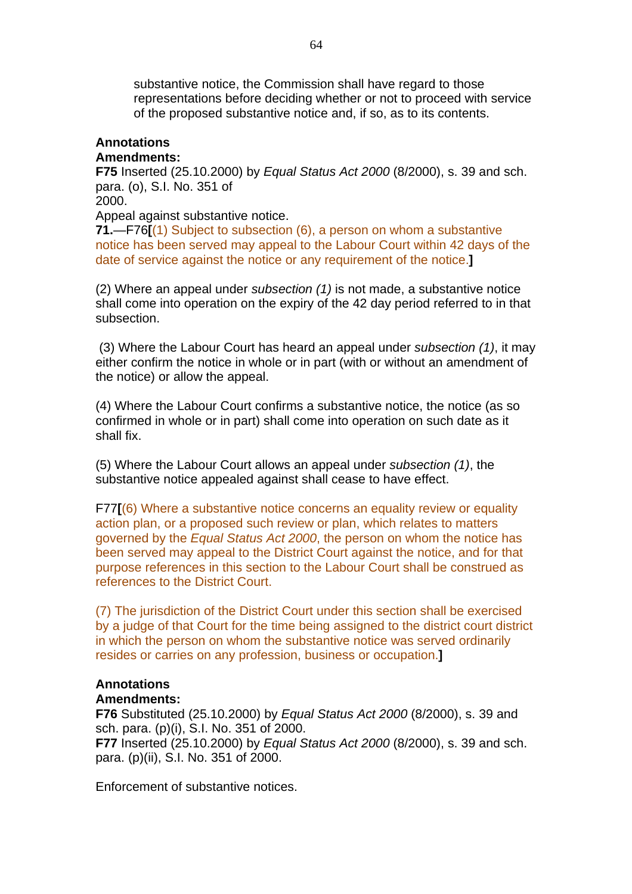substantive notice, the Commission shall have regard to those representations before deciding whether or not to proceed with service of the proposed substantive notice and, if so, as to its contents.

# **Annotations**

# **Amendments:**

**F75** Inserted (25.10.2000) by *Equal Status Act 2000* (8/2000), s. 39 and sch. para. (o), S.I. No. 351 of 2000.

Appeal against substantive notice.

**71.**—F76**[**(1) Subject to subsection (6), a person on whom a substantive notice has been served may appeal to the Labour Court within 42 days of the date of service against the notice or any requirement of the notice.**]** 

(2) Where an appeal under *subsection (1)* is not made, a substantive notice shall come into operation on the expiry of the 42 day period referred to in that subsection.

 (3) Where the Labour Court has heard an appeal under *subsection (1)*, it may either confirm the notice in whole or in part (with or without an amendment of the notice) or allow the appeal.

(4) Where the Labour Court confirms a substantive notice, the notice (as so confirmed in whole or in part) shall come into operation on such date as it shall fix.

(5) Where the Labour Court allows an appeal under *subsection (1)*, the substantive notice appealed against shall cease to have effect.

F77**[**(6) Where a substantive notice concerns an equality review or equality action plan, or a proposed such review or plan, which relates to matters governed by the *Equal Status Act 2000*, the person on whom the notice has been served may appeal to the District Court against the notice, and for that purpose references in this section to the Labour Court shall be construed as references to the District Court.

(7) The jurisdiction of the District Court under this section shall be exercised by a judge of that Court for the time being assigned to the district court district in which the person on whom the substantive notice was served ordinarily resides or carries on any profession, business or occupation.**]** 

## **Annotations**

#### **Amendments:**

**F76** Substituted (25.10.2000) by *Equal Status Act 2000* (8/2000), s. 39 and sch. para. (p)(i), S.I. No. 351 of 2000.

**F77** Inserted (25.10.2000) by *Equal Status Act 2000* (8/2000), s. 39 and sch. para. (p)(ii), S.I. No. 351 of 2000.

Enforcement of substantive notices.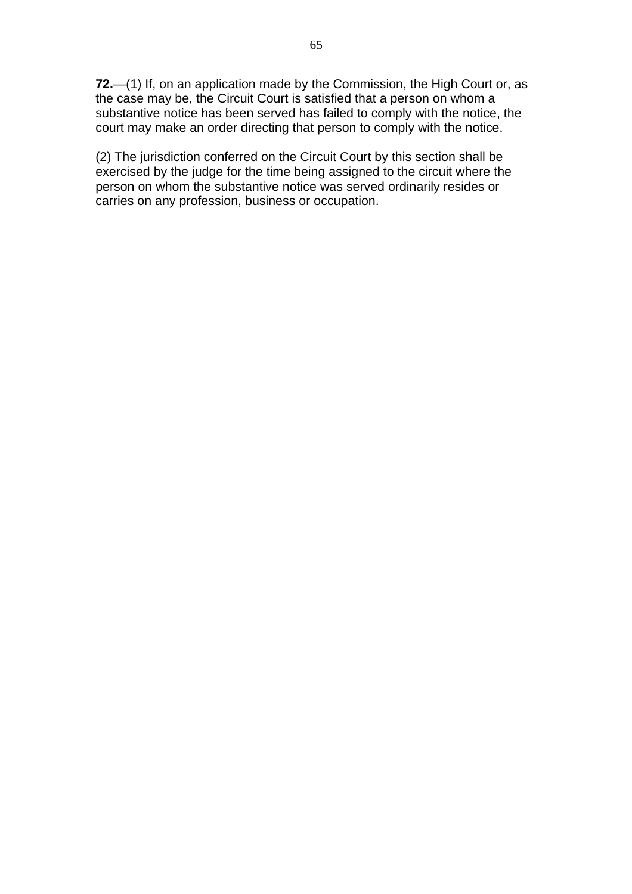**72.**—(1) If, on an application made by the Commission, the High Court or, as the case may be, the Circuit Court is satisfied that a person on whom a substantive notice has been served has failed to comply with the notice, the court may make an order directing that person to comply with the notice.

(2) The jurisdiction conferred on the Circuit Court by this section shall be exercised by the judge for the time being assigned to the circuit where the person on whom the substantive notice was served ordinarily resides or carries on any profession, business or occupation.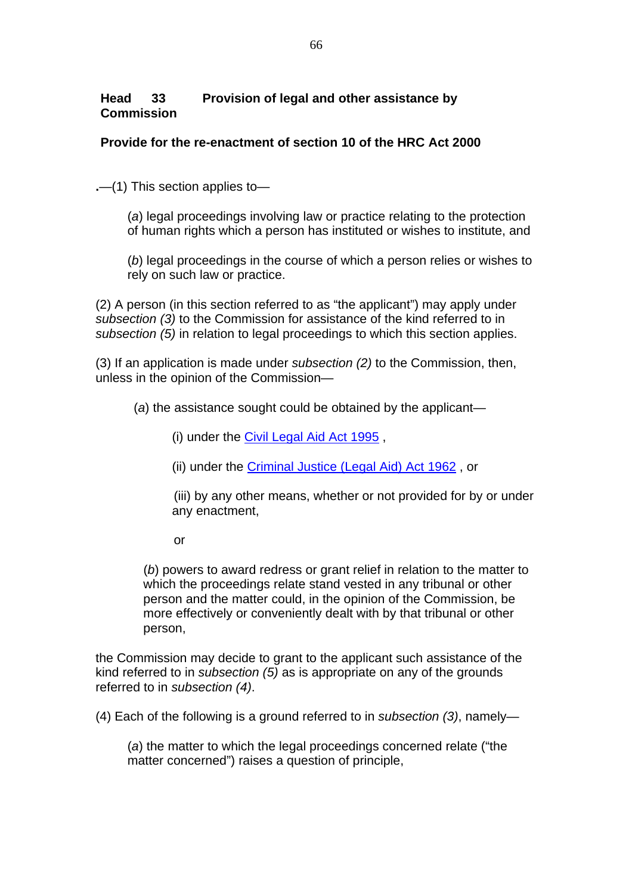# **Head 33 Provision of legal and other assistance by Commission**

# **Provide for the re-enactment of section 10 of the HRC Act 2000**

**.**—(1) This section applies to—

 (*a*) legal proceedings involving law or practice relating to the protection of human rights which a person has instituted or wishes to institute, and

 (*b*) legal proceedings in the course of which a person relies or wishes to rely on such law or practice.

(2) A person (in this section referred to as "the applicant") may apply under *subsection (3)* to the Commission for assistance of the kind referred to in *subsection (5)* in relation to legal proceedings to which this section applies.

(3) If an application is made under *subsection (2)* to the Commission, then, unless in the opinion of the Commission—

(*a*) the assistance sought could be obtained by the applicant—

(i) under the [Civil Legal Aid Act 1995](http://www.irishstatutebook.ie/1995/en/act/pub/0032/index.html) ,

(ii) under the [Criminal Justice \(Legal Aid\) Act 1962](http://www.irishstatutebook.ie/1962/en/act/pub/0012/index.html) , or

 (iii) by any other means, whether or not provided for by or under any enactment,

or

 (*b*) powers to award redress or grant relief in relation to the matter to which the proceedings relate stand vested in any tribunal or other person and the matter could, in the opinion of the Commission, be more effectively or conveniently dealt with by that tribunal or other person,

the Commission may decide to grant to the applicant such assistance of the kind referred to in *subsection (5)* as is appropriate on any of the grounds referred to in *subsection (4)*.

(4) Each of the following is a ground referred to in *subsection (3)*, namely—

 (*a*) the matter to which the legal proceedings concerned relate ("the matter concerned") raises a question of principle,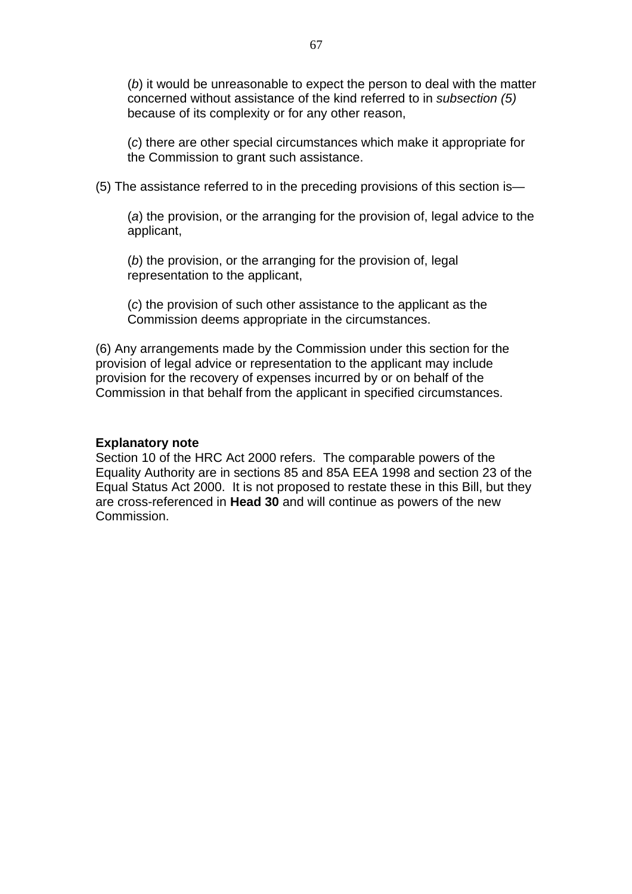(*b*) it would be unreasonable to expect the person to deal with the matter concerned without assistance of the kind referred to in *subsection (5)* because of its complexity or for any other reason,

 (*c*) there are other special circumstances which make it appropriate for the Commission to grant such assistance.

(5) The assistance referred to in the preceding provisions of this section is—

 (*a*) the provision, or the arranging for the provision of, legal advice to the applicant,

 (*b*) the provision, or the arranging for the provision of, legal representation to the applicant,

 (*c*) the provision of such other assistance to the applicant as the Commission deems appropriate in the circumstances.

(6) Any arrangements made by the Commission under this section for the provision of legal advice or representation to the applicant may include provision for the recovery of expenses incurred by or on behalf of the Commission in that behalf from the applicant in specified circumstances.

#### **Explanatory note**

Section 10 of the HRC Act 2000 refers. The comparable powers of the Equality Authority are in sections 85 and 85A EEA 1998 and section 23 of the Equal Status Act 2000. It is not proposed to restate these in this Bill, but they are cross-referenced in **Head 30** and will continue as powers of the new Commission.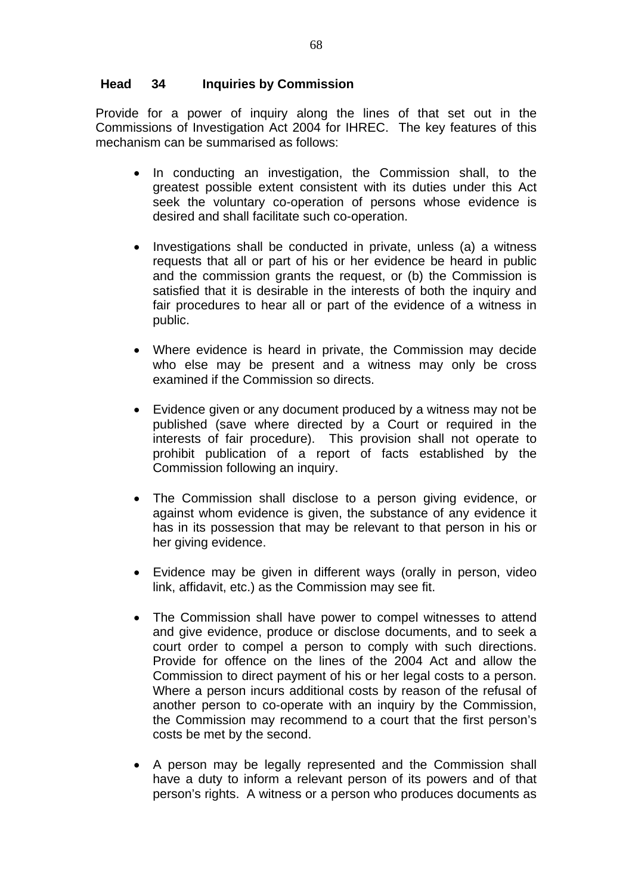# **Head 34 Inquiries by Commission**

Provide for a power of inquiry along the lines of that set out in the Commissions of Investigation Act 2004 for IHREC. The key features of this mechanism can be summarised as follows:

- In conducting an investigation, the Commission shall, to the greatest possible extent consistent with its duties under this Act seek the voluntary co-operation of persons whose evidence is desired and shall facilitate such co-operation.
- Investigations shall be conducted in private, unless (a) a witness requests that all or part of his or her evidence be heard in public and the commission grants the request, or (b) the Commission is satisfied that it is desirable in the interests of both the inquiry and fair procedures to hear all or part of the evidence of a witness in public.
- Where evidence is heard in private, the Commission may decide who else may be present and a witness may only be cross examined if the Commission so directs.
- Evidence given or any document produced by a witness may not be published (save where directed by a Court or required in the interests of fair procedure). This provision shall not operate to prohibit publication of a report of facts established by the Commission following an inquiry.
- The Commission shall disclose to a person giving evidence, or against whom evidence is given, the substance of any evidence it has in its possession that may be relevant to that person in his or her giving evidence.
- Evidence may be given in different ways (orally in person, video link, affidavit, etc.) as the Commission may see fit.
- The Commission shall have power to compel witnesses to attend and give evidence, produce or disclose documents, and to seek a court order to compel a person to comply with such directions. Provide for offence on the lines of the 2004 Act and allow the Commission to direct payment of his or her legal costs to a person. Where a person incurs additional costs by reason of the refusal of another person to co-operate with an inquiry by the Commission, the Commission may recommend to a court that the first person's costs be met by the second.
- A person may be legally represented and the Commission shall have a duty to inform a relevant person of its powers and of that person's rights. A witness or a person who produces documents as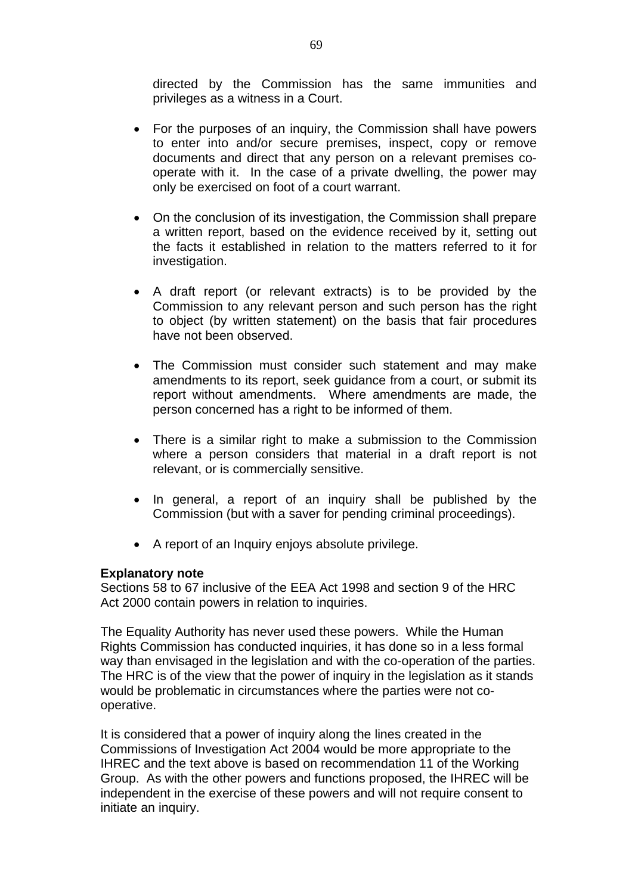directed by the Commission has the same immunities and privileges as a witness in a Court.

- For the purposes of an inquiry, the Commission shall have powers to enter into and/or secure premises, inspect, copy or remove documents and direct that any person on a relevant premises cooperate with it. In the case of a private dwelling, the power may only be exercised on foot of a court warrant.
- On the conclusion of its investigation, the Commission shall prepare a written report, based on the evidence received by it, setting out the facts it established in relation to the matters referred to it for investigation.
- A draft report (or relevant extracts) is to be provided by the Commission to any relevant person and such person has the right to object (by written statement) on the basis that fair procedures have not been observed.
- The Commission must consider such statement and may make amendments to its report, seek guidance from a court, or submit its report without amendments. Where amendments are made, the person concerned has a right to be informed of them.
- There is a similar right to make a submission to the Commission where a person considers that material in a draft report is not relevant, or is commercially sensitive.
- In general, a report of an inquiry shall be published by the Commission (but with a saver for pending criminal proceedings).
- A report of an Inquiry enjoys absolute privilege.

#### **Explanatory note**

Sections 58 to 67 inclusive of the EEA Act 1998 and section 9 of the HRC Act 2000 contain powers in relation to inquiries.

The Equality Authority has never used these powers. While the Human Rights Commission has conducted inquiries, it has done so in a less formal way than envisaged in the legislation and with the co-operation of the parties. The HRC is of the view that the power of inquiry in the legislation as it stands would be problematic in circumstances where the parties were not cooperative.

It is considered that a power of inquiry along the lines created in the Commissions of Investigation Act 2004 would be more appropriate to the IHREC and the text above is based on recommendation 11 of the Working Group. As with the other powers and functions proposed, the IHREC will be independent in the exercise of these powers and will not require consent to initiate an inquiry.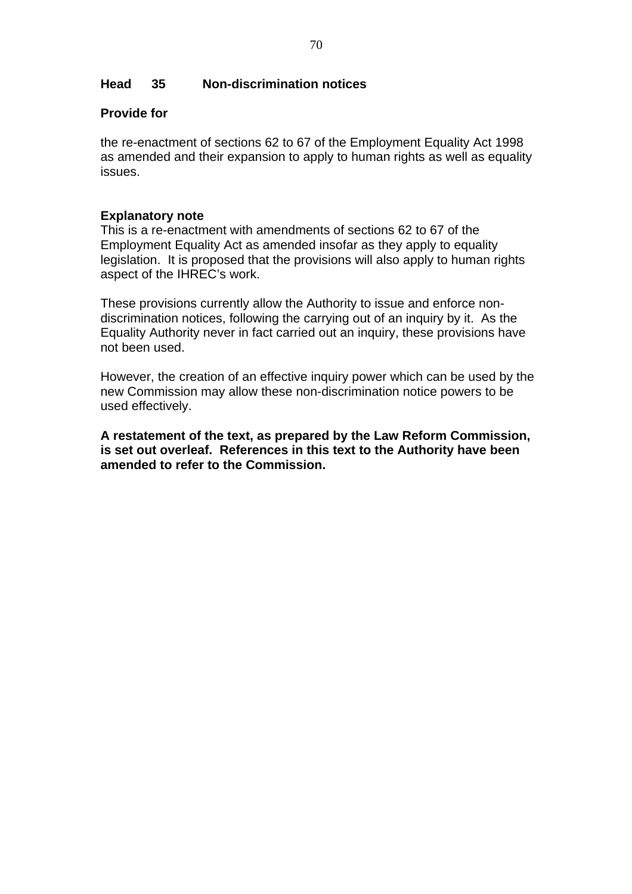# **Head 35 Non-discrimination notices**

# **Provide for**

the re-enactment of sections 62 to 67 of the Employment Equality Act 1998 as amended and their expansion to apply to human rights as well as equality issues.

## **Explanatory note**

This is a re-enactment with amendments of sections 62 to 67 of the Employment Equality Act as amended insofar as they apply to equality legislation. It is proposed that the provisions will also apply to human rights aspect of the IHREC's work.

These provisions currently allow the Authority to issue and enforce nondiscrimination notices, following the carrying out of an inquiry by it. As the Equality Authority never in fact carried out an inquiry, these provisions have not been used.

However, the creation of an effective inquiry power which can be used by the new Commission may allow these non-discrimination notice powers to be used effectively.

**A restatement of the text, as prepared by the Law Reform Commission, is set out overleaf. References in this text to the Authority have been amended to refer to the Commission.**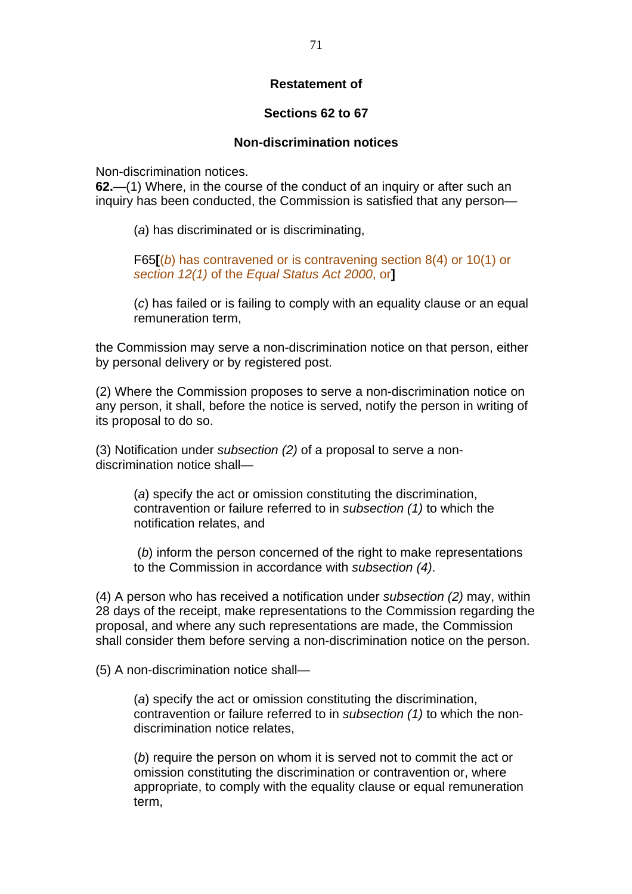# **Restatement of**

## **Sections 62 to 67**

### **Non-discrimination notices**

Non-discrimination notices.

**62.**—(1) Where, in the course of the conduct of an inquiry or after such an inquiry has been conducted, the Commission is satisfied that any person—

(*a*) has discriminated or is discriminating,

F65**[**(*b*) has contravened or is contravening section 8(4) or 10(1) or *section 12(1)* of the *Equal Status Act 2000*, or**]** 

(*c*) has failed or is failing to comply with an equality clause or an equal remuneration term,

the Commission may serve a non-discrimination notice on that person, either by personal delivery or by registered post.

(2) Where the Commission proposes to serve a non-discrimination notice on any person, it shall, before the notice is served, notify the person in writing of its proposal to do so.

(3) Notification under *subsection (2)* of a proposal to serve a nondiscrimination notice shall—

> (*a*) specify the act or omission constituting the discrimination, contravention or failure referred to in *subsection (1)* to which the notification relates, and

 (*b*) inform the person concerned of the right to make representations to the Commission in accordance with *subsection (4)*.

(4) A person who has received a notification under *subsection (2)* may, within 28 days of the receipt, make representations to the Commission regarding the proposal, and where any such representations are made, the Commission shall consider them before serving a non-discrimination notice on the person.

(5) A non-discrimination notice shall—

(*a*) specify the act or omission constituting the discrimination, contravention or failure referred to in *subsection (1)* to which the nondiscrimination notice relates,

(*b*) require the person on whom it is served not to commit the act or omission constituting the discrimination or contravention or, where appropriate, to comply with the equality clause or equal remuneration term,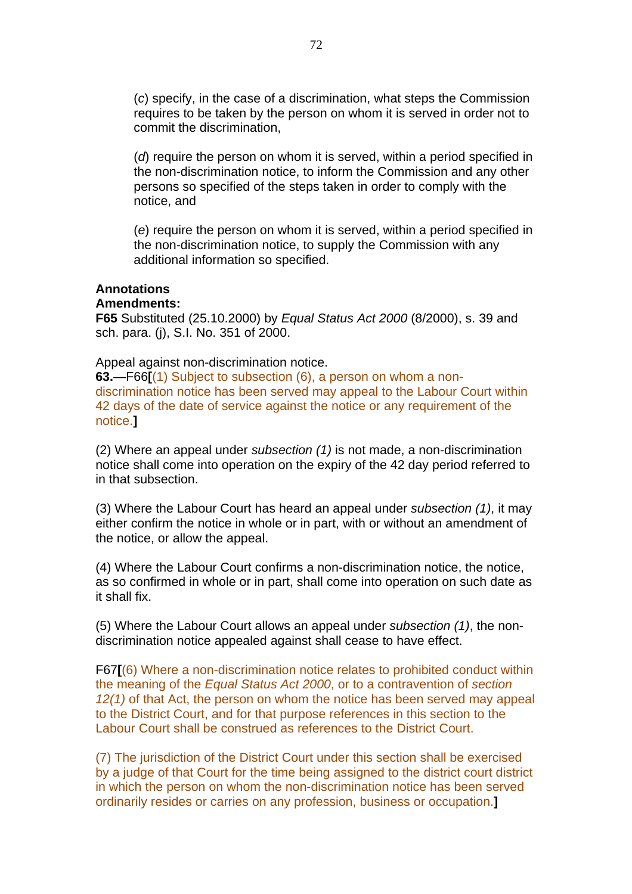(*c*) specify, in the case of a discrimination, what steps the Commission requires to be taken by the person on whom it is served in order not to commit the discrimination,

(*d*) require the person on whom it is served, within a period specified in the non-discrimination notice, to inform the Commission and any other persons so specified of the steps taken in order to comply with the notice, and

(*e*) require the person on whom it is served, within a period specified in the non-discrimination notice, to supply the Commission with any additional information so specified.

# **Annotations**

### **Amendments:**

**F65** Substituted (25.10.2000) by *Equal Status Act 2000* (8/2000), s. 39 and sch. para. (j), S.I. No. 351 of 2000.

#### Appeal against non-discrimination notice.

**63.**—F66**[**(1) Subject to subsection (6), a person on whom a nondiscrimination notice has been served may appeal to the Labour Court within 42 days of the date of service against the notice or any requirement of the notice.**]** 

(2) Where an appeal under *subsection (1)* is not made, a non-discrimination notice shall come into operation on the expiry of the 42 day period referred to in that subsection.

(3) Where the Labour Court has heard an appeal under *subsection (1)*, it may either confirm the notice in whole or in part, with or without an amendment of the notice, or allow the appeal.

(4) Where the Labour Court confirms a non-discrimination notice, the notice, as so confirmed in whole or in part, shall come into operation on such date as it shall fix.

(5) Where the Labour Court allows an appeal under *subsection (1)*, the nondiscrimination notice appealed against shall cease to have effect.

F67**[**(6) Where a non-discrimination notice relates to prohibited conduct within the meaning of the *Equal Status Act 2000*, or to a contravention of *section 12(1)* of that Act, the person on whom the notice has been served may appeal to the District Court, and for that purpose references in this section to the Labour Court shall be construed as references to the District Court.

(7) The jurisdiction of the District Court under this section shall be exercised by a judge of that Court for the time being assigned to the district court district in which the person on whom the non-discrimination notice has been served ordinarily resides or carries on any profession, business or occupation.**]**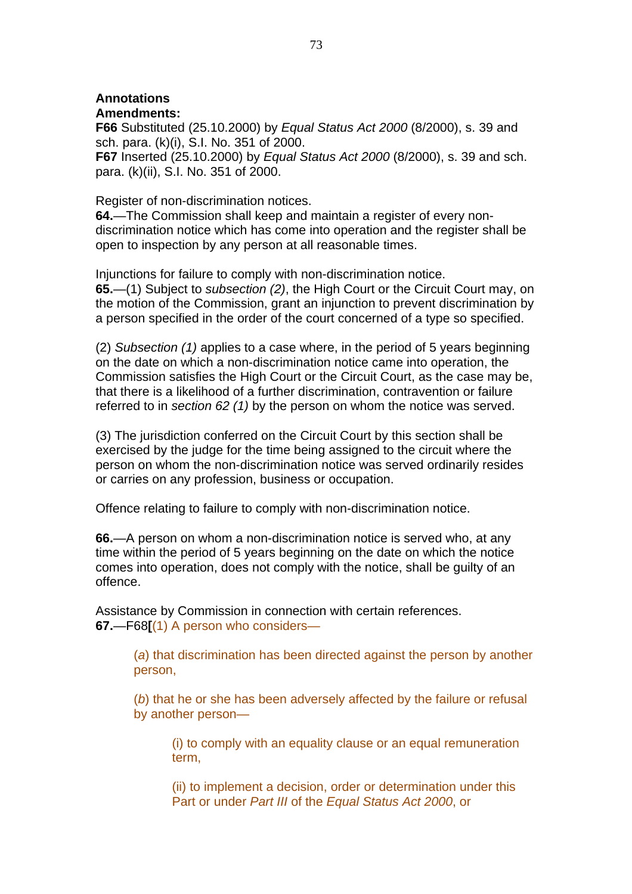# **Annotations**

## **Amendments:**

**F66** Substituted (25.10.2000) by *Equal Status Act 2000* (8/2000), s. 39 and sch. para. (k)(i), S.I. No. 351 of 2000.

**F67** Inserted (25.10.2000) by *Equal Status Act 2000* (8/2000), s. 39 and sch. para. (k)(ii), S.I. No. 351 of 2000.

Register of non-discrimination notices.

**64.**—The Commission shall keep and maintain a register of every nondiscrimination notice which has come into operation and the register shall be open to inspection by any person at all reasonable times.

Injunctions for failure to comply with non-discrimination notice. **65.**—(1) Subject to *subsection (2)*, the High Court or the Circuit Court may, on the motion of the Commission, grant an injunction to prevent discrimination by a person specified in the order of the court concerned of a type so specified.

(2) *Subsection (1)* applies to a case where, in the period of 5 years beginning on the date on which a non-discrimination notice came into operation, the Commission satisfies the High Court or the Circuit Court, as the case may be, that there is a likelihood of a further discrimination, contravention or failure referred to in *section 62 (1)* by the person on whom the notice was served.

(3) The jurisdiction conferred on the Circuit Court by this section shall be exercised by the judge for the time being assigned to the circuit where the person on whom the non-discrimination notice was served ordinarily resides or carries on any profession, business or occupation.

Offence relating to failure to comply with non-discrimination notice.

**66.**—A person on whom a non-discrimination notice is served who, at any time within the period of 5 years beginning on the date on which the notice comes into operation, does not comply with the notice, shall be guilty of an offence.

Assistance by Commission in connection with certain references. **67.**—F68**[**(1) A person who considers—

> (*a*) that discrimination has been directed against the person by another person,

(*b*) that he or she has been adversely affected by the failure or refusal by another person—

(i) to comply with an equality clause or an equal remuneration term,

(ii) to implement a decision, order or determination under this Part or under *Part III* of the *Equal Status Act 2000*, or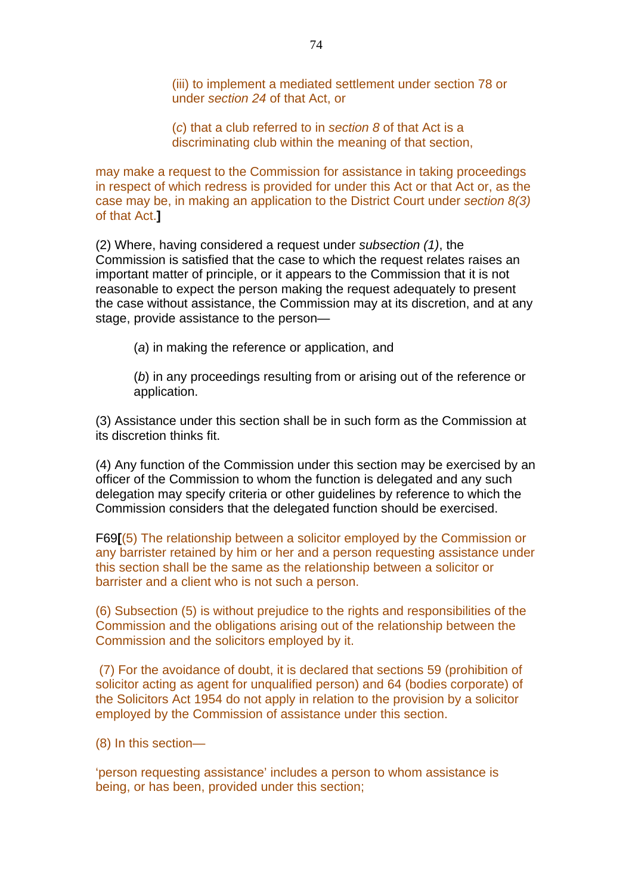(iii) to implement a mediated settlement under section 78 or under *section 24* of that Act, or

(*c*) that a club referred to in *section 8* of that Act is a discriminating club within the meaning of that section,

may make a request to the Commission for assistance in taking proceedings in respect of which redress is provided for under this Act or that Act or, as the case may be, in making an application to the District Court under *section 8(3)*  of that Act.**]** 

(2) Where, having considered a request under *subsection (1)*, the Commission is satisfied that the case to which the request relates raises an important matter of principle, or it appears to the Commission that it is not reasonable to expect the person making the request adequately to present the case without assistance, the Commission may at its discretion, and at any stage, provide assistance to the person—

(*a*) in making the reference or application, and

(*b*) in any proceedings resulting from or arising out of the reference or application.

(3) Assistance under this section shall be in such form as the Commission at its discretion thinks fit.

(4) Any function of the Commission under this section may be exercised by an officer of the Commission to whom the function is delegated and any such delegation may specify criteria or other guidelines by reference to which the Commission considers that the delegated function should be exercised.

F69**[**(5) The relationship between a solicitor employed by the Commission or any barrister retained by him or her and a person requesting assistance under this section shall be the same as the relationship between a solicitor or barrister and a client who is not such a person.

(6) Subsection (5) is without prejudice to the rights and responsibilities of the Commission and the obligations arising out of the relationship between the Commission and the solicitors employed by it.

 (7) For the avoidance of doubt, it is declared that sections 59 (prohibition of solicitor acting as agent for unqualified person) and 64 (bodies corporate) of the Solicitors Act 1954 do not apply in relation to the provision by a solicitor employed by the Commission of assistance under this section.

(8) In this section—

'person requesting assistance' includes a person to whom assistance is being, or has been, provided under this section;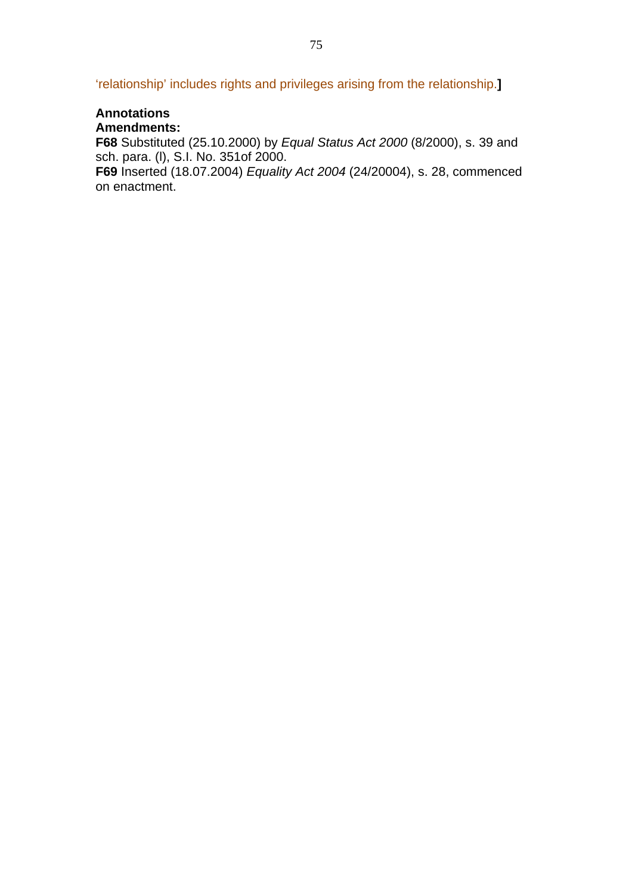'relationship' includes rights and privileges arising from the relationship.**]** 

### **Annotations Amendments:**

**F68** Substituted (25.10.2000) by *Equal Status Act 2000* (8/2000), s. 39 and sch. para. (l), S.I. No. 351of 2000.

**F69** Inserted (18.07.2004) *Equality Act 2004* (24/20004), s. 28, commenced on enactment.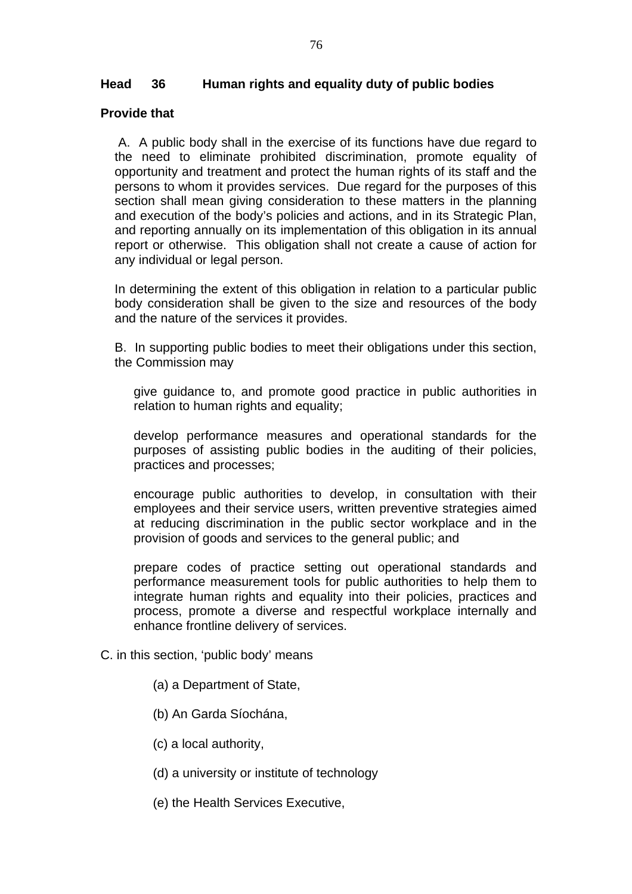# **Head 36 Human rights and equality duty of public bodies**

## **Provide that**

 A. A public body shall in the exercise of its functions have due regard to the need to eliminate prohibited discrimination, promote equality of opportunity and treatment and protect the human rights of its staff and the persons to whom it provides services. Due regard for the purposes of this section shall mean giving consideration to these matters in the planning and execution of the body's policies and actions, and in its Strategic Plan, and reporting annually on its implementation of this obligation in its annual report or otherwise. This obligation shall not create a cause of action for any individual or legal person.

In determining the extent of this obligation in relation to a particular public body consideration shall be given to the size and resources of the body and the nature of the services it provides.

B. In supporting public bodies to meet their obligations under this section, the Commission may

give guidance to, and promote good practice in public authorities in relation to human rights and equality;

develop performance measures and operational standards for the purposes of assisting public bodies in the auditing of their policies, practices and processes;

encourage public authorities to develop, in consultation with their employees and their service users, written preventive strategies aimed at reducing discrimination in the public sector workplace and in the provision of goods and services to the general public; and

prepare codes of practice setting out operational standards and performance measurement tools for public authorities to help them to integrate human rights and equality into their policies, practices and process, promote a diverse and respectful workplace internally and enhance frontline delivery of services.

- C. in this section, 'public body' means
	- (a) a Department of State,
	- (b) An Garda Síochána,
	- (c) a local authority,
	- (d) a university or institute of technology
	- (e) the Health Services Executive,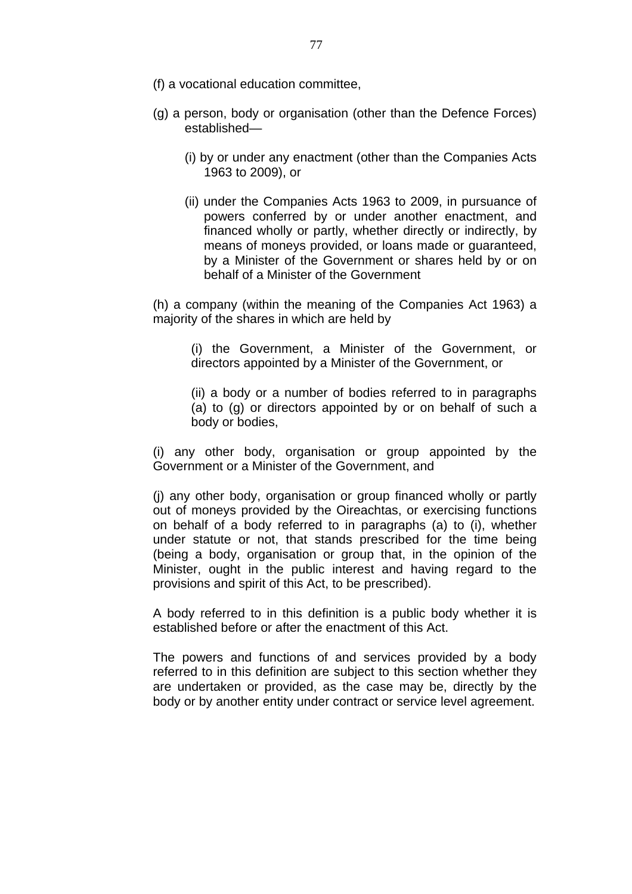- (f) a vocational education committee,
- (g) a person, body or organisation (other than the Defence Forces) established—
	- (i) by or under any enactment (other than the Companies Acts 1963 to 2009), or
	- (ii) under the Companies Acts 1963 to 2009, in pursuance of powers conferred by or under another enactment, and financed wholly or partly, whether directly or indirectly, by means of moneys provided, or loans made or guaranteed, by a Minister of the Government or shares held by or on behalf of a Minister of the Government

 (h) a company (within the meaning of the Companies Act 1963) a majority of the shares in which are held by

(i) the Government, a Minister of the Government, or directors appointed by a Minister of the Government, or

(ii) a body or a number of bodies referred to in paragraphs (a) to (g) or directors appointed by or on behalf of such a body or bodies,

 (i) any other body, organisation or group appointed by the Government or a Minister of the Government, and

 (j) any other body, organisation or group financed wholly or partly out of moneys provided by the Oireachtas, or exercising functions on behalf of a body referred to in paragraphs (a) to (i), whether under statute or not, that stands prescribed for the time being (being a body, organisation or group that, in the opinion of the Minister, ought in the public interest and having regard to the provisions and spirit of this Act, to be prescribed).

 A body referred to in this definition is a public body whether it is established before or after the enactment of this Act.

 The powers and functions of and services provided by a body referred to in this definition are subject to this section whether they are undertaken or provided, as the case may be, directly by the body or by another entity under contract or service level agreement.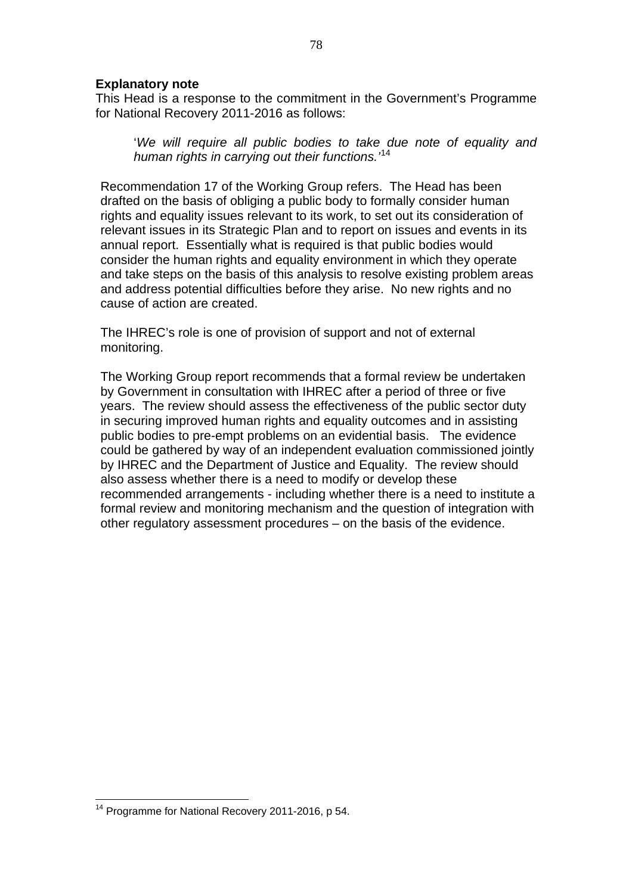### **Explanatory note**

This Head is a response to the commitment in the Government's Programme for National Recovery 2011-2016 as follows:

'*We will require all public bodies to take due note of equality and human rights in carrying out their functions.'*[14](#page-77-0)

Recommendation 17 of the Working Group refers. The Head has been drafted on the basis of obliging a public body to formally consider human rights and equality issues relevant to its work, to set out its consideration of relevant issues in its Strategic Plan and to report on issues and events in its annual report. Essentially what is required is that public bodies would consider the human rights and equality environment in which they operate and take steps on the basis of this analysis to resolve existing problem areas and address potential difficulties before they arise. No new rights and no cause of action are created.

The IHREC's role is one of provision of support and not of external monitoring.

The Working Group report recommends that a formal review be undertaken by Government in consultation with IHREC after a period of three or five years. The review should assess the effectiveness of the public sector duty in securing improved human rights and equality outcomes and in assisting public bodies to pre-empt problems on an evidential basis. The evidence could be gathered by way of an independent evaluation commissioned jointly by IHREC and the Department of Justice and Equality. The review should also assess whether there is a need to modify or develop these recommended arrangements - including whether there is a need to institute a formal review and monitoring mechanism and the question of integration with other regulatory assessment procedures – on the basis of the evidence.

<span id="page-77-0"></span> $\overline{a}$  $14$  Programme for National Recovery 2011-2016, p 54.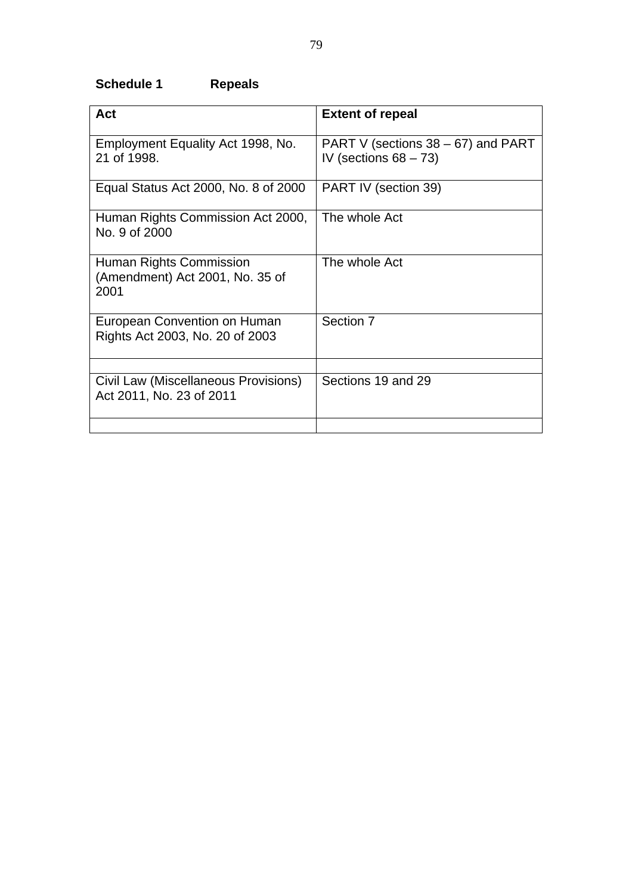# **Schedule 1 Repeals**

| <b>Act</b>                                                         | <b>Extent of repeal</b>                                           |
|--------------------------------------------------------------------|-------------------------------------------------------------------|
| Employment Equality Act 1998, No.<br>21 of 1998.                   | PART V (sections $38 - 67$ ) and PART<br>IV (sections $68 - 73$ ) |
| Equal Status Act 2000, No. 8 of 2000                               | PART IV (section 39)                                              |
| Human Rights Commission Act 2000,<br>No. 9 of 2000                 | The whole Act                                                     |
| Human Rights Commission<br>(Amendment) Act 2001, No. 35 of<br>2001 | The whole Act                                                     |
| European Convention on Human<br>Rights Act 2003, No. 20 of 2003    | Section 7                                                         |
| Civil Law (Miscellaneous Provisions)<br>Act 2011, No. 23 of 2011   | Sections 19 and 29                                                |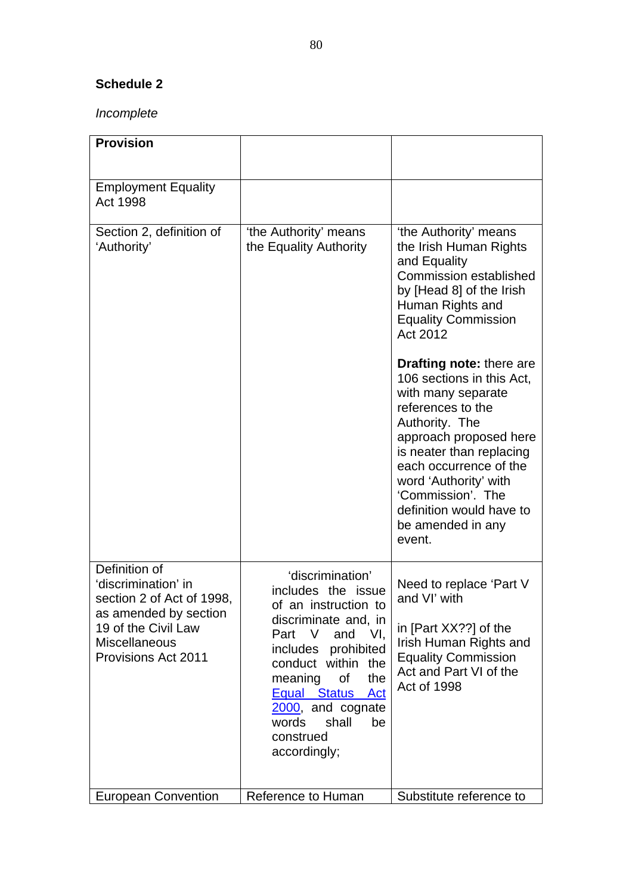# **Schedule 2**

# *Incomplete*

| <b>Provision</b>                                                                                                                                                        |                                                                                                                                                                                                                                                                                                    |                                                                                                                                                                                                                                                                                                                                                                                                                                                                                                                  |
|-------------------------------------------------------------------------------------------------------------------------------------------------------------------------|----------------------------------------------------------------------------------------------------------------------------------------------------------------------------------------------------------------------------------------------------------------------------------------------------|------------------------------------------------------------------------------------------------------------------------------------------------------------------------------------------------------------------------------------------------------------------------------------------------------------------------------------------------------------------------------------------------------------------------------------------------------------------------------------------------------------------|
| <b>Employment Equality</b><br><b>Act 1998</b>                                                                                                                           |                                                                                                                                                                                                                                                                                                    |                                                                                                                                                                                                                                                                                                                                                                                                                                                                                                                  |
| Section 2, definition of<br>'Authority'                                                                                                                                 | 'the Authority' means<br>the Equality Authority                                                                                                                                                                                                                                                    | 'the Authority' means<br>the Irish Human Rights<br>and Equality<br><b>Commission established</b><br>by [Head 8] of the Irish<br>Human Rights and<br><b>Equality Commission</b><br>Act 2012<br><b>Drafting note: there are</b><br>106 sections in this Act,<br>with many separate<br>references to the<br>Authority. The<br>approach proposed here<br>is neater than replacing<br>each occurrence of the<br>word 'Authority' with<br>'Commission'. The<br>definition would have to<br>be amended in any<br>event. |
| Definition of<br>'discrimination' in<br>section 2 of Act of 1998,<br>as amended by section<br>19 of the Civil Law<br><b>Miscellaneous</b><br><b>Provisions Act 2011</b> | 'discrimination'<br>includes the issue<br>of an instruction to<br>discriminate and, in<br>and VI,<br>Part V<br>prohibited<br>includes<br>conduct within the<br>meaning<br>of<br>the<br><b>Equal Status</b><br><b>Act</b><br>2000, and cognate<br>words<br>shall<br>be<br>construed<br>accordingly; | Need to replace 'Part V<br>and VI' with<br>in [Part XX??] of the<br>Irish Human Rights and<br><b>Equality Commission</b><br>Act and Part VI of the<br><b>Act of 1998</b>                                                                                                                                                                                                                                                                                                                                         |
| <b>European Convention</b>                                                                                                                                              | Reference to Human                                                                                                                                                                                                                                                                                 | Substitute reference to                                                                                                                                                                                                                                                                                                                                                                                                                                                                                          |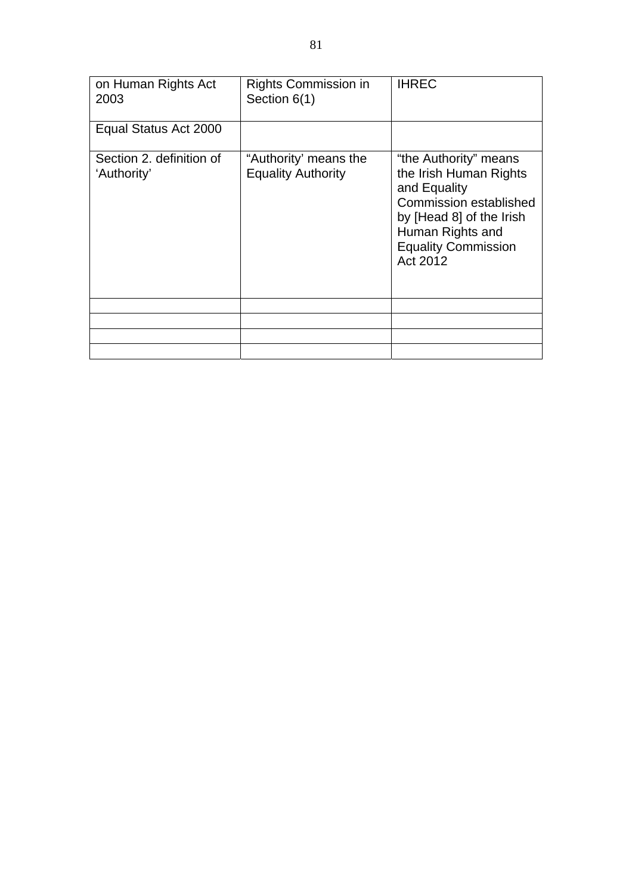| on Human Rights Act<br>2003             | <b>Rights Commission in</b><br>Section 6(1)        | <b>IHREC</b>                                                                                                                                                                               |
|-----------------------------------------|----------------------------------------------------|--------------------------------------------------------------------------------------------------------------------------------------------------------------------------------------------|
| Equal Status Act 2000                   |                                                    |                                                                                                                                                                                            |
| Section 2. definition of<br>'Authority' | "Authority' means the<br><b>Equality Authority</b> | "the Authority" means<br>the Irish Human Rights<br>and Equality<br><b>Commission established</b><br>by [Head 8] of the Irish<br>Human Rights and<br><b>Equality Commission</b><br>Act 2012 |
|                                         |                                                    |                                                                                                                                                                                            |
|                                         |                                                    |                                                                                                                                                                                            |
|                                         |                                                    |                                                                                                                                                                                            |
|                                         |                                                    |                                                                                                                                                                                            |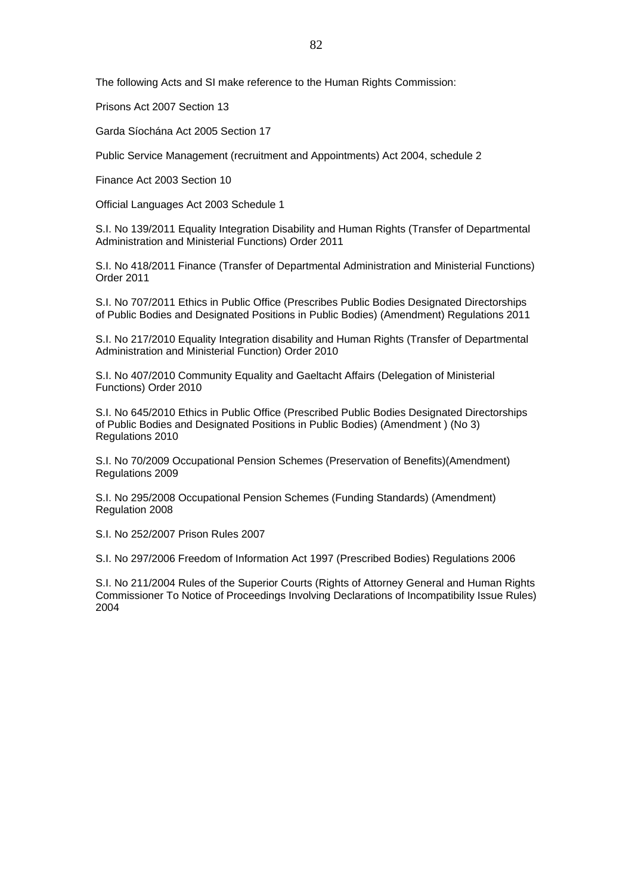The following Acts and SI make reference to the Human Rights Commission:

Prisons Act 2007 Section 13

Garda Síochána Act 2005 Section 17

Public Service Management (recruitment and Appointments) Act 2004, schedule 2

Finance Act 2003 Section 10

Official Languages Act 2003 Schedule 1

S.I. No 139/2011 Equality Integration Disability and Human Rights (Transfer of Departmental Administration and Ministerial Functions) Order 2011

S.I. No 418/2011 Finance (Transfer of Departmental Administration and Ministerial Functions) Order 2011

S.I. No 707/2011 Ethics in Public Office (Prescribes Public Bodies Designated Directorships of Public Bodies and Designated Positions in Public Bodies) (Amendment) Regulations 2011

S.I. No 217/2010 Equality Integration disability and Human Rights (Transfer of Departmental Administration and Ministerial Function) Order 2010

S.I. No 407/2010 Community Equality and Gaeltacht Affairs (Delegation of Ministerial Functions) Order 2010

S.I. No 645/2010 Ethics in Public Office (Prescribed Public Bodies Designated Directorships of Public Bodies and Designated Positions in Public Bodies) (Amendment ) (No 3) Regulations 2010

S.I. No 70/2009 Occupational Pension Schemes (Preservation of Benefits)(Amendment) Regulations 2009

S.I. No 295/2008 Occupational Pension Schemes (Funding Standards) (Amendment) Regulation 2008

S.I. No 252/2007 Prison Rules 2007

S.I. No 297/2006 Freedom of Information Act 1997 (Prescribed Bodies) Regulations 2006

S.I. No 211/2004 Rules of the Superior Courts (Rights of Attorney General and Human Rights Commissioner To Notice of Proceedings Involving Declarations of Incompatibility Issue Rules) 2004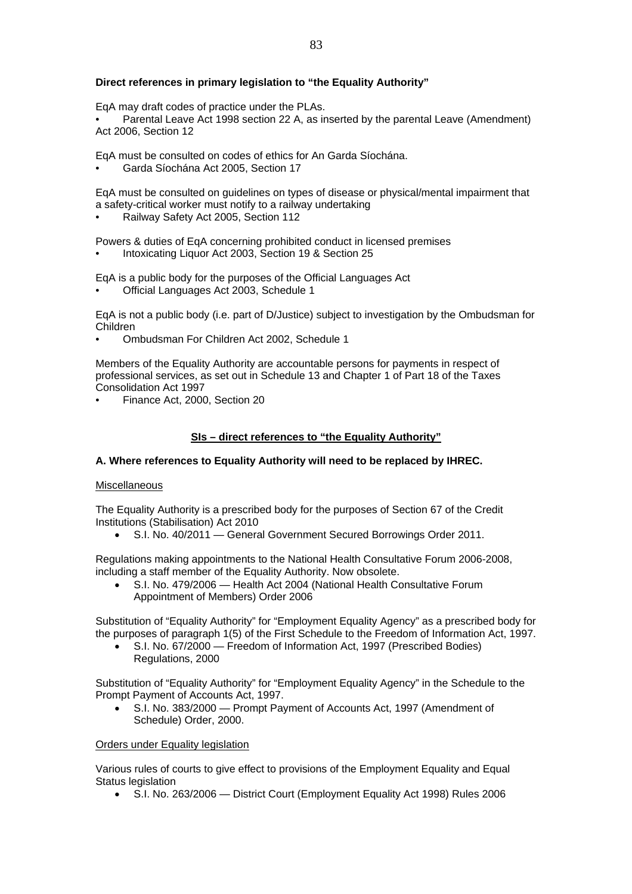#### **Direct references in primary legislation to "the Equality Authority"**

EqA may draft codes of practice under the PLAs.

• Parental Leave Act 1998 section 22 A, as inserted by the parental Leave (Amendment) Act 2006, Section 12

EqA must be consulted on codes of ethics for An Garda Síochána.

• Garda Síochána Act 2005, Section 17

EqA must be consulted on guidelines on types of disease or physical/mental impairment that a safety-critical worker must notify to a railway undertaking

• Railway Safety Act 2005, Section 112

Powers & duties of EqA concerning prohibited conduct in licensed premises

• Intoxicating Liquor Act 2003, Section 19 & Section 25

EqA is a public body for the purposes of the Official Languages Act

• Official Languages Act 2003, Schedule 1

EqA is not a public body (i.e. part of D/Justice) subject to investigation by the Ombudsman for Children

• Ombudsman For Children Act 2002, Schedule 1

Members of the Equality Authority are accountable persons for payments in respect of professional services, as set out in Schedule 13 and Chapter 1 of Part 18 of the Taxes Consolidation Act 1997

• Finance Act, 2000, Section 20

#### **SIs – direct references to "the Equality Authority"**

#### **A. Where references to Equality Authority will need to be replaced by IHREC.**

#### **Miscellaneous**

The Equality Authority is a prescribed body for the purposes of Section 67 of the Credit Institutions (Stabilisation) Act 2010

• S.I. No. 40/2011 — General Government Secured Borrowings Order 2011.

Regulations making appointments to the National Health Consultative Forum 2006-2008, including a staff member of the Equality Authority. Now obsolete.

• S.I. No. 479/2006 — Health Act 2004 (National Health Consultative Forum Appointment of Members) Order 2006

Substitution of "Equality Authority" for "Employment Equality Agency" as a prescribed body for the purposes of paragraph 1(5) of the First Schedule to the Freedom of Information Act, 1997.

• S.I. No. 67/2000 — Freedom of Information Act, 1997 (Prescribed Bodies) Regulations, 2000

Substitution of "Equality Authority" for "Employment Equality Agency" in the Schedule to the Prompt Payment of Accounts Act, 1997.

• S.I. No. 383/2000 — Prompt Payment of Accounts Act, 1997 (Amendment of Schedule) Order, 2000.

#### Orders under Equality legislation

Various rules of courts to give effect to provisions of the Employment Equality and Equal Status legislation

• S.I. No. 263/2006 — District Court (Employment Equality Act 1998) Rules 2006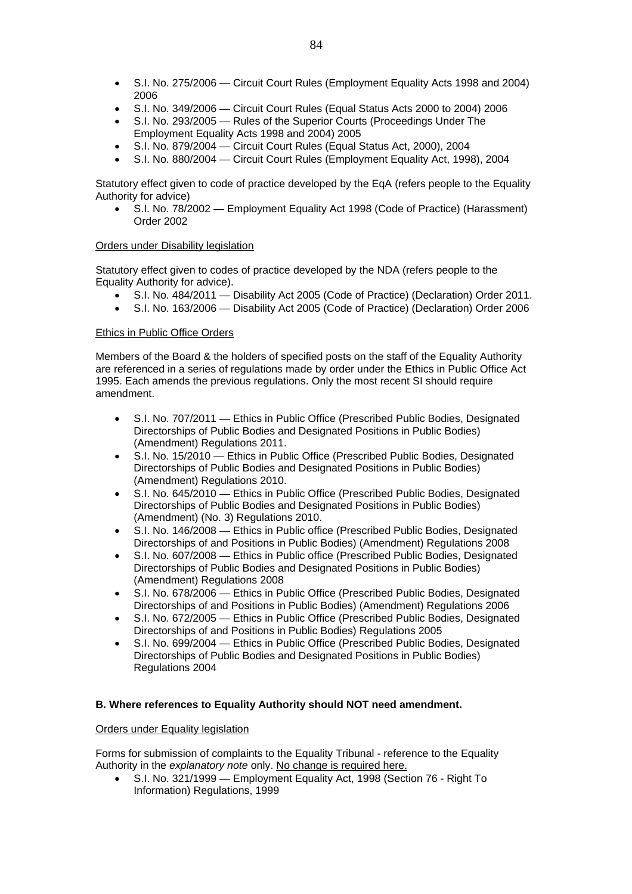- S.I. No. 275/2006 Circuit Court Rules (Employment Equality Acts 1998 and 2004) 2006
- S.I. No. 349/2006 Circuit Court Rules (Equal Status Acts 2000 to 2004) 2006
- S.I. No. 293/2005 Rules of the Superior Courts (Proceedings Under The Employment Equality Acts 1998 and 2004) 2005
- S.I. No. 879/2004 Circuit Court Rules (Equal Status Act, 2000), 2004
- S.I. No. 880/2004 Circuit Court Rules (Employment Equality Act, 1998), 2004

Statutory effect given to code of practice developed by the EqA (refers people to the Equality Authority for advice)

• S.I. No. 78/2002 — Employment Equality Act 1998 (Code of Practice) (Harassment) Order 2002

#### Orders under Disability legislation

Statutory effect given to codes of practice developed by the NDA (refers people to the Equality Authority for advice).

- S.I. No. 484/2011 Disability Act 2005 (Code of Practice) (Declaration) Order 2011.
- S.I. No. 163/2006 Disability Act 2005 (Code of Practice) (Declaration) Order 2006

#### Ethics in Public Office Orders

Members of the Board & the holders of specified posts on the staff of the Equality Authority are referenced in a series of regulations made by order under the Ethics in Public Office Act 1995. Each amends the previous regulations. Only the most recent SI should require amendment.

- S.I. No. 707/2011 Ethics in Public Office (Prescribed Public Bodies, Designated Directorships of Public Bodies and Designated Positions in Public Bodies) (Amendment) Regulations 2011.
- S.I. No. 15/2010 Ethics in Public Office (Prescribed Public Bodies, Designated Directorships of Public Bodies and Designated Positions in Public Bodies) (Amendment) Regulations 2010.
- S.I. No. 645/2010 Ethics in Public Office (Prescribed Public Bodies, Designated Directorships of Public Bodies and Designated Positions in Public Bodies) (Amendment) (No. 3) Regulations 2010.
- S.I. No. 146/2008 Ethics in Public office (Prescribed Public Bodies, Designated Directorships of and Positions in Public Bodies) (Amendment) Regulations 2008
- S.I. No. 607/2008 Ethics in Public office (Prescribed Public Bodies, Designated Directorships of Public Bodies and Designated Positions in Public Bodies) (Amendment) Regulations 2008
- S.I. No. 678/2006 Ethics in Public Office (Prescribed Public Bodies, Designated Directorships of and Positions in Public Bodies) (Amendment) Regulations 2006
- S.I. No. 672/2005 Ethics in Public Office (Prescribed Public Bodies, Designated Directorships of and Positions in Public Bodies) Regulations 2005
- S.I. No. 699/2004 Ethics in Public Office (Prescribed Public Bodies, Designated Directorships of Public Bodies and Designated Positions in Public Bodies) Regulations 2004

#### **B. Where references to Equality Authority should NOT need amendment.**

#### Orders under Equality legislation

Forms for submission of complaints to the Equality Tribunal - reference to the Equality Authority in the *explanatory note* only. No change is required here.

• S.I. No. 321/1999 — Employment Equality Act, 1998 (Section 76 - Right To Information) Regulations, 1999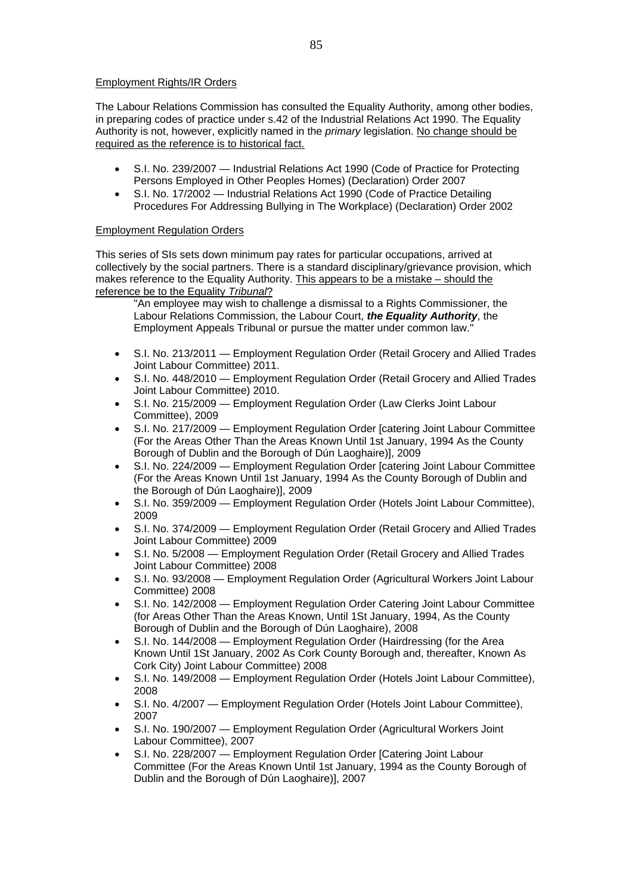#### Employment Rights/IR Orders

The Labour Relations Commission has consulted the Equality Authority, among other bodies, in preparing codes of practice under s.42 of the Industrial Relations Act 1990. The Equality Authority is not, however, explicitly named in the *primary* legislation. No change should be required as the reference is to historical fact.

- S.I. No. 239/2007 Industrial Relations Act 1990 (Code of Practice for Protecting Persons Employed in Other Peoples Homes) (Declaration) Order 2007
- S.I. No. 17/2002 Industrial Relations Act 1990 (Code of Practice Detailing Procedures For Addressing Bullying in The Workplace) (Declaration) Order 2002

#### Employment Regulation Orders

This series of SIs sets down minimum pay rates for particular occupations, arrived at collectively by the social partners. There is a standard disciplinary/grievance provision, which makes reference to the Equality Authority. This appears to be a mistake – should the reference be to the Equality *Tribunal*?

"An employee may wish to challenge a dismissal to a Rights Commissioner, the Labour Relations Commission, the Labour Court, *the Equality Authority*, the Employment Appeals Tribunal or pursue the matter under common law."

- S.I. No. 213/2011 Employment Regulation Order (Retail Grocery and Allied Trades Joint Labour Committee) 2011.
- S.I. No. 448/2010 Employment Regulation Order (Retail Grocery and Allied Trades Joint Labour Committee) 2010.
- S.I. No. 215/2009 Employment Regulation Order (Law Clerks Joint Labour Committee), 2009
- S.I. No. 217/2009 Employment Regulation Order [catering Joint Labour Committee (For the Areas Other Than the Areas Known Until 1st January, 1994 As the County Borough of Dublin and the Borough of Dún Laoghaire)], 2009
- S.I. No. 224/2009 Employment Regulation Order [catering Joint Labour Committee (For the Areas Known Until 1st January, 1994 As the County Borough of Dublin and the Borough of Dún Laoghaire)], 2009
- S.I. No. 359/2009 Employment Regulation Order (Hotels Joint Labour Committee), 2009
- S.I. No. 374/2009 Employment Regulation Order (Retail Grocery and Allied Trades Joint Labour Committee) 2009
- S.I. No. 5/2008 Employment Regulation Order (Retail Grocery and Allied Trades Joint Labour Committee) 2008
- S.I. No. 93/2008 Employment Regulation Order (Agricultural Workers Joint Labour Committee) 2008
- S.I. No. 142/2008 Employment Regulation Order Catering Joint Labour Committee (for Areas Other Than the Areas Known, Until 1St January, 1994, As the County Borough of Dublin and the Borough of Dún Laoghaire), 2008
- S.I. No. 144/2008 Employment Regulation Order (Hairdressing (for the Area Known Until 1St January, 2002 As Cork County Borough and, thereafter, Known As Cork City) Joint Labour Committee) 2008
- S.I. No. 149/2008 Employment Regulation Order (Hotels Joint Labour Committee), 2008
- S.I. No. 4/2007 Employment Regulation Order (Hotels Joint Labour Committee), 2007
- S.I. No. 190/2007 Employment Regulation Order (Agricultural Workers Joint Labour Committee), 2007
- S.I. No. 228/2007 Employment Regulation Order [Catering Joint Labour Committee (For the Areas Known Until 1st January, 1994 as the County Borough of Dublin and the Borough of Dún Laoghaire)], 2007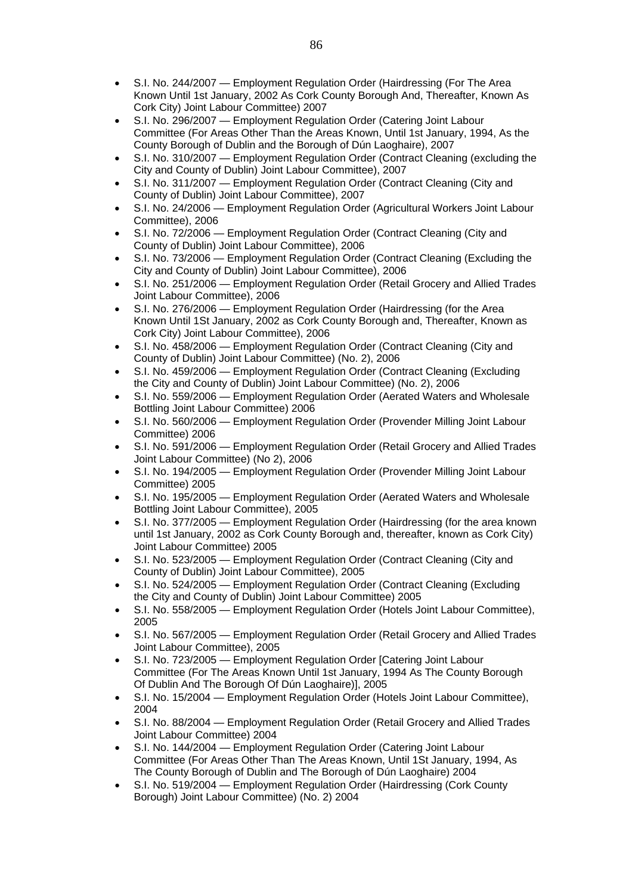- S.I. No. 244/2007 Employment Regulation Order (Hairdressing (For The Area Known Until 1st January, 2002 As Cork County Borough And, Thereafter, Known As Cork City) Joint Labour Committee) 2007
- S.I. No. 296/2007 Employment Regulation Order (Catering Joint Labour Committee (For Areas Other Than the Areas Known, Until 1st January, 1994, As the County Borough of Dublin and the Borough of Dún Laoghaire), 2007
- S.I. No. 310/2007 Employment Regulation Order (Contract Cleaning (excluding the City and County of Dublin) Joint Labour Committee), 2007
- S.I. No. 311/2007 Employment Regulation Order (Contract Cleaning (City and County of Dublin) Joint Labour Committee), 2007
- S.I. No. 24/2006 Employment Regulation Order (Agricultural Workers Joint Labour Committee), 2006
- S.I. No. 72/2006 Employment Regulation Order (Contract Cleaning (City and County of Dublin) Joint Labour Committee), 2006
- S.I. No. 73/2006 Employment Regulation Order (Contract Cleaning (Excluding the City and County of Dublin) Joint Labour Committee), 2006
- S.I. No. 251/2006 Employment Regulation Order (Retail Grocery and Allied Trades Joint Labour Committee), 2006
- S.I. No. 276/2006 Employment Regulation Order (Hairdressing (for the Area Known Until 1St January, 2002 as Cork County Borough and, Thereafter, Known as Cork City) Joint Labour Committee), 2006
- S.I. No. 458/2006 Employment Regulation Order (Contract Cleaning (City and County of Dublin) Joint Labour Committee) (No. 2), 2006
- S.I. No. 459/2006 Employment Regulation Order (Contract Cleaning (Excluding the City and County of Dublin) Joint Labour Committee) (No. 2), 2006
- S.I. No. 559/2006 Employment Regulation Order (Aerated Waters and Wholesale Bottling Joint Labour Committee) 2006
- S.I. No. 560/2006 Employment Regulation Order (Provender Milling Joint Labour Committee) 2006
- S.I. No. 591/2006 Employment Regulation Order (Retail Grocery and Allied Trades Joint Labour Committee) (No 2), 2006
- S.I. No. 194/2005 Employment Regulation Order (Provender Milling Joint Labour Committee) 2005
- S.I. No. 195/2005 Employment Regulation Order (Aerated Waters and Wholesale Bottling Joint Labour Committee), 2005
- S.I. No. 377/2005 Employment Regulation Order (Hairdressing (for the area known until 1st January, 2002 as Cork County Borough and, thereafter, known as Cork City) Joint Labour Committee) 2005
- S.I. No. 523/2005 Employment Regulation Order (Contract Cleaning (City and County of Dublin) Joint Labour Committee), 2005
- S.I. No. 524/2005 Employment Regulation Order (Contract Cleaning (Excluding the City and County of Dublin) Joint Labour Committee) 2005
- S.I. No. 558/2005 Employment Regulation Order (Hotels Joint Labour Committee), 2005
- S.I. No. 567/2005 Employment Regulation Order (Retail Grocery and Allied Trades Joint Labour Committee), 2005
- S.I. No. 723/2005 Employment Regulation Order [Catering Joint Labour Committee (For The Areas Known Until 1st January, 1994 As The County Borough Of Dublin And The Borough Of Dún Laoghaire)], 2005
- S.I. No. 15/2004 Employment Regulation Order (Hotels Joint Labour Committee), 2004
- S.I. No. 88/2004 Employment Regulation Order (Retail Grocery and Allied Trades Joint Labour Committee) 2004
- S.I. No. 144/2004 Employment Regulation Order (Catering Joint Labour Committee (For Areas Other Than The Areas Known, Until 1St January, 1994, As The County Borough of Dublin and The Borough of Dún Laoghaire) 2004
- S.I. No. 519/2004 Employment Regulation Order (Hairdressing (Cork County Borough) Joint Labour Committee) (No. 2) 2004